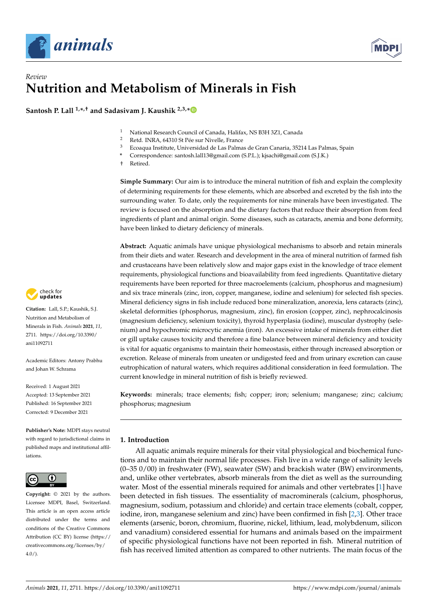



# *Review* **Nutrition and Metabolism of Minerals in Fish**

**Santosh P. Lall 1,\* ,† and Sadasivam J. Kaushik 2,3,[\\*](https://orcid.org/0000-0001-7856-8374)**

- <sup>1</sup> National Research Council of Canada, Halifax, NS B3H 3Z1, Canada<br><sup>2</sup> Betd, IND A, 64210 St Béa sur Nivella Erange
- <sup>2</sup> Retd. INRA, 64310 St Pée sur Nivelle, France
- <sup>3</sup> Ecoaqua Institute, Universidad de Las Palmas de Gran Canaria, 35214 Las Palmas, Spain
- **\*** Correspondence: santosh.lall13@gmail.com (S.P.L.); kjsachi@gmail.com (S.J.K.)
- † Retired.

**Simple Summary:** Our aim is to introduce the mineral nutrition of fish and explain the complexity of determining requirements for these elements, which are absorbed and excreted by the fish into the surrounding water. To date, only the requirements for nine minerals have been investigated. The review is focused on the absorption and the dietary factors that reduce their absorption from feed ingredients of plant and animal origin. Some diseases, such as cataracts, anemia and bone deformity, have been linked to dietary deficiency of minerals.

**Abstract:** Aquatic animals have unique physiological mechanisms to absorb and retain minerals from their diets and water. Research and development in the area of mineral nutrition of farmed fish and crustaceans have been relatively slow and major gaps exist in the knowledge of trace element requirements, physiological functions and bioavailability from feed ingredients. Quantitative dietary requirements have been reported for three macroelements (calcium, phosphorus and magnesium) and six trace minerals (zinc, iron, copper, manganese, iodine and selenium) for selected fish species. Mineral deficiency signs in fish include reduced bone mineralization, anorexia, lens cataracts (zinc), skeletal deformities (phosphorus, magnesium, zinc), fin erosion (copper, zinc), nephrocalcinosis (magnesium deficiency, selenium toxicity), thyroid hyperplasia (iodine), muscular dystrophy (selenium) and hypochromic microcytic anemia (iron). An excessive intake of minerals from either diet or gill uptake causes toxicity and therefore a fine balance between mineral deficiency and toxicity is vital for aquatic organisms to maintain their homeostasis, either through increased absorption or excretion. Release of minerals from uneaten or undigested feed and from urinary excretion can cause eutrophication of natural waters, which requires additional consideration in feed formulation. The current knowledge in mineral nutrition of fish is briefly reviewed.

**Keywords:** minerals; trace elements; fish; copper; iron; selenium; manganese; zinc; calcium; phosphorus; magnesium

# **1. Introduction**

All aquatic animals require minerals for their vital physiological and biochemical functions and to maintain their normal life processes. Fish live in a wide range of salinity levels (0–35 0/00) in freshwater (FW), seawater (SW) and brackish water (BW) environments, and, unlike other vertebrates, absorb minerals from the diet as well as the surrounding water. Most of the essential minerals required for animals and other vertebrates [\[1\]](#page-25-0) have been detected in fish tissues. The essentiality of macrominerals (calcium, phosphorus, magnesium, sodium, potassium and chloride) and certain trace elements (cobalt, copper, iodine, iron, manganese selenium and zinc) have been confirmed in fish [\[2,](#page-25-1)[3\]](#page-25-2). Other trace elements (arsenic, boron, chromium, fluorine, nickel, lithium, lead, molybdenum, silicon and vanadium) considered essential for humans and animals based on the impairment of specific physiological functions have not been reported in fish. Mineral nutrition of fish has received limited attention as compared to other nutrients. The main focus of the



**Citation:** Lall, S.P.; Kaushik, S.J. Nutrition and Metabolism of Minerals in Fish. *Animals* **2021**, *11*, 2711. [https://doi.org/10.3390/](https://doi.org/10.3390/ani11092711) [ani11092711](https://doi.org/10.3390/ani11092711)

Academic Editors: Antony Prabhu and Johan W. Schrama

Received: 1 August 2021 Accepted: 13 September 2021 Published: 16 September 2021 Corrected: 9 December 2021

**Publisher's Note:** MDPI stays neutral with regard to jurisdictional claims in published maps and institutional affiliations.



**Copyright:** © 2021 by the authors. Licensee MDPI, Basel, Switzerland. This article is an open access article distributed under the terms and conditions of the Creative Commons Attribution (CC BY) license (https:/[/](https://creativecommons.org/licenses/by/4.0/) [creativecommons.org/licenses/by/](https://creativecommons.org/licenses/by/4.0/)  $4.0/$ ).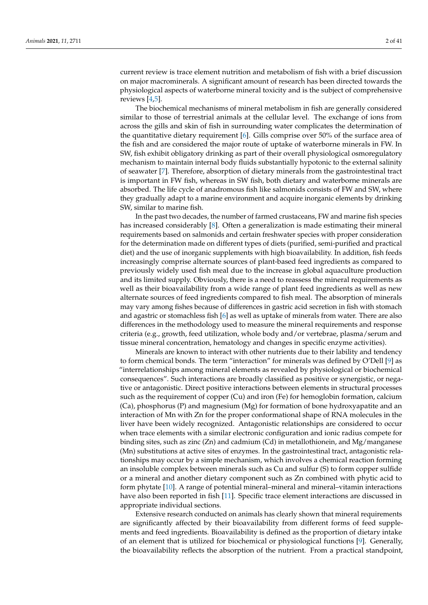current review is trace element nutrition and metabolism of fish with a brief discussion on major macrominerals. A significant amount of research has been directed towards the physiological aspects of waterborne mineral toxicity and is the subject of comprehensive reviews [\[4](#page-25-3)[,5\]](#page-25-4).

The biochemical mechanisms of mineral metabolism in fish are generally considered similar to those of terrestrial animals at the cellular level. The exchange of ions from across the gills and skin of fish in surrounding water complicates the determination of the quantitative dietary requirement [\[6\]](#page-25-5). Gills comprise over 50% of the surface area of the fish and are considered the major route of uptake of waterborne minerals in FW. In SW, fish exhibit obligatory drinking as part of their overall physiological osmoregulatory mechanism to maintain internal body fluids substantially hypotonic to the external salinity of seawater [\[7\]](#page-25-6). Therefore, absorption of dietary minerals from the gastrointestinal tract is important in FW fish, whereas in SW fish, both dietary and waterborne minerals are absorbed. The life cycle of anadromous fish like salmonids consists of FW and SW, where they gradually adapt to a marine environment and acquire inorganic elements by drinking SW, similar to marine fish.

In the past two decades, the number of farmed crustaceans, FW and marine fish species has increased considerably [\[8\]](#page-25-7). Often a generalization is made estimating their mineral requirements based on salmonids and certain freshwater species with proper consideration for the determination made on different types of diets (purified, semi-purified and practical diet) and the use of inorganic supplements with high bioavailability. In addition, fish feeds increasingly comprise alternate sources of plant-based feed ingredients as compared to previously widely used fish meal due to the increase in global aquaculture production and its limited supply. Obviously, there is a need to reassess the mineral requirements as well as their bioavailability from a wide range of plant feed ingredients as well as new alternate sources of feed ingredients compared to fish meal. The absorption of minerals may vary among fishes because of differences in gastric acid secretion in fish with stomach and agastric or stomachless fish [\[6\]](#page-25-5) as well as uptake of minerals from water. There are also differences in the methodology used to measure the mineral requirements and response criteria (e.g., growth, feed utilization, whole body and/or vertebrae, plasma/serum and tissue mineral concentration, hematology and changes in specific enzyme activities).

Minerals are known to interact with other nutrients due to their lability and tendency to form chemical bonds. The term "interaction" for minerals was defined by O'Dell [\[9\]](#page-25-8) as "interrelationships among mineral elements as revealed by physiological or biochemical consequences". Such interactions are broadly classified as positive or synergistic, or negative or antagonistic. Direct positive interactions between elements in structural processes such as the requirement of copper (Cu) and iron (Fe) for hemoglobin formation, calcium (Ca), phosphorus (P) and magnesium (Mg) for formation of bone hydroxyapatite and an interaction of Mn with Zn for the proper conformational shape of RNA molecules in the liver have been widely recognized. Antagonistic relationships are considered to occur when trace elements with a similar electronic configuration and ionic radius compete for binding sites, such as zinc  $(Zn)$  and cadmium  $(Cd)$  in metallothionein, and Mg/manganese (Mn) substitutions at active sites of enzymes. In the gastrointestinal tract, antagonistic relationships may occur by a simple mechanism, which involves a chemical reaction forming an insoluble complex between minerals such as Cu and sulfur (S) to form copper sulfide or a mineral and another dietary component such as Zn combined with phytic acid to form phytate [\[10\]](#page-25-9). A range of potential mineral–mineral and mineral–vitamin interactions have also been reported in fish [\[11\]](#page-25-10). Specific trace element interactions are discussed in appropriate individual sections.

Extensive research conducted on animals has clearly shown that mineral requirements are significantly affected by their bioavailability from different forms of feed supplements and feed ingredients. Bioavailability is defined as the proportion of dietary intake of an element that is utilized for biochemical or physiological functions [\[9\]](#page-25-8). Generally, the bioavailability reflects the absorption of the nutrient. From a practical standpoint,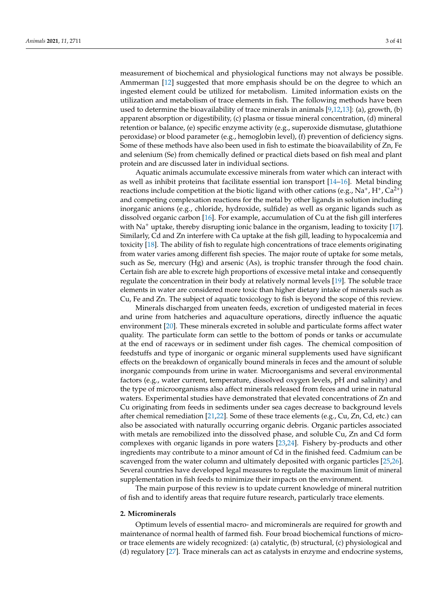measurement of biochemical and physiological functions may not always be possible. Ammerman [\[12\]](#page-25-11) suggested that more emphasis should be on the degree to which an ingested element could be utilized for metabolism. Limited information exists on the utilization and metabolism of trace elements in fish. The following methods have been used to determine the bioavailability of trace minerals in animals [\[9](#page-25-8)[,12](#page-25-11)[,13\]](#page-26-0): (a), growth, (b) apparent absorption or digestibility, (c) plasma or tissue mineral concentration, (d) mineral retention or balance, (e) specific enzyme activity (e.g., superoxide dismutase, glutathione peroxidase) or blood parameter (e.g., hemoglobin level), (f) prevention of deficiency signs. Some of these methods have also been used in fish to estimate the bioavailability of Zn, Fe and selenium (Se) from chemically defined or practical diets based on fish meal and plant protein and are discussed later in individual sections.

Aquatic animals accumulate excessive minerals from water which can interact with as well as inhibit proteins that facilitate essential ion transport [\[14–](#page-26-1)[16\]](#page-26-2). Metal binding reactions include competition at the biotic ligand with other cations (e.g., Na<sup>+</sup>, H<sup>+</sup>, Ca<sup>2+</sup>) and competing complexation reactions for the metal by other ligands in solution including inorganic anions (e.g., chloride, hydroxide, sulfide) as well as organic ligands such as dissolved organic carbon [\[16\]](#page-26-2). For example, accumulation of Cu at the fish gill interferes with  $Na<sup>+</sup>$  uptake, thereby disrupting ionic balance in the organism, leading to toxicity [\[17\]](#page-26-3). Similarly, Cd and Zn interfere with Ca uptake at the fish gill, leading to hypocalcemia and toxicity [\[18\]](#page-26-4). The ability of fish to regulate high concentrations of trace elements originating from water varies among different fish species. The major route of uptake for some metals, such as Se, mercury (Hg) and arsenic (As), is trophic transfer through the food chain. Certain fish are able to excrete high proportions of excessive metal intake and consequently regulate the concentration in their body at relatively normal levels [\[19\]](#page-26-5). The soluble trace elements in water are considered more toxic than higher dietary intake of minerals such as Cu, Fe and Zn. The subject of aquatic toxicology to fish is beyond the scope of this review.

Minerals discharged from uneaten feeds, excretion of undigested material in feces and urine from hatcheries and aquaculture operations, directly influence the aquatic environment [\[20\]](#page-26-6). These minerals excreted in soluble and particulate forms affect water quality. The particulate form can settle to the bottom of ponds or tanks or accumulate at the end of raceways or in sediment under fish cages. The chemical composition of feedstuffs and type of inorganic or organic mineral supplements used have significant effects on the breakdown of organically bound minerals in feces and the amount of soluble inorganic compounds from urine in water. Microorganisms and several environmental factors (e.g., water current, temperature, dissolved oxygen levels, pH and salinity) and the type of microorganisms also affect minerals released from feces and urine in natural waters. Experimental studies have demonstrated that elevated concentrations of Zn and Cu originating from feeds in sediments under sea cages decrease to background levels after chemical remediation [\[21](#page-26-7)[,22\]](#page-26-8). Some of these trace elements (e.g., Cu, Zn, Cd, etc.) can also be associated with naturally occurring organic debris. Organic particles associated with metals are remobilized into the dissolved phase, and soluble Cu, Zn and Cd form complexes with organic ligands in pore waters [\[23,](#page-26-9)[24\]](#page-26-10). Fishery by-products and other ingredients may contribute to a minor amount of Cd in the finished feed. Cadmium can be scavenged from the water column and ultimately deposited with organic particles [\[25](#page-26-11)[,26\]](#page-26-12). Several countries have developed legal measures to regulate the maximum limit of mineral supplementation in fish feeds to minimize their impacts on the environment.

The main purpose of this review is to update current knowledge of mineral nutrition of fish and to identify areas that require future research, particularly trace elements.

#### **2. Microminerals**

Optimum levels of essential macro- and microminerals are required for growth and maintenance of normal health of farmed fish. Four broad biochemical functions of microor trace elements are widely recognized: (a) catalytic, (b) structural, (c) physiological and (d) regulatory [\[27\]](#page-26-13). Trace minerals can act as catalysts in enzyme and endocrine systems,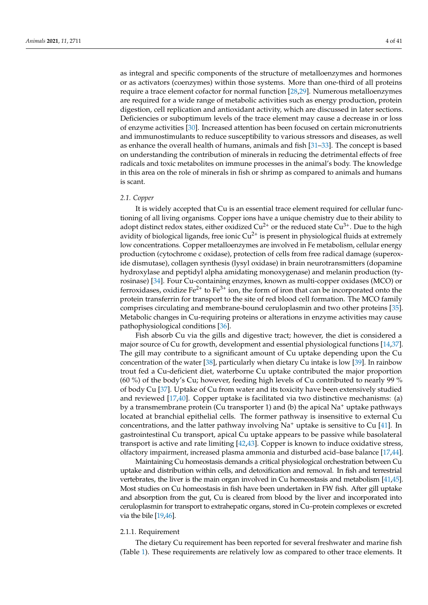as integral and specific components of the structure of metalloenzymes and hormones or as activators (coenzymes) within those systems. More than one-third of all proteins require a trace element cofactor for normal function [\[28](#page-26-14)[,29\]](#page-26-15). Numerous metalloenzymes are required for a wide range of metabolic activities such as energy production, protein digestion, cell replication and antioxidant activity, which are discussed in later sections. Deficiencies or suboptimum levels of the trace element may cause a decrease in or loss of enzyme activities [\[30\]](#page-26-16). Increased attention has been focused on certain micronutrients and immunostimulants to reduce susceptibility to various stressors and diseases, as well as enhance the overall health of humans, animals and fish [\[31](#page-26-17)[–33\]](#page-26-18). The concept is based on understanding the contribution of minerals in reducing the detrimental effects of free radicals and toxic metabolites on immune processes in the animal's body. The knowledge in this area on the role of minerals in fish or shrimp as compared to animals and humans is scant.

#### *2.1. Copper*

It is widely accepted that Cu is an essential trace element required for cellular functioning of all living organisms. Copper ions have a unique chemistry due to their ability to adopt distinct redox states, either oxidized  $Cu^{2+}$  or the reduced state  $Cu^{3+}$ . Due to the high avidity of biological ligands, free ionic  $Cu^{2+}$  is present in physiological fluids at extremely low concentrations. Copper metalloenzymes are involved in Fe metabolism, cellular energy production (cytochrome c oxidase), protection of cells from free radical damage (superoxide dismutase), collagen synthesis (lysyl oxidase) in brain neurotransmitters (dopamine hydroxylase and peptidyl alpha amidating monoxygenase) and melanin production (tyrosinase) [\[34\]](#page-26-19). Four Cu-containing enzymes, known as multi-copper oxidases (MCO) or ferroxidases, oxidize  $Fe^{2+}$  to  $Fe^{3+}$  ion, the form of iron that can be incorporated onto the protein transferrin for transport to the site of red blood cell formation. The MCO family comprises circulating and membrane-bound ceruloplasmin and two other proteins [\[35\]](#page-26-20). Metabolic changes in Cu-requiring proteins or alterations in enzyme activities may cause pathophysiological conditions [\[36\]](#page-26-21).

Fish absorb Cu via the gills and digestive tract; however, the diet is considered a major source of Cu for growth, development and essential physiological functions [\[14](#page-26-1)[,37\]](#page-26-22). The gill may contribute to a significant amount of Cu uptake depending upon the Cu concentration of the water [\[38\]](#page-26-23), particularly when dietary Cu intake is low [\[39\]](#page-26-24). In rainbow trout fed a Cu-deficient diet, waterborne Cu uptake contributed the major proportion (60 %) of the body's Cu; however, feeding high levels of Cu contributed to nearly 99 % of body Cu [\[37\]](#page-26-22). Uptake of Cu from water and its toxicity have been extensively studied and reviewed [\[17](#page-26-3)[,40\]](#page-26-25). Copper uptake is facilitated via two distinctive mechanisms: (a) by a transmembrane protein (Cu transporter 1) and (b) the apical  $Na<sup>+</sup>$  uptake pathways located at branchial epithelial cells. The former pathway is insensitive to external Cu concentrations, and the latter pathway involving  $Na<sup>+</sup>$  uptake is sensitive to Cu [\[41\]](#page-27-0). In gastrointestinal Cu transport, apical Cu uptake appears to be passive while basolateral transport is active and rate limiting [\[42,](#page-27-1)[43\]](#page-27-2). Copper is known to induce oxidative stress, olfactory impairment, increased plasma ammonia and disturbed acid–base balance [\[17](#page-26-3)[,44\]](#page-27-3).

Maintaining Cu homeostasis demands a critical physiological orchestration between Cu uptake and distribution within cells, and detoxification and removal. In fish and terrestrial vertebrates, the liver is the main organ involved in Cu homeostasis and metabolism [\[41,](#page-27-0)[45\]](#page-27-4). Most studies on Cu homeostasis in fish have been undertaken in FW fish. After gill uptake and absorption from the gut, Cu is cleared from blood by the liver and incorporated into ceruloplasmin for transport to extrahepatic organs, stored in Cu–protein complexes or excreted via the bile [\[19,](#page-26-5)[46\]](#page-27-5).

#### 2.1.1. Requirement

The dietary Cu requirement has been reported for several freshwater and marine fish (Table [1\)](#page-4-0). These requirements are relatively low as compared to other trace elements. It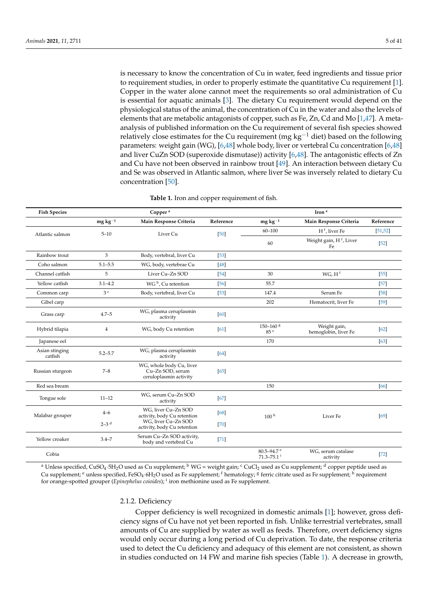is necessary to know the concentration of Cu in water, feed ingredients and tissue prior to requirement studies, in order to properly estimate the quantitative Cu requirement [\[1\]](#page-25-0). Copper in the water alone cannot meet the requirements so oral administration of Cu is essential for aquatic animals [\[3\]](#page-25-2). The dietary Cu requirement would depend on the physiological status of the animal, the concentration of Cu in the water and also the levels of elements that are metabolic antagonists of copper, such as Fe, Zn, Cd and Mo [\[1,](#page-25-0)[47\]](#page-27-6). A metaanalysis of published information on the Cu requirement of several fish species showed relatively close estimates for the Cu requirement (mg  $kg^{-1}$  diet) based on the following parameters: weight gain (WG), [\[6,](#page-25-5)[48\]](#page-27-7) whole body, liver or vertebral Cu concentration [\[6,](#page-25-5)[48\]](#page-27-7) and liver CuZn SOD (superoxide dismutase)) activity [\[6](#page-25-5)[,48\]](#page-27-7). The antagonistic effects of Zn and Cu have not been observed in rainbow trout [\[49\]](#page-27-8). An interaction between dietary Cu and Se was observed in Atlantic salmon, where liver Se was inversely related to dietary Cu concentration [\[50\]](#page-27-9).

<span id="page-4-0"></span>

| <b>Fish Species</b>       | Copper <sup>a</sup> |                                                                        |           | Iron <sup>e</sup>                                        |                                      |           |  |
|---------------------------|---------------------|------------------------------------------------------------------------|-----------|----------------------------------------------------------|--------------------------------------|-----------|--|
|                           | $mg\ kg^{-1}$       | Main Response Criteria                                                 | Reference | $mg\,kg^{-1}$                                            | Main Response Criteria               | Reference |  |
| Atlantic salmon           | $5 - 10$            | Liver Cu                                                               | $[50]$    | $60 - 100$                                               | H <sup>f</sup> , liver Fe            | [51, 52]  |  |
|                           |                     |                                                                        |           | 60                                                       | Weight gain, $Hf$ , Liver<br>Fe      | $[52]$    |  |
| Rainbow trout             | 3                   | Body, vertebral, liver Cu                                              | $[53]$    |                                                          |                                      |           |  |
| Coho salmon               | $5.1 - 5.5$         | WG, body, vertebrae Cu                                                 | [48]      |                                                          |                                      |           |  |
| Channel catfish           | 5                   | Liver Cu-Zn SOD                                                        | [54]      | 30                                                       | WG, H <sup>f</sup>                   | $[55]$    |  |
| Yellow catfish            | $3.1 - 4.2$         | WG $b$ , Cu retention                                                  | $[56]$    | 55.7                                                     |                                      | $[57]$    |  |
| Common carp               | 3 <sup>c</sup>      | Body, vertebral, liver Cu                                              | $[53]$    | 147.4                                                    | Serum Fe                             | $[58]$    |  |
| Gibel carp                |                     |                                                                        |           | 202                                                      | Hematocrit, liver Fe                 | $[59]$    |  |
| Grass carp                | $4.7 - 5$           | WG, plasma ceruplasmin<br>activity                                     | [60]      |                                                          |                                      |           |  |
| Hybrid tilapia            | 4                   | WG, body Cu retention                                                  | [61]      | $150 - 160$ <sup>g</sup><br>85 <sup>e</sup>              | Weight gain,<br>hemoglobin, liver Fe | [62]      |  |
| Japanese eel              |                     |                                                                        |           | 170                                                      |                                      | [63]      |  |
| Asian stinging<br>catfish | $5.2 - 5.7$         | WG, plasma ceruplasmin<br>activity                                     | [64]      |                                                          |                                      |           |  |
| Russian sturgeon          | $7 - 8$             | WG, whole body Cu, liver<br>Cu-Zn SOD, serum<br>ceruloplasmin activity | [65]      |                                                          |                                      |           |  |
| Red sea bream             |                     |                                                                        |           | 150                                                      |                                      | [66]      |  |
| Tongue sole               | $11 - 12$           | WG, serum Cu-Zn SOD<br>activity                                        | [67]      |                                                          |                                      |           |  |
| Malabar grouper           | $4 - 6$             | WG, liver Cu-Zn SOD<br>activity, body Cu retention                     | [68]      | 100 <sup>h</sup>                                         | Liver Fe                             | [69]      |  |
|                           | $2-3$ <sup>d</sup>  | WG, liver Cu-Zn SOD<br>activity, body Cu retention                     | $[70]$    |                                                          |                                      |           |  |
| Yellow croaker            | $3.4 - 7$           | Serum Cu-Zn SOD activity,<br>body and vertebral Cu                     | $[71]$    |                                                          |                                      |           |  |
| Cobia                     |                     |                                                                        |           | $80.5 - 94.7$ <sup>e</sup><br>$71.3 - 75.1$ <sup>i</sup> | WG, serum catalase<br>activity       | $[72]$    |  |

|  |  |  |  |  |  |  |  |  |  |  | <b>Table 1.</b> Iron and copper requirement of fish. |
|--|--|--|--|--|--|--|--|--|--|--|------------------------------------------------------|
|--|--|--|--|--|--|--|--|--|--|--|------------------------------------------------------|

<sup>a</sup> Unless specified, CuSO<sub>4</sub>·5H<sub>2</sub>O used as Cu supplement; <sup>b</sup> WG = weight gain; <sup>c</sup> CuCl<sub>2</sub> used as Cu supplement; <sup>d</sup> copper peptide used as Cu supplement; <sup>e</sup> unless specified, FeSO<sub>4</sub>·6H<sub>2</sub>O used as Fe supplement; <sup>f</sup> hematology; <sup>g</sup> ferric citrate used as Fe supplement; <sup>h</sup> requirement for orange-spotted grouper (*Epinephelus coioides*); <sup>i</sup> iron methionine used as Fe supplement.

#### 2.1.2. Deficiency

Copper deficiency is well recognized in domestic animals [\[1\]](#page-25-0); however, gross deficiency signs of Cu have not yet been reported in fish. Unlike terrestrial vertebrates, small amounts of Cu are supplied by water as well as feeds. Therefore, overt deficiency signs would only occur during a long period of Cu deprivation. To date, the response criteria used to detect the Cu deficiency and adequacy of this element are not consistent, as shown in studies conducted on 14 FW and marine fish species (Table [1\)](#page-4-0). A decrease in growth,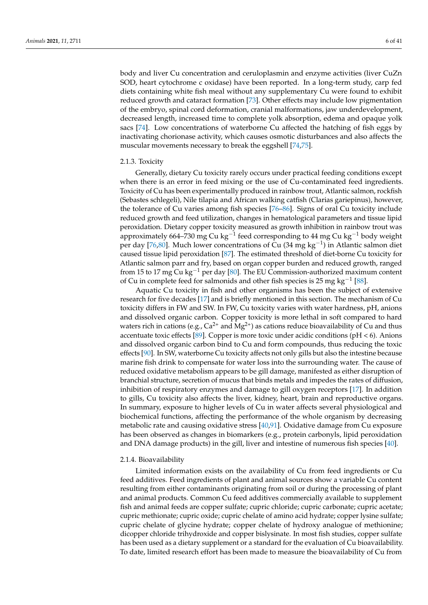body and liver Cu concentration and ceruloplasmin and enzyme activities (liver CuZn SOD, heart cytochrome c oxidase) have been reported. In a long-term study, carp fed diets containing white fish meal without any supplementary Cu were found to exhibit reduced growth and cataract formation [\[73\]](#page-28-4). Other effects may include low pigmentation of the embryo, spinal cord deformation, cranial malformations, jaw underdevelopment, decreased length, increased time to complete yolk absorption, edema and opaque yolk sacs [\[74\]](#page-28-5). Low concentrations of waterborne Cu affected the hatching of fish eggs by inactivating chorionase activity, which causes osmotic disturbances and also affects the muscular movements necessary to break the eggshell [\[74](#page-28-5)[,75\]](#page-28-6).

# 2.1.3. Toxicity

Generally, dietary Cu toxicity rarely occurs under practical feeding conditions except when there is an error in feed mixing or the use of Cu-contaminated feed ingredients. Toxicity of Cu has been experimentally produced in rainbow trout, Atlantic salmon, rockfish (Sebastes schlegeli), Nile tilapia and African walking catfish (Clarias gariepinus), however, the tolerance of Cu varies among fish species [\[76](#page-28-7)[–86\]](#page-28-8). Signs of oral Cu toxicity include reduced growth and feed utilization, changes in hematological parameters and tissue lipid peroxidation. Dietary copper toxicity measured as growth inhibition in rainbow trout was approximately 664–730  $\mathrm{mg}\:\text{Cu}\:\text{kg}^{-1}$  feed corresponding to 44 mg Cu kg $^{-1}$  body weight per day [\[76](#page-28-7)[,80\]](#page-28-9). Much lower concentrations of Cu (34 mg kg<sup>-1</sup>) in Atlantic salmon diet caused tissue lipid peroxidation [\[87\]](#page-28-10). The estimated threshold of diet-borne Cu toxicity for Atlantic salmon parr and fry, based on organ copper burden and reduced growth, ranged from 15 to 17 mg Cu kg<sup>-1</sup> per day [\[80\]](#page-28-9). The EU Commission-authorized maximum content of Cu in complete feed for salmonids and other fish species is 25 mg kg<sup>-1</sup> [\[88\]](#page-28-11).

Aquatic Cu toxicity in fish and other organisms has been the subject of extensive research for five decades [\[17\]](#page-26-3) and is briefly mentioned in this section. The mechanism of Cu toxicity differs in FW and SW. In FW, Cu toxicity varies with water hardness, pH, anions and dissolved organic carbon. Copper toxicity is more lethal in soft compared to hard waters rich in cations (e.g.,  $Ca^{2+}$  and  $Mg^{2+}$ ) as cations reduce bioavailability of Cu and thus accentuate toxic effects [\[89\]](#page-28-12). Copper is more toxic under acidic conditions ( $pH < 6$ ). Anions and dissolved organic carbon bind to Cu and form compounds, thus reducing the toxic effects [\[90\]](#page-28-13). In SW, waterborne Cu toxicity affects not only gills but also the intestine because marine fish drink to compensate for water loss into the surrounding water. The cause of reduced oxidative metabolism appears to be gill damage, manifested as either disruption of branchial structure, secretion of mucus that binds metals and impedes the rates of diffusion, inhibition of respiratory enzymes and damage to gill oxygen receptors [\[17\]](#page-26-3). In addition to gills, Cu toxicity also affects the liver, kidney, heart, brain and reproductive organs. In summary, exposure to higher levels of Cu in water affects several physiological and biochemical functions, affecting the performance of the whole organism by decreasing metabolic rate and causing oxidative stress [\[40](#page-26-25)[,91\]](#page-28-14). Oxidative damage from Cu exposure has been observed as changes in biomarkers (e.g., protein carbonyls, lipid peroxidation and DNA damage products) in the gill, liver and intestine of numerous fish species [\[40\]](#page-26-25).

# 2.1.4. Bioavailability

Limited information exists on the availability of Cu from feed ingredients or Cu feed additives. Feed ingredients of plant and animal sources show a variable Cu content resulting from either contaminants originating from soil or during the processing of plant and animal products. Common Cu feed additives commercially available to supplement fish and animal feeds are copper sulfate; cupric chloride; cupric carbonate; cupric acetate; cupric methionate; cupric oxide; cupric chelate of amino acid hydrate; copper lysine sulfate; cupric chelate of glycine hydrate; copper chelate of hydroxy analogue of methionine; dicopper chloride trihydroxide and copper bislysinate. In most fish studies, copper sulfate has been used as a dietary supplement or a standard for the evaluation of Cu bioavailability. To date, limited research effort has been made to measure the bioavailability of Cu from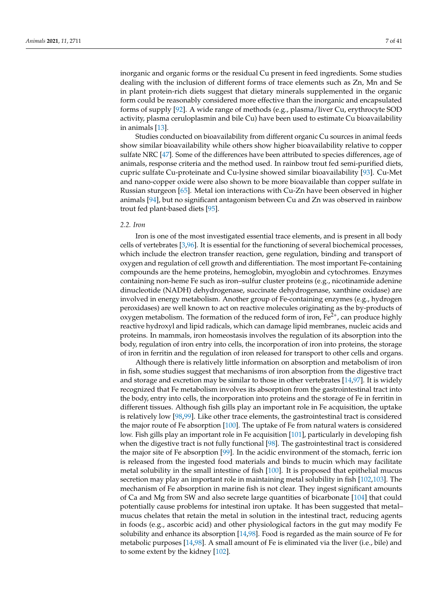inorganic and organic forms or the residual Cu present in feed ingredients. Some studies dealing with the inclusion of different forms of trace elements such as Zn, Mn and Se in plant protein-rich diets suggest that dietary minerals supplemented in the organic form could be reasonably considered more effective than the inorganic and encapsulated forms of supply [\[92\]](#page-28-15). A wide range of methods (e.g., plasma/liver Cu, erythrocyte SOD activity, plasma ceruloplasmin and bile Cu) have been used to estimate Cu bioavailability in animals [\[13\]](#page-26-0).

Studies conducted on bioavailability from different organic Cu sources in animal feeds show similar bioavailability while others show higher bioavailability relative to copper sulfate NRC [\[47\]](#page-27-6). Some of the differences have been attributed to species differences, age of animals, response criteria and the method used. In rainbow trout fed semi-purified diets, cupric sulfate Cu-proteinate and Cu-lysine showed similar bioavailability [\[93\]](#page-28-16). Cu-Met and nano-copper oxide were also shown to be more bioavailable than copper sulfate in Russian sturgeon [\[65\]](#page-27-24). Metal ion interactions with Cu-Zn have been observed in higher animals [\[94\]](#page-28-17), but no significant antagonism between Cu and Zn was observed in rainbow trout fed plant-based diets [\[95\]](#page-28-18).

#### *2.2. Iron*

Iron is one of the most investigated essential trace elements, and is present in all body cells of vertebrates [\[3](#page-25-2)[,96\]](#page-28-19). It is essential for the functioning of several biochemical processes, which include the electron transfer reaction, gene regulation, binding and transport of oxygen and regulation of cell growth and differentiation. The most important Fe-containing compounds are the heme proteins, hemoglobin, myoglobin and cytochromes. Enzymes containing non-heme Fe such as iron–sulfur cluster proteins (e.g., nicotinamide adenine dinucleotide (NADH) dehydrogenase, succinate dehydrogenase, xanthine oxidase) are involved in energy metabolism. Another group of Fe-containing enzymes (e.g., hydrogen peroxidases) are well known to act on reactive molecules originating as the by-products of oxygen metabolism. The formation of the reduced form of iron,  $Fe<sup>2+</sup>$ , can produce highly reactive hydroxyl and lipid radicals, which can damage lipid membranes, nucleic acids and proteins. In mammals, iron homeostasis involves the regulation of its absorption into the body, regulation of iron entry into cells, the incorporation of iron into proteins, the storage of iron in ferritin and the regulation of iron released for transport to other cells and organs.

Although there is relatively little information on absorption and metabolism of iron in fish, some studies suggest that mechanisms of iron absorption from the digestive tract and storage and excretion may be similar to those in other vertebrates [\[14,](#page-26-1)[97\]](#page-29-0). It is widely recognized that Fe metabolism involves its absorption from the gastrointestinal tract into the body, entry into cells, the incorporation into proteins and the storage of Fe in ferritin in different tissues. Although fish gills play an important role in Fe acquisition, the uptake is relatively low [\[98,](#page-29-1)[99\]](#page-29-2). Like other trace elements, the gastrointestinal tract is considered the major route of Fe absorption [\[100\]](#page-29-3). The uptake of Fe from natural waters is considered low. Fish gills play an important role in Fe acquisition [\[101\]](#page-29-4), particularly in developing fish when the digestive tract is not fully functional [\[98\]](#page-29-1). The gastrointestinal tract is considered the major site of Fe absorption [\[99\]](#page-29-2). In the acidic environment of the stomach, ferric ion is released from the ingested food materials and binds to mucin which may facilitate metal solubility in the small intestine of fish [\[100\]](#page-29-3). It is proposed that epithelial mucus secretion may play an important role in maintaining metal solubility in fish [\[102](#page-29-5)[,103\]](#page-29-6). The mechanism of Fe absorption in marine fish is not clear. They ingest significant amounts of Ca and Mg from SW and also secrete large quantities of bicarbonate [\[104\]](#page-29-7) that could potentially cause problems for intestinal iron uptake. It has been suggested that metal– mucus chelates that retain the metal in solution in the intestinal tract, reducing agents in foods (e.g., ascorbic acid) and other physiological factors in the gut may modify Fe solubility and enhance its absorption [\[14,](#page-26-1)[98\]](#page-29-1). Food is regarded as the main source of Fe for metabolic purposes [\[14](#page-26-1)[,98\]](#page-29-1). A small amount of Fe is eliminated via the liver (i.e., bile) and to some extent by the kidney [\[102\]](#page-29-5).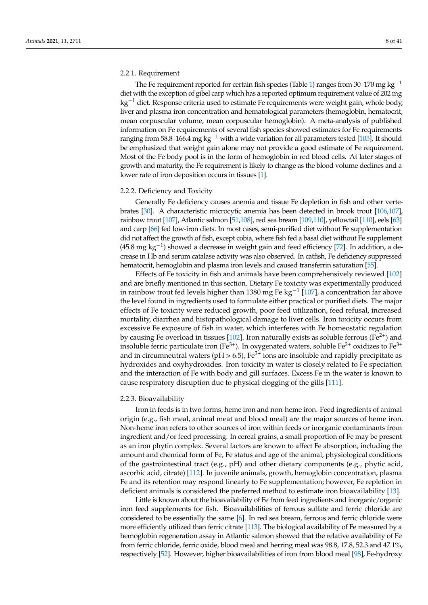#### 2.2.1. Requirement

The Fe requirement reported for certain fish species (Table [1\)](#page-4-0) ranges from 30–170 mg kg<sup>-1</sup> diet with the exception of gibel carp which has a reported optimum requirement value of 202 mg  $kg^{-1}$  diet. Response criteria used to estimate Fe requirements were weight gain, whole body, liver and plasma iron concentration and hematological parameters (hemoglobin, hematocrit, mean corpuscular volume, mean corpuscular hemoglobin). A meta-analysis of published information on Fe requirements of several fish species showed estimates for Fe requirements ranging from 58.8–166.4 mg kg<sup>-1</sup> with a wide variation for all parameters tested [\[105\]](#page-29-8). It should be emphasized that weight gain alone may not provide a good estimate of Fe requirement. Most of the Fe body pool is in the form of hemoglobin in red blood cells. At later stages of growth and maturity, the Fe requirement is likely to change as the blood volume declines and a lower rate of iron deposition occurs in tissues [\[1\]](#page-25-0).

#### 2.2.2. Deficiency and Toxicity

Generally Fe deficiency causes anemia and tissue Fe depletion in fish and other vertebrates [\[30\]](#page-26-16). A characteristic microcytic anemia has been detected in brook trout [\[106](#page-29-9)[,107\]](#page-29-10), rainbow trout [\[107\]](#page-29-10), Atlantic salmon [\[51](#page-27-10)[,108\]](#page-29-11), red sea bream [\[109,](#page-29-12)[110\]](#page-29-13), yellowtail [\[110\]](#page-29-13), eels [\[63\]](#page-27-22) and carp [\[66\]](#page-27-25) fed low-iron diets. In most cases, semi-purified diet without Fe supplementation did not affect the growth of fish, except cobia, where fish fed a basal diet without Fe supplement (45.8 mg kg−<sup>1</sup> ) showed a decrease in weight gain and feed efficiency [\[72\]](#page-28-3). In addition, a decrease in Hb and serum catalase activity was also observed. In catfish, Fe deficiency suppressed hematocrit, hemoglobin and plasma iron levels and caused transferrin saturation [\[55\]](#page-27-14).

Effects of Fe toxicity in fish and animals have been comprehensively reviewed [\[102\]](#page-29-5) and are briefly mentioned in this section. Dietary Fe toxicity was experimentally produced in rainbow trout fed levels higher than 1380 mg Fe kg $^{-1}$  [\[107\]](#page-29-10), a concentration far above the level found in ingredients used to formulate either practical or purified diets. The major effects of Fe toxicity were reduced growth, poor feed utilization, feed refusal, increased mortality, diarrhea and histopathological damage to liver cells. Iron toxicity occurs from excessive Fe exposure of fish in water, which interferes with Fe homeostatic regulation by causing Fe overload in tissues  $[102]$ . Iron naturally exists as soluble ferrous (Fe<sup>2+</sup>) and insoluble ferric particulate iron (Fe<sup>3+</sup>). In oxygenated waters, soluble Fe<sup>2+</sup> oxidizes to Fe<sup>3+</sup> and in circumneutral waters ( $pH > 6.5$ ), Fe<sup>3+</sup> ions are insoluble and rapidly precipitate as hydroxides and oxyhydroxides. Iron toxicity in water is closely related to Fe speciation and the interaction of Fe with body and gill surfaces. Excess Fe in the water is known to cause respiratory disruption due to physical clogging of the gills [\[111\]](#page-29-14).

#### 2.2.3. Bioavailability

Iron in feeds is in two forms, heme iron and non-heme iron. Feed ingredients of animal origin (e.g., fish meal, animal meat and blood meal) are the major sources of heme iron. Non-heme iron refers to other sources of iron within feeds or inorganic contaminants from ingredient and/or feed processing. In cereal grains, a small proportion of Fe may be present as an iron phytin complex. Several factors are known to affect Fe absorption, including the amount and chemical form of Fe, Fe status and age of the animal, physiological conditions of the gastrointestinal tract (e.g., pH) and other dietary components (e.g., phytic acid, ascorbic acid, citrate) [\[112\]](#page-29-15). In juvenile animals, growth, hemoglobin concentration, plasma Fe and its retention may respond linearly to Fe supplementation; however, Fe repletion in deficient animals is considered the preferred method to estimate iron bioavailability [\[13\]](#page-26-0).

Little is known about the bioavailability of Fe from feed ingredients and inorganic/organic iron feed supplements for fish. Bioavailabilities of ferrous sulfate and ferric chloride are considered to be essentially the same [\[6\]](#page-25-5). In red sea bream, ferrous and ferric chloride were more efficiently utilized than ferric citrate [\[113\]](#page-29-16). The biological availability of Fe measured by a hemoglobin regeneration assay in Atlantic salmon showed that the relative availability of Fe from ferric chloride, ferric oxide, blood meal and herring meal was 98.8, 17.8, 52.3 and 47.1%, respectively [\[52\]](#page-27-11). However, higher bioavailabilities of iron from blood meal [\[98\]](#page-29-1), Fe-hydroxy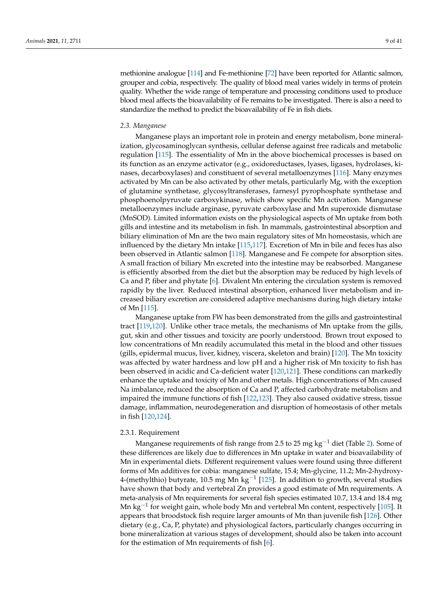methionine analogue [\[114\]](#page-29-17) and Fe-methionine [\[72\]](#page-28-3) have been reported for Atlantic salmon, grouper and cobia, respectively. The quality of blood meal varies widely in terms of protein quality. Whether the wide range of temperature and processing conditions used to produce blood meal affects the bioavailability of Fe remains to be investigated. There is also a need to standardize the method to predict the bioavailability of Fe in fish diets.

# *2.3. Manganese*

Manganese plays an important role in protein and energy metabolism, bone mineralization, glycosaminoglycan synthesis, cellular defense against free radicals and metabolic regulation [\[115\]](#page-29-18). The essentiality of Mn in the above biochemical processes is based on its function as an enzyme activator (e.g., oxidoreductases, lyases, ligases, hydrolases, kinases, decarboxylases) and constituent of several metalloenzymes [\[116\]](#page-29-19). Many enzymes activated by Mn can be also activated by other metals, particularly Mg, with the exception of glutamine synthetase, glycosyltransferases, farnesyl pyrophosphate synthetase and phosphoenolpyruvate carboxykinase, which show specific Mn activation. Manganese metalloenzymes include arginase, pyruvate carboxylase and Mn superoxide dismutase (MnSOD). Limited information exists on the physiological aspects of Mn uptake from both gills and intestine and its metabolism in fish. In mammals, gastrointestinal absorption and biliary elimination of Mn are the two main regulatory sites of Mn homeostasis, which are influenced by the dietary Mn intake [\[115,](#page-29-18)[117\]](#page-29-20). Excretion of Mn in bile and feces has also been observed in Atlantic salmon [\[118\]](#page-29-21). Manganese and Fe compete for absorption sites. A small fraction of biliary Mn excreted into the intestine may be reabsorbed. Manganese is efficiently absorbed from the diet but the absorption may be reduced by high levels of Ca and P, fiber and phytate [\[6\]](#page-25-5). Divalent Mn entering the circulation system is removed rapidly by the liver. Reduced intestinal absorption, enhanced liver metabolism and increased biliary excretion are considered adaptive mechanisms during high dietary intake of Mn [\[115\]](#page-29-18).

Manganese uptake from FW has been demonstrated from the gills and gastrointestinal tract [\[119](#page-29-22)[,120\]](#page-29-23). Unlike other trace metals, the mechanisms of Mn uptake from the gills, gut, skin and other tissues and toxicity are poorly understood. Brown trout exposed to low concentrations of Mn readily accumulated this metal in the blood and other tissues (gills, epidermal mucus, liver, kidney, viscera, skeleton and brain) [\[120\]](#page-29-23). The Mn toxicity was affected by water hardness and low pH and a higher risk of Mn toxicity to fish has been observed in acidic and Ca-deficient water [\[120](#page-29-23)[,121\]](#page-29-24). These conditions can markedly enhance the uptake and toxicity of Mn and other metals. High concentrations of Mn caused Na imbalance, reduced the absorption of Ca and P, affected carbohydrate metabolism and impaired the immune functions of fish [\[122,](#page-29-25)[123\]](#page-29-26). They also caused oxidative stress, tissue damage, inflammation, neurodegeneration and disruption of homeostasis of other metals in fish [\[120](#page-29-23)[,124\]](#page-29-27).

## 2.3.1. Requirement

Manganese requirements of fish range from 2.5 to 25 mg kg<sup>-1</sup> diet (Table [2\)](#page-9-0). Some of these differences are likely due to differences in Mn uptake in water and bioavailability of Mn in experimental diets. Different requirement values were found using three different forms of Mn additives for cobia: manganese sulfate, 15.4; Mn-glycine, 11.2; Mn-2-hydroxy-4-(methylthio) butyrate, 10.5 mg Mn kg<sup>-1</sup> [\[125\]](#page-29-28). In addition to growth, several studies have shown that body and vertebral Zn provides a good estimate of Mn requirements. A meta-analysis of Mn requirements for several fish species estimated 10.7, 13.4 and 18.4 mg Mn kg<sup>-1</sup> for weight gain, whole body Mn and vertebral Mn content, respectively [\[105\]](#page-29-8). It appears that broodstock fish require larger amounts of Mn than juvenile fish [\[126\]](#page-29-29). Other dietary (e.g., Ca, P, phytate) and physiological factors, particularly changes occurring in bone mineralization at various stages of development, should also be taken into account for the estimation of Mn requirements of fish [\[6\]](#page-25-5).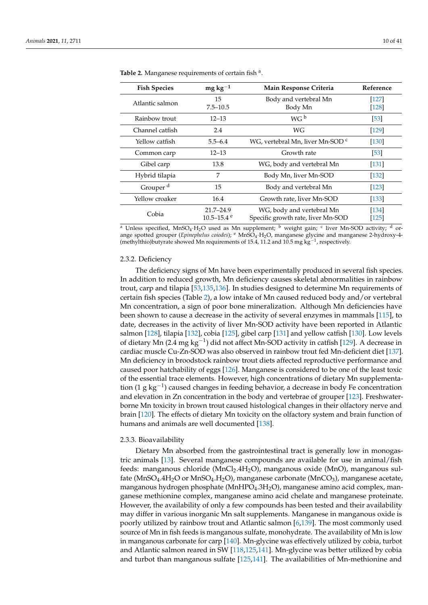| <b>Fish Species</b>  | $mg\,kg^{-1}$              | Main Response Criteria                      | Reference |
|----------------------|----------------------------|---------------------------------------------|-----------|
| Atlantic salmon      | 15                         | Body and vertebral Mn                       | $[127]$   |
|                      | $7.5 - 10.5$               | Body Mn                                     | $[128]$   |
| Rainbow trout        | $12 - 13$                  | WG <sup>b</sup>                             | [53]      |
| Channel catfish      | 2.4                        | WG                                          | $[129]$   |
| Yellow catfish       | $5.5 - 6.4$                | WG, vertebral Mn, liver Mn-SOD <sup>c</sup> | $[130]$   |
| Common carp          | $12 - 13$                  | Growth rate                                 | [53]      |
| Gibel carp           | 13.8                       | WG, body and vertebral Mn                   | $[131]$   |
| Hybrid tilapia       | 7                          | Body Mn, liver Mn-SOD                       | $[132]$   |
| Grouper <sup>d</sup> | 15                         | Body and vertebral Mn                       | [123]     |
| Yellow croaker       | 16.4                       | Growth rate, liver Mn-SOD                   | $[133]$   |
|                      | $21.7 - 24.9$              | WG, body and vertebral Mn                   | $[134]$   |
| Cobia                | $10.5 - 15.4$ <sup>e</sup> | Specific growth rate, liver Mn-SOD          | $[125]$   |

<span id="page-9-0"></span>Table 2. Manganese requirements of certain fish <sup>a</sup>.

<sup>a</sup> Unless specified, MnSO<sub>4</sub>·H<sub>2</sub>O used as Mn supplement; <sup>b</sup> weight gain; <sup>c</sup> liver Mn-SOD activity; <sup>d</sup> orange spotted grouper (*Epinephelus coiodes*); <sup>e</sup> MnSO4·H2O, manganese glycine and manganese 2-hydroxy-4- (methylthio)butyrate showed Mn requirements of 15.4, 11.2 and 10.5 mg kg<sup>-1</sup>, respectively.

#### 2.3.2. Deficiency

The deficiency signs of Mn have been experimentally produced in several fish species. In addition to reduced growth, Mn deficiency causes skeletal abnormalities in rainbow trout, carp and tilapia [\[53](#page-27-12)[,135](#page-30-8)[,136\]](#page-30-9). In studies designed to determine Mn requirements of certain fish species (Table [2\)](#page-9-0), a low intake of Mn caused reduced body and/or vertebral Mn concentration, a sign of poor bone mineralization. Although Mn deficiencies have been shown to cause a decrease in the activity of several enzymes in mammals [\[115\]](#page-29-18), to date, decreases in the activity of liver Mn-SOD activity have been reported in Atlantic salmon [\[128\]](#page-30-1), tilapia [\[132\]](#page-30-5), cobia [\[125\]](#page-29-28), gibel carp [\[131\]](#page-30-4) and yellow catfish [\[130\]](#page-30-3). Low levels of dietary Mn (2.4 mg kg<sup>-1</sup>) did not affect Mn-SOD activity in catfish [\[129\]](#page-30-2). A decrease in cardiac muscle Cu-Zn-SOD was also observed in rainbow trout fed Mn-deficient diet [\[137\]](#page-30-10). Mn deficiency in broodstock rainbow trout diets affected reproductive performance and caused poor hatchability of eggs [\[126\]](#page-29-29). Manganese is considered to be one of the least toxic of the essential trace elements. However, high concentrations of dietary Mn supplementation (1 g kg−<sup>1</sup> ) caused changes in feeding behavior, a decrease in body Fe concentration and elevation in Zn concentration in the body and vertebrae of grouper [\[123\]](#page-29-26). Freshwaterborne Mn toxicity in brown trout caused histological changes in their olfactory nerve and brain [\[120\]](#page-29-23). The effects of dietary Mn toxicity on the olfactory system and brain function of humans and animals are well documented [\[138\]](#page-30-11).

#### 2.3.3. Bioavailability

Dietary Mn absorbed from the gastrointestinal tract is generally low in monogastric animals [\[13\]](#page-26-0). Several manganese compounds are available for use in animal/fish feeds: manganous chloride (MnCl<sub>2</sub>.4H<sub>2</sub>O), manganous oxide (MnO), manganous sulfate (MnSO<sub>4</sub>.4H<sub>2</sub>O or MnSO<sub>4</sub>.H<sub>2</sub>O), manganese carbonate (MnCO<sub>3</sub>), manganese acetate, manganous hydrogen phosphate (MnHPO4.3H2O), manganese amino acid complex, manganese methionine complex, manganese amino acid chelate and manganese proteinate. However, the availability of only a few compounds has been tested and their availability may differ in various inorganic Mn salt supplements. Manganese in manganous oxide is poorly utilized by rainbow trout and Atlantic salmon [\[6,](#page-25-5)[139\]](#page-30-12). The most commonly used source of Mn in fish feeds is manganous sulfate, monohydrate. The availability of Mn is low in manganous carbonate for carp [\[140\]](#page-30-13). Mn-glycine was effectively utilized by cobia, turbot and Atlantic salmon reared in SW [\[118](#page-29-21)[,125](#page-29-28)[,141\]](#page-30-14). Mn-glycine was better utilized by cobia and turbot than manganous sulfate [\[125](#page-29-28)[,141\]](#page-30-14). The availabilities of Mn-methionine and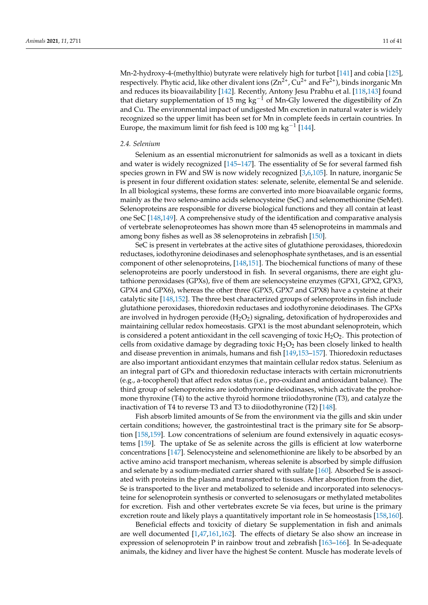Mn-2-hydroxy-4-(methylthio) butyrate were relatively high for turbot [\[141\]](#page-30-14) and cobia [\[125\]](#page-29-28), respectively. Phytic acid, like other divalent ions  $(Zn^{2+}$ , Cu<sup>2+</sup> and Fe<sup>2+</sup>), binds inorganic Mn and reduces its bioavailability [\[142\]](#page-30-15). Recently, Antony Jesu Prabhu et al. [\[118](#page-29-21)[,143\]](#page-30-16) found that dietary supplementation of 15 mg kg<sup>-1</sup> of Mn-Gly lowered the digestibility of Zn and Cu. The environmental impact of undigested Mn excretion in natural water is widely recognized so the upper limit has been set for Mn in complete feeds in certain countries. In Europe, the maximum limit for fish feed is 100 mg kg<sup>-1</sup> [\[144\]](#page-30-17).

# *2.4. Selenium*

Selenium as an essential micronutrient for salmonids as well as a toxicant in diets and water is widely recognized [\[145](#page-30-18)[–147\]](#page-30-19). The essentiality of Se for several farmed fish species grown in FW and SW is now widely recognized [\[3,](#page-25-2)[6,](#page-25-5)[105\]](#page-29-8). In nature, inorganic Se is present in four different oxidation states: selenate, selenite, elemental Se and selenide. In all biological systems, these forms are converted into more bioavailable organic forms, mainly as the two seleno-amino acids selenocysteine (SeC) and selenomethionine (SeMet). Selenoproteins are responsible for diverse biological functions and they all contain at least one SeC [\[148,](#page-30-20)[149\]](#page-30-21). A comprehensive study of the identification and comparative analysis of vertebrate selenoproteomes has shown more than 45 selenoproteins in mammals and among bony fishes as well as 38 selenoproteins in zebrafish [\[150\]](#page-30-22).

SeC is present in vertebrates at the active sites of glutathione peroxidases, thioredoxin reductases, iodothyronine deiodinases and selenophosphate synthetases, and is an essential component of other selenoproteins, [\[148](#page-30-20)[,151\]](#page-30-23). The biochemical functions of many of these selenoproteins are poorly understood in fish. In several organisms, there are eight glutathione peroxidases (GPXs), five of them are selenocysteine enzymes (GPX1, GPX2, GPX3, GPX4 and GPX6), whereas the other three (GPX5, GPX7 and GPX8) have a cysteine at their catalytic site [\[148](#page-30-20)[,152\]](#page-30-24). The three best characterized groups of selenoproteins in fish include glutathione peroxidases, thioredoxin reductases and iodothyronine deiodinases. The GPXs are involved in hydrogen peroxide  $(H_2O_2)$  signaling, detoxification of hydroperoxides and maintaining cellular redox homeostasis. GPX1 is the most abundant selenoprotein, which is considered a potent antioxidant in the cell scavenging of toxic  $H_2O_2$ . This protection of cells from oxidative damage by degrading toxic  $H_2O_2$  has been closely linked to health and disease prevention in animals, humans and fish [\[149,](#page-30-21)[153](#page-30-25)[–157\]](#page-31-0). Thioredoxin reductases are also important antioxidant enzymes that maintain cellular redox status. Selenium as an integral part of GPx and thioredoxin reductase interacts with certain micronutrients (e.g., a-tocopherol) that affect redox status (i.e., pro-oxidant and antioxidant balance). The third group of selenoproteins are iodothyronine deiodinases, which activate the prohormone thyroxine (T4) to the active thyroid hormone triiodothyronine (T3), and catalyze the inactivation of T4 to reverse T3 and T3 to diiodothyronine (T2) [\[148\]](#page-30-20).

Fish absorb limited amounts of Se from the environment via the gills and skin under certain conditions; however, the gastrointestinal tract is the primary site for Se absorption [\[158,](#page-31-1)[159\]](#page-31-2). Low concentrations of selenium are found extensively in aquatic ecosystems [\[159\]](#page-31-2). The uptake of Se as selenite across the gills is efficient at low waterborne concentrations [\[147\]](#page-30-19). Selenocysteine and selenomethionine are likely to be absorbed by an active amino acid transport mechanism, whereas selenite is absorbed by simple diffusion and selenate by a sodium-mediated carrier shared with sulfate [\[160\]](#page-31-3). Absorbed Se is associated with proteins in the plasma and transported to tissues. After absorption from the diet, Se is transported to the liver and metabolized to selenide and incorporated into selenocysteine for selenoprotein synthesis or converted to selenosugars or methylated metabolites for excretion. Fish and other vertebrates excrete Se via feces, but urine is the primary excretion route and likely plays a quantitatively important role in Se homeostasis [\[158](#page-31-1)[,160\]](#page-31-3).

Beneficial effects and toxicity of dietary Se supplementation in fish and animals are well documented [\[1,](#page-25-0)[47,](#page-27-6)[161,](#page-31-4)[162\]](#page-31-5). The effects of dietary Se also show an increase in expression of selenoprotein P in rainbow trout and zebrafish [\[163](#page-31-6)[–166\]](#page-31-7). In Se-adequate animals, the kidney and liver have the highest Se content. Muscle has moderate levels of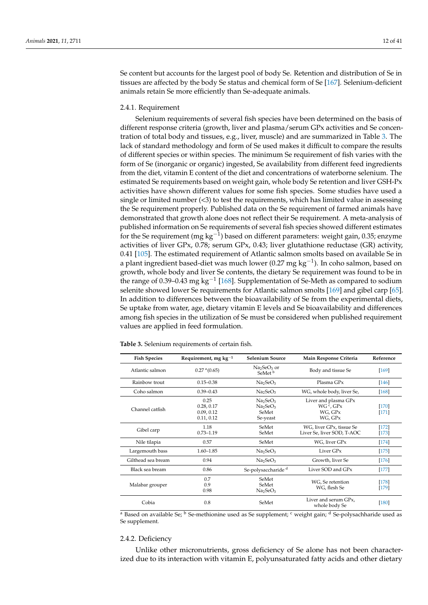Se content but accounts for the largest pool of body Se. Retention and distribution of Se in tissues are affected by the body Se status and chemical form of Se [\[167\]](#page-31-8). Selenium-deficient animals retain Se more efficiently than Se-adequate animals.

#### 2.4.1. Requirement

Selenium requirements of several fish species have been determined on the basis of different response criteria (growth, liver and plasma/serum GPx activities and Se concentration of total body and tissues, e.g., liver, muscle) and are summarized in Table [3.](#page-11-0) The lack of standard methodology and form of Se used makes it difficult to compare the results of different species or within species. The minimum Se requirement of fish varies with the form of Se (inorganic or organic) ingested, Se availability from different feed ingredients from the diet, vitamin E content of the diet and concentrations of waterborne selenium. The estimated Se requirements based on weight gain, whole body Se retention and liver GSH-Px activities have shown different values for some fish species. Some studies have used a single or limited number (<3) to test the requirements, which has limited value in assessing the Se requirement properly. Published data on the Se requirement of farmed animals have demonstrated that growth alone does not reflect their Se requirement. A meta-analysis of published information on Se requirements of several fish species showed different estimates for the Se requirement (mg kg<sup>-1</sup>) based on different parameters: weight gain, 0.35; enzyme activities of liver GPx, 0.78; serum GPx, 0.43; liver glutathione reductase (GR) activity, 0.41 [\[105\]](#page-29-8). The estimated requirement of Atlantic salmon smolts based on available Se in a plant ingredient based-diet was much lower (0.27 mg kg<sup>-1</sup>). In coho salmon, based on growth, whole body and liver Se contents, the dietary Se requirement was found to be in the range of 0.39–0.43 mg kg<sup>-1</sup> [\[168\]](#page-31-9). Supplementation of Se-Meth as compared to sodium selenite showed lower Se requirements for Atlantic salmon smolts [\[169\]](#page-31-10) and gibel carp [\[65\]](#page-27-24). In addition to differences between the bioavailability of Se from the experimental diets, Se uptake from water, age, dietary vitamin E levels and Se bioavailability and differences among fish species in the utilization of Se must be considered when published requirement values are applied in feed formulation.

| <b>Fish Species</b> | Requirement, mg $kg-1$                         | <b>Selenium Source</b>                                                                    | Main Response Criteria                                              | Reference          |
|---------------------|------------------------------------------------|-------------------------------------------------------------------------------------------|---------------------------------------------------------------------|--------------------|
| Atlantic salmon     | 0.27 <sup>a</sup> (0.65)                       | Na <sub>2</sub> SeO <sub>3</sub> or<br>SeMet <sup>b</sup>                                 | Body and tissue Se                                                  | $[169]$            |
| Rainbow trout       | $0.15 - 0.38$                                  | Na <sub>2</sub> SeO <sub>3</sub>                                                          | Plasma GPx                                                          | [146]              |
| Coho salmon         | $0.39 - 0.43$                                  | Na <sub>2</sub> SeO <sub>3</sub>                                                          | WG, whole body, liver Se,                                           | [168]              |
| Channel catfish     | 0.25<br>0.28, 0.17<br>0.09, 0.12<br>0.11, 0.12 | Na <sub>2</sub> SeO <sub>3</sub><br>Na <sub>2</sub> SeO <sub>3</sub><br>SeMet<br>Se-yeast | Liver and plasma GPx<br>WG <sup>c</sup> , GPx<br>WG, GPx<br>WG, GPx | $[170]$<br>$[171]$ |
| Gibel carp          | 1.18<br>$0.73 - 1.19$                          | SeMet<br>SeMet                                                                            | WG, liver GPx, tissue Se<br>Liver Se, liver SOD, T-AOC              | $[172]$<br>$[173]$ |
| Nile tilapia        | 0.57                                           | SeMet                                                                                     | WG, liver GPx                                                       | $[174]$            |
| Largemouth bass     | $1.60 - 1.85$                                  | Na <sub>2</sub> SeO <sub>3</sub>                                                          | Liver GP <sub>x</sub>                                               | $[175]$            |
| Gilthead sea bream  | 0.94                                           | Na <sub>2</sub> SeO <sub>3</sub>                                                          | Growth, liver Se                                                    | $[176]$            |
| Black sea bream     | 0.86                                           | Se-polysaccharide <sup>d</sup>                                                            | Liver SOD and GPx                                                   | $[177]$            |
| Malabar grouper     | 0.7<br>0.9<br>0.98                             | SeMet<br>WG, Se retention<br>SeMet<br>WG, flesh Se<br>Na <sub>2</sub> SeO <sub>3</sub>    |                                                                     | $[178]$<br>$[179]$ |
| Cobia               | 0.8                                            | SeMet                                                                                     | Liver and serum GPx,<br>whole body Se                               | $[180]$            |

<span id="page-11-0"></span>**Table 3.** Selenium requirements of certain fish.

 $a$  Based on available Se;  $b$  Se-methionine used as Se supplement;  $c$  weight gain;  $d$  Se-polysachharide used as Se supplement.

# 2.4.2. Deficiency

Unlike other micronutrients, gross deficiency of Se alone has not been characterized due to its interaction with vitamin E, polyunsaturated fatty acids and other dietary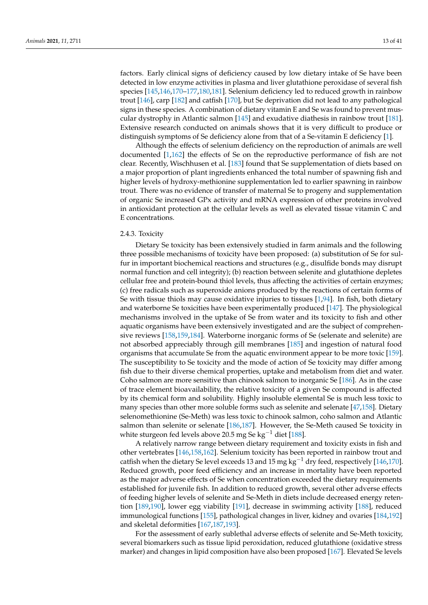factors. Early clinical signs of deficiency caused by low dietary intake of Se have been detected in low enzyme activities in plasma and liver glutathione peroxidase of several fish species [\[145,](#page-30-18)[146,](#page-30-26)[170–](#page-31-11)[177,](#page-31-18)[180](#page-31-21)[,181\]](#page-31-22). Selenium deficiency led to reduced growth in rainbow trout [\[146\]](#page-30-26), carp [\[182\]](#page-31-23) and catfish [\[170\]](#page-31-11), but Se deprivation did not lead to any pathological signs in these species. A combination of dietary vitamin E and Se was found to prevent muscular dystrophy in Atlantic salmon [\[145\]](#page-30-18) and exudative diathesis in rainbow trout [\[181\]](#page-31-22). Extensive research conducted on animals shows that it is very difficult to produce or distinguish symptoms of Se deficiency alone from that of a Se-vitamin E deficiency [\[1\]](#page-25-0).

Although the effects of selenium deficiency on the reproduction of animals are well documented [\[1,](#page-25-0)[162\]](#page-31-5) the effects of Se on the reproductive performance of fish are not clear. Recently, Wischhusen et al. [\[183\]](#page-32-0) found that Se supplementation of diets based on a major proportion of plant ingredients enhanced the total number of spawning fish and higher levels of hydroxy-methionine supplementation led to earlier spawning in rainbow trout. There was no evidence of transfer of maternal Se to progeny and supplementation of organic Se increased GPx activity and mRNA expression of other proteins involved in antioxidant protection at the cellular levels as well as elevated tissue vitamin C and E concentrations.

# 2.4.3. Toxicity

Dietary Se toxicity has been extensively studied in farm animals and the following three possible mechanisms of toxicity have been proposed: (a) substitution of Se for sulfur in important biochemical reactions and structures (e.g., disulfide bonds may disrupt normal function and cell integrity); (b) reaction between selenite and glutathione depletes cellular free and protein-bound thiol levels, thus affecting the activities of certain enzymes; (c) free radicals such as superoxide anions produced by the reactions of certain forms of Se with tissue thiols may cause oxidative injuries to tissues  $[1,94]$  $[1,94]$ . In fish, both dietary and waterborne Se toxicities have been experimentally produced [\[147\]](#page-30-19). The physiological mechanisms involved in the uptake of Se from water and its toxicity to fish and other aquatic organisms have been extensively investigated and are the subject of comprehensive reviews [\[158,](#page-31-1)[159,](#page-31-2)[184\]](#page-32-1). Waterborne inorganic forms of Se (selenate and selenite) are not absorbed appreciably through gill membranes [\[185\]](#page-32-2) and ingestion of natural food organisms that accumulate Se from the aquatic environment appear to be more toxic [\[159\]](#page-31-2). The susceptibility to Se toxicity and the mode of action of Se toxicity may differ among fish due to their diverse chemical properties, uptake and metabolism from diet and water. Coho salmon are more sensitive than chinook salmon to inorganic Se [\[186\]](#page-32-3). As in the case of trace element bioavailability, the relative toxicity of a given Se compound is affected by its chemical form and solubility. Highly insoluble elemental Se is much less toxic to many species than other more soluble forms such as selenite and selenate [\[47](#page-27-6)[,158\]](#page-31-1). Dietary selenomethionine (Se-Meth) was less toxic to chinook salmon, coho salmon and Atlantic salmon than selenite or selenate [\[186,](#page-32-3)[187\]](#page-32-4). However, the Se-Meth caused Se toxicity in white sturgeon fed levels above 20.5 mg Se kg<sup>-1</sup> diet [\[188\]](#page-32-5).

A relatively narrow range between dietary requirement and toxicity exists in fish and other vertebrates [\[146](#page-30-26)[,158](#page-31-1)[,162\]](#page-31-5). Selenium toxicity has been reported in rainbow trout and catfish when the dietary Se level exceeds 13 and 15 mg kg<sup>-1</sup> dry feed, respectively [\[146](#page-30-26)[,170\]](#page-31-11). Reduced growth, poor feed efficiency and an increase in mortality have been reported as the major adverse effects of Se when concentration exceeded the dietary requirements established for juvenile fish. In addition to reduced growth, several other adverse effects of feeding higher levels of selenite and Se-Meth in diets include decreased energy retention [\[189](#page-32-6)[,190\]](#page-32-7), lower egg viability [\[191\]](#page-32-8), decrease in swimming activity [\[188\]](#page-32-5), reduced immunological functions [\[155\]](#page-30-27), pathological changes in liver, kidney and ovaries [\[184,](#page-32-1)[192\]](#page-32-9) and skeletal deformities [\[167,](#page-31-8)[187,](#page-32-4)[193\]](#page-32-10).

For the assessment of early sublethal adverse effects of selenite and Se-Meth toxicity, several biomarkers such as tissue lipid peroxidation, reduced glutathione (oxidative stress marker) and changes in lipid composition have also been proposed [\[167\]](#page-31-8). Elevated Se levels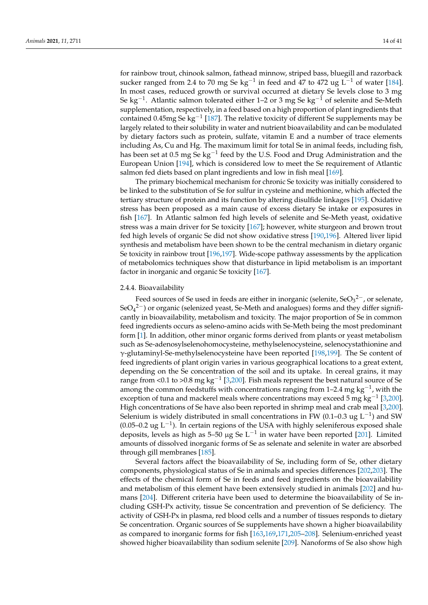for rainbow trout, chinook salmon, fathead minnow, striped bass, bluegill and razorback sucker ranged from 2.4 to 70 mg Se  $\text{kg}^{-1}$  in feed and 47 to 472 ug L<sup>-1</sup> of water [\[184\]](#page-32-1). In most cases, reduced growth or survival occurred at dietary Se levels close to 3 mg Se kg<sup>-1</sup>. Atlantic salmon tolerated either 1–2 or 3 mg Se kg<sup>-1</sup> of selenite and Se-Meth supplementation, respectively, in a feed based on a high proportion of plant ingredients that contained 0.45mg Se kg<sup>-1</sup> [\[187\]](#page-32-4). The relative toxicity of different Se supplements may be largely related to their solubility in water and nutrient bioavailability and can be modulated by dietary factors such as protein, sulfate, vitamin E and a number of trace elements including As, Cu and Hg. The maximum limit for total Se in animal feeds, including fish, has been set at 0.5 mg Se  $\text{kg}^{-1}$  feed by the U.S. Food and Drug Administration and the European Union [\[194\]](#page-32-11), which is considered low to meet the Se requirement of Atlantic salmon fed diets based on plant ingredients and low in fish meal [\[169\]](#page-31-10).

The primary biochemical mechanism for chronic Se toxicity was initially considered to be linked to the substitution of Se for sulfur in cysteine and methionine, which affected the tertiary structure of protein and its function by altering disulfide linkages [\[195\]](#page-32-12). Oxidative stress has been proposed as a main cause of excess dietary Se intake or exposures in fish [\[167\]](#page-31-8). In Atlantic salmon fed high levels of selenite and Se-Meth yeast, oxidative stress was a main driver for Se toxicity [\[167\]](#page-31-8); however, white sturgeon and brown trout fed high levels of organic Se did not show oxidative stress [\[190,](#page-32-7)[196\]](#page-32-13). Altered liver lipid synthesis and metabolism have been shown to be the central mechanism in dietary organic Se toxicity in rainbow trout [\[196,](#page-32-13)[197\]](#page-32-14). Wide-scope pathway assessments by the application of metabolomics techniques show that disturbance in lipid metabolism is an important factor in inorganic and organic Se toxicity [\[167\]](#page-31-8).

# 2.4.4. Bioavailability

Feed sources of Se used in feeds are either in inorganic (selenite,  $\text{SeO}_3{}^{2-}$ , or selenate, SeO<sub>4</sub><sup>2-</sup>) or organic (selenized yeast, Se-Meth and analogues) forms and they differ significantly in bioavailability, metabolism and toxicity. The major proportion of Se in common feed ingredients occurs as seleno-amino acids with Se-Meth being the most predominant form [\[1\]](#page-25-0). In addition, other minor organic forms derived from plants or yeast metabolism such as Se-adenosylselenohomocysteine, methylselenocysteine, selenocystathionine and γ-glutaminyl-Se-methylselenocysteine have been reported [\[198,](#page-32-15)[199\]](#page-32-16). The Se content of feed ingredients of plant origin varies in various geographical locations to a great extent, depending on the Se concentration of the soil and its uptake. In cereal grains, it may range from <0.1 to >0.8 mg kg<sup>-1</sup> [\[3,](#page-25-2)[200\]](#page-32-17). Fish meals represent the best natural source of Se among the common feedstuffs with concentrations ranging from 1–2.4 mg kg<sup>-1</sup>, with the exception of tuna and mackerel meals where concentrations may exceed 5 mg  $kg^{-1}$  [\[3](#page-25-2)[,200\]](#page-32-17). High concentrations of Se have also been reported in shrimp meal and crab meal [\[3,](#page-25-2)[200\]](#page-32-17). Selenium is widely distributed in small concentrations in FW (0.1–0.3 ug L<sup>-1</sup>) and SW (0.05–0.2 ug L−<sup>1</sup> ). In certain regions of the USA with highly seleniferous exposed shale deposits, levels as high as 5–50 µg Se L<sup>-1</sup> in water have been reported [\[201\]](#page-32-18). Limited amounts of dissolved inorganic forms of Se as selenate and selenite in water are absorbed through gill membranes [\[185\]](#page-32-2).

Several factors affect the bioavailability of Se, including form of Se, other dietary components, physiological status of Se in animals and species differences [\[202](#page-32-19)[,203\]](#page-32-20). The effects of the chemical form of Se in feeds and feed ingredients on the bioavailability and metabolism of this element have been extensively studied in animals [\[202\]](#page-32-19) and humans [\[204\]](#page-32-21). Different criteria have been used to determine the bioavailability of Se including GSH-Px activity, tissue Se concentration and prevention of Se deficiency. The activity of GSH-Px in plasma, red blood cells and a number of tissues responds to dietary Se concentration. Organic sources of Se supplements have shown a higher bioavailability as compared to inorganic forms for fish [\[163](#page-31-6)[,169](#page-31-10)[,171](#page-31-12)[,205–](#page-32-22)[208\]](#page-32-23). Selenium-enriched yeast showed higher bioavailability than sodium selenite [\[209\]](#page-32-24). Nanoforms of Se also show high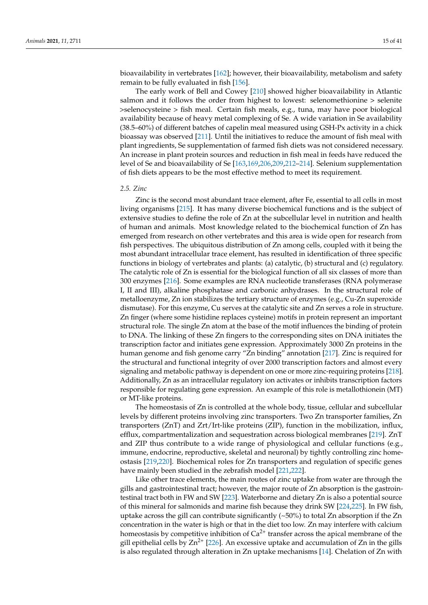bioavailability in vertebrates [\[162\]](#page-31-5); however, their bioavailability, metabolism and safety remain to be fully evaluated in fish [\[156\]](#page-31-24).

The early work of Bell and Cowey [\[210\]](#page-32-25) showed higher bioavailability in Atlantic salmon and it follows the order from highest to lowest: selenomethionine > selenite >selenocysteine > fish meal. Certain fish meals, e.g., tuna, may have poor biological availability because of heavy metal complexing of Se. A wide variation in Se availability (38.5–60%) of different batches of capelin meal measured using GSH-Px activity in a chick bioassay was observed [\[211\]](#page-33-0). Until the initiatives to reduce the amount of fish meal with plant ingredients, Se supplementation of farmed fish diets was not considered necessary. An increase in plant protein sources and reduction in fish meal in feeds have reduced the level of Se and bioavailability of Se [\[163](#page-31-6)[,169](#page-31-10)[,206](#page-32-26)[,209,](#page-32-24)[212–](#page-33-1)[214\]](#page-33-2). Selenium supplementation of fish diets appears to be the most effective method to meet its requirement.

# *2.5. Zinc*

Zinc is the second most abundant trace element, after Fe, essential to all cells in most living organisms [\[215\]](#page-33-3). It has many diverse biochemical functions and is the subject of extensive studies to define the role of Zn at the subcellular level in nutrition and health of human and animals. Most knowledge related to the biochemical function of Zn has emerged from research on other vertebrates and this area is wide open for research from fish perspectives. The ubiquitous distribution of Zn among cells, coupled with it being the most abundant intracellular trace element, has resulted in identification of three specific functions in biology of vertebrates and plants: (a) catalytic, (b) structural and (c) regulatory. The catalytic role of Zn is essential for the biological function of all six classes of more than 300 enzymes [\[216\]](#page-33-4). Some examples are RNA nucleotide transferases (RNA polymerase I, II and III), alkaline phosphatase and carbonic anhydrases. In the structural role of metalloenzyme, Zn ion stabilizes the tertiary structure of enzymes (e.g., Cu-Zn superoxide dismutase). For this enzyme, Cu serves at the catalytic site and Zn serves a role in structure. Zn finger (where some histidine replaces cysteine) motifs in protein represent an important structural role. The single Zn atom at the base of the motif influences the binding of protein to DNA. The linking of these Zn fingers to the corresponding sites on DNA initiates the transcription factor and initiates gene expression. Approximately 3000 Zn proteins in the human genome and fish genome carry "Zn binding" annotation [\[217\]](#page-33-5). Zinc is required for the structural and functional integrity of over 2000 transcription factors and almost every signaling and metabolic pathway is dependent on one or more zinc-requiring proteins [\[218\]](#page-33-6). Additionally, Zn as an intracellular regulatory ion activates or inhibits transcription factors responsible for regulating gene expression. An example of this role is metallothionein (MT) or MT-like proteins.

The homeostasis of Zn is controlled at the whole body, tissue, cellular and subcellular levels by different proteins involving zinc transporters. Two Zn transporter families, Zn transporters (ZnT) and Zrt/Irt-like proteins (ZIP), function in the mobilization, influx, efflux, compartmentalization and sequestration across biological membranes [\[219\]](#page-33-7). ZnT and ZIP thus contribute to a wide range of physiological and cellular functions (e.g., immune, endocrine, reproductive, skeletal and neuronal) by tightly controlling zinc homeostasis [\[219](#page-33-7)[,220\]](#page-33-8). Biochemical roles for Zn transporters and regulation of specific genes have mainly been studied in the zebrafish model [\[221](#page-33-9)[,222\]](#page-33-10).

Like other trace elements, the main routes of zinc uptake from water are through the gills and gastrointestinal tract; however, the major route of Zn absorption is the gastrointestinal tract both in FW and SW [\[223\]](#page-33-11). Waterborne and dietary Zn is also a potential source of this mineral for salmonids and marine fish because they drink SW [\[224,](#page-33-12)[225\]](#page-33-13). In FW fish, uptake across the gill can contribute significantly  $({}_{2}50\%)$  to total Zn absorption if the Zn concentration in the water is high or that in the diet too low. Zn may interfere with calcium homeostasis by competitive inhibition of  $Ca^{2+}$  transfer across the apical membrane of the gill epithelial cells by  $Zn^{2+}$  [\[226\]](#page-33-14). An excessive uptake and accumulation of  $Zn$  in the gills is also regulated through alteration in Zn uptake mechanisms [\[14\]](#page-26-1). Chelation of Zn with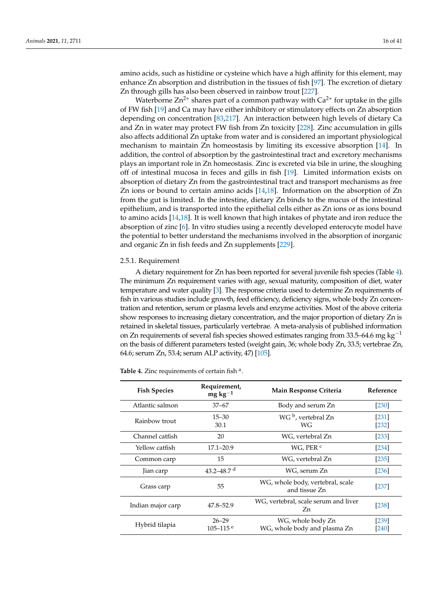amino acids, such as histidine or cysteine which have a high affinity for this element, may enhance Zn absorption and distribution in the tissues of fish [\[97\]](#page-29-0). The excretion of dietary Zn through gills has also been observed in rainbow trout [\[227\]](#page-33-15).

Waterborne  $Zn^{2+}$  shares part of a common pathway with  $Ca^{2+}$  for uptake in the gills of FW fish [\[19\]](#page-26-5) and Ca may have either inhibitory or stimulatory effects on Zn absorption depending on concentration [\[83,](#page-28-20)[217\]](#page-33-5). An interaction between high levels of dietary Ca and Zn in water may protect FW fish from Zn toxicity [\[228\]](#page-33-16). Zinc accumulation in gills also affects additional Zn uptake from water and is considered an important physiological mechanism to maintain Zn homeostasis by limiting its excessive absorption [\[14\]](#page-26-1). In addition, the control of absorption by the gastrointestinal tract and excretory mechanisms plays an important role in Zn homeostasis. Zinc is excreted via bile in urine, the sloughing off of intestinal mucosa in feces and gills in fish [\[19\]](#page-26-5). Limited information exists on absorption of dietary Zn from the gastrointestinal tract and transport mechanisms as free Zn ions or bound to certain amino acids [\[14](#page-26-1)[,18\]](#page-26-4). Information on the absorption of Zn from the gut is limited. In the intestine, dietary Zn binds to the mucus of the intestinal epithelium, and is transported into the epithelial cells either as Zn ions or as ions bound to amino acids [\[14](#page-26-1)[,18\]](#page-26-4). It is well known that high intakes of phytate and iron reduce the absorption of zinc [\[6\]](#page-25-5). In vitro studies using a recently developed enterocyte model have the potential to better understand the mechanisms involved in the absorption of inorganic and organic Zn in fish feeds and Zn supplements [\[229\]](#page-33-17).

# 2.5.1. Requirement

A dietary requirement for Zn has been reported for several juvenile fish species (Table [4\)](#page-16-0). The minimum Zn requirement varies with age, sexual maturity, composition of diet, water temperature and water quality [\[3\]](#page-25-2). The response criteria used to determine Zn requirements of fish in various studies include growth, feed efficiency, deficiency signs, whole body Zn concentration and retention, serum or plasma levels and enzyme activities. Most of the above criteria show responses to increasing dietary concentration, and the major proportion of dietary Zn is retained in skeletal tissues, particularly vertebrae. A meta-analysis of published information on Zn requirements of several fish species showed estimates ranging from 33.5–64.6 mg kg<sup>-1</sup> on the basis of different parameters tested (weight gain, 36; whole body Zn, 33.5; vertebrae Zn, 64.6; serum Zn, 53.4; serum ALP activity, 47) [\[105\]](#page-29-8).

Table 4. Zinc requirements of certain fish a.

| <b>Fish Species</b> | Requirement,<br>$mg\,kg^{-1}$         | Main Response Criteria                            | Reference          |
|---------------------|---------------------------------------|---------------------------------------------------|--------------------|
| Atlantic salmon     | $37 - 67$                             | Body and serum Zn                                 | [230]              |
| Rainbow trout       | $15 - 30$<br>30.1                     | WG <sup>b</sup> , vertebral Zn<br>WG              | $[231]$<br>$[232]$ |
| Channel catfish     | 20                                    | WG, vertebral Zn                                  | [233]              |
| Yellow catfish      | $17.1 - 20.9$                         | WG, PER <sup>c</sup>                              | $[234]$            |
| Common carp         | 15                                    | WG, vertebral Zn                                  | $[235]$            |
| Jian carp           | 43.2–48.7 $d$                         | WG, serum Zn                                      | $[236]$            |
| Grass carp          | 55                                    | WG, whole body, vertebral, scale<br>and tissue Zn | $[237]$            |
| Indian major carp   | 47.8–52.9                             | WG, vertebral, scale serum and liver<br>Zn        | $[238]$            |
| Hybrid tilapia      | $26 - 29$<br>$105 - 115$ <sup>e</sup> | WG, whole body Zn<br>WG, whole body and plasma Zn | [239]<br>[240]     |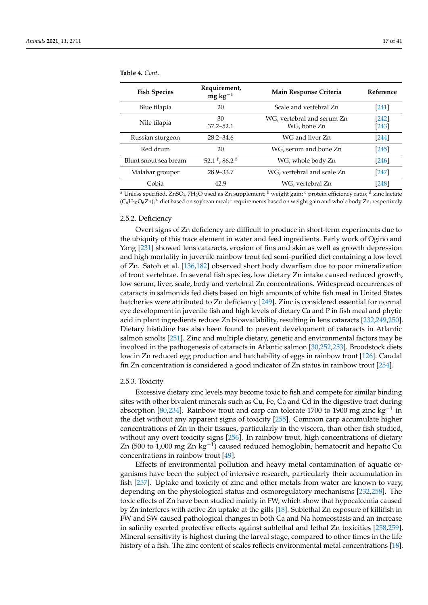| <b>Fish Species</b>   | Requirement,<br>$mg\,kg^{-1}$     | Main Response Criteria                    | Reference        |
|-----------------------|-----------------------------------|-------------------------------------------|------------------|
| Blue tilapia          | 20                                | Scale and vertebral Zn                    | [241]            |
| Nile tilapia          | 30<br>$37.2 - 52.1$               | WG, vertebral and serum Zn<br>WG, bone Zn | [242]<br>$[243]$ |
| Russian sturgeon      | $28.2 - 34.6$                     | WG and liver Zn                           | $[244]$          |
| Red drum              | 20                                | WG, serum and bone Zn                     | [245]            |
| Blunt snout sea bream | 52.1 $^{\rm f}$ , 86.2 $^{\rm f}$ | WG, whole body Zn                         | [246]            |
| Malabar grouper       | 28.9–33.7                         | WG, vertebral and scale Zn                | [247]            |
| Cobia                 | 42.9                              | WG, vertebral Zn                          | [248]            |

<span id="page-16-0"></span>**Table 4.** *Cont*.

 $\frac{a}{a}$  Unless specified, ZnSO<sub>4</sub>·7H<sub>2</sub>O used as Zn supplement:  $\frac{b}{b}$  weight gain;  $\frac{c}{c}$  protein efficiency ratio;  $\frac{d}{c}$  zinc lactate  $(C_6H_{10}O_6Zn)$ ; <sup>e</sup> diet based on soybean meal; <sup>f</sup> requirements based on weight gain and whole body Zn, respectively.

#### 2.5.2. Deficiency

Overt signs of Zn deficiency are difficult to produce in short-term experiments due to the ubiquity of this trace element in water and feed ingredients. Early work of Ogino and Yang [\[231\]](#page-33-19) showed lens cataracts, erosion of fins and skin as well as growth depression and high mortality in juvenile rainbow trout fed semi-purified diet containing a low level of Zn. Satoh et al. [\[136,](#page-30-9)[182\]](#page-31-23) observed short body dwarfism due to poor mineralization of trout vertebrae. In several fish species, low dietary Zn intake caused reduced growth, low serum, liver, scale, body and vertebral Zn concentrations. Widespread occurrences of cataracts in salmonids fed diets based on high amounts of white fish meal in United States hatcheries were attributed to Zn deficiency [\[249\]](#page-34-9). Zinc is considered essential for normal eye development in juvenile fish and high levels of dietary Ca and P in fish meal and phytic acid in plant ingredients reduce Zn bioavailability, resulting in lens cataracts [\[232](#page-33-20)[,249](#page-34-9)[,250\]](#page-34-10). Dietary histidine has also been found to prevent development of cataracts in Atlantic salmon smolts [\[251\]](#page-34-11). Zinc and multiple dietary, genetic and environmental factors may be involved in the pathogenesis of cataracts in Atlantic salmon [\[30](#page-26-16)[,252](#page-34-12)[,253\]](#page-34-13). Broodstock diets low in Zn reduced egg production and hatchability of eggs in rainbow trout [\[126\]](#page-29-29). Caudal fin Zn concentration is considered a good indicator of Zn status in rainbow trout [\[254\]](#page-34-14).

## 2.5.3. Toxicity

Excessive dietary zinc levels may become toxic to fish and compete for similar binding sites with other bivalent minerals such as Cu, Fe, Ca and Cd in the digestive tract during absorption [\[80,](#page-28-9)[234\]](#page-33-22). Rainbow trout and carp can tolerate 1700 to 1900 mg zinc kg<sup>-1</sup> in the diet without any apparent signs of toxicity [\[255\]](#page-34-15). Common carp accumulate higher concentrations of Zn in their tissues, particularly in the viscera, than other fish studied, without any overt toxicity signs [\[256\]](#page-34-16). In rainbow trout, high concentrations of dietary Zn (500 to 1,000 mg Zn  $kg^{-1}$ ) caused reduced hemoglobin, hematocrit and hepatic Cu concentrations in rainbow trout [\[49\]](#page-27-8).

Effects of environmental pollution and heavy metal contamination of aquatic organisms have been the subject of intensive research, particularly their accumulation in fish [\[257\]](#page-34-17). Uptake and toxicity of zinc and other metals from water are known to vary, depending on the physiological status and osmoregulatory mechanisms [\[232](#page-33-20)[,258\]](#page-34-18). The toxic effects of Zn have been studied mainly in FW, which show that hypocalcemia caused by Zn interferes with active Zn uptake at the gills [\[18\]](#page-26-4). Sublethal Zn exposure of killifish in FW and SW caused pathological changes in both Ca and Na homeostasis and an increase in salinity exerted protective effects against sublethal and lethal Zn toxicities [\[258,](#page-34-18)[259\]](#page-34-19). Mineral sensitivity is highest during the larval stage, compared to other times in the life history of a fish. The zinc content of scales reflects environmental metal concentrations [\[18\]](#page-26-4).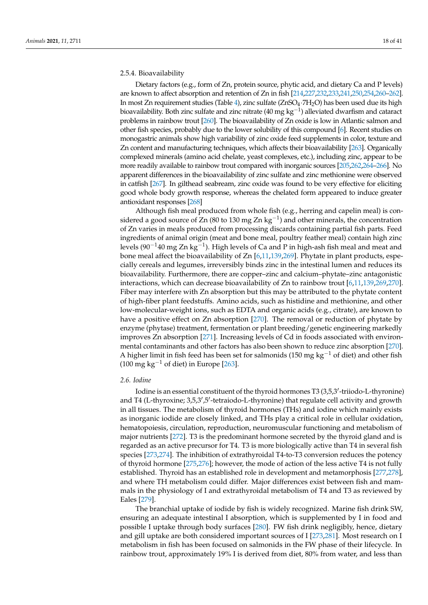## 2.5.4. Bioavailability

Dietary factors (e.g., form of Zn, protein source, phytic acid, and dietary Ca and P levels) are known to affect absorption and retention of Zn in fish [\[214](#page-33-2)[,227](#page-33-15)[,232,](#page-33-20)[233](#page-33-21)[,241,](#page-34-1)[250](#page-34-10)[,254](#page-34-14)[,260](#page-34-20)[–262\]](#page-34-21). In most Zn requirement studies (Table [4\)](#page-16-0), zinc sulfate (ZnSO4·7H2O) has been used due its high bioavailability. Both zinc sulfate and zinc nitrate (40 mg kg $^{-1}$ ) alleviated dwarfism and cataract problems in rainbow trout [\[260\]](#page-34-20). The bioavailability of Zn oxide is low in Atlantic salmon and other fish species, probably due to the lower solubility of this compound [\[6\]](#page-25-5). Recent studies on monogastric animals show high variability of zinc oxide feed supplements in color, texture and Zn content and manufacturing techniques, which affects their bioavailability [\[263\]](#page-34-22). Organically complexed minerals (amino acid chelate, yeast complexes, etc.), including zinc, appear to be more readily available to rainbow trout compared with inorganic sources [\[205,](#page-32-22)[262,](#page-34-21)[264–](#page-34-23)[266\]](#page-34-24). No apparent differences in the bioavailability of zinc sulfate and zinc methionine were observed in catfish [\[267\]](#page-35-0). In gilthead seabream, zinc oxide was found to be very effective for eliciting good whole body growth response, whereas the chelated form appeared to induce greater antioxidant responses [\[268\]](#page-35-1)

Although fish meal produced from whole fish (e.g., herring and capelin meal) is considered a good source of Zn (80 to 130 mg Zn kg<sup>-1</sup>) and other minerals, the concentration of Zn varies in meals produced from processing discards containing partial fish parts. Feed ingredients of animal origin (meat and bone meal, poultry feather meal) contain high zinc levels (90 $^{-1}$ 40 mg Zn kg $^{-1}$ ). High levels of Ca and P in high-ash fish meal and meat and bone meal affect the bioavailability of Zn [\[6,](#page-25-5)[11,](#page-25-10)[139,](#page-30-12)[269\]](#page-35-2). Phytate in plant products, especially cereals and legumes, irreversibly binds zinc in the intestinal lumen and reduces its bioavailability. Furthermore, there are copper–zinc and calcium–phytate–zinc antagonistic interactions, which can decrease bioavailability of Zn to rainbow trout [\[6](#page-25-5)[,11,](#page-25-10)[139,](#page-30-12)[269,](#page-35-2)[270\]](#page-35-3). Fiber may interfere with Zn absorption but this may be attributed to the phytate content of high-fiber plant feedstuffs. Amino acids, such as histidine and methionine, and other low-molecular-weight ions, such as EDTA and organic acids (e.g., citrate), are known to have a positive effect on Zn absorption [\[270\]](#page-35-3). The removal or reduction of phytate by enzyme (phytase) treatment, fermentation or plant breeding/genetic engineering markedly improves Zn absorption [\[271\]](#page-35-4). Increasing levels of Cd in foods associated with environmental contaminants and other factors has also been shown to reduce zinc absorption [\[270\]](#page-35-3). A higher limit in fish feed has been set for salmonids (150 mg kg<sup>-1</sup> of diet) and other fish (100 mg kg<sup>-1</sup> of diet) in Europe [\[263\]](#page-34-22).

# *2.6. Iodine*

Iodine is an essential constituent of the thyroid hormones T3 (3,5,3'-triiodo-L-thyronine) and T4 (L-thyroxine; 3,5,3',5'-tetraiodo-L-thyronine) that regulate cell activity and growth in all tissues. The metabolism of thyroid hormones (THs) and iodine which mainly exists as inorganic iodide are closely linked, and THs play a critical role in cellular oxidation, hematopoiesis, circulation, reproduction, neuromuscular functioning and metabolism of major nutrients [\[272\]](#page-35-5). T3 is the predominant hormone secreted by the thyroid gland and is regarded as an active precursor for T4. T3 is more biologically active than T4 in several fish species [\[273,](#page-35-6)[274\]](#page-35-7). The inhibition of extrathyroidal T4-to-T3 conversion reduces the potency of thyroid hormone [\[275,](#page-35-8)[276\]](#page-35-9); however, the mode of action of the less active T4 is not fully established. Thyroid has an established role in development and metamorphosis [\[277](#page-35-10)[,278\]](#page-35-11), and where TH metabolism could differ. Major differences exist between fish and mammals in the physiology of I and extrathyroidal metabolism of T4 and T3 as reviewed by Eales [\[279\]](#page-35-12).

The branchial uptake of iodide by fish is widely recognized. Marine fish drink SW, ensuring an adequate intestinal I absorption, which is supplemented by I in food and possible I uptake through body surfaces [\[280\]](#page-35-13). FW fish drink negligibly, hence, dietary and gill uptake are both considered important sources of I [\[273](#page-35-6)[,281\]](#page-35-14). Most research on I metabolism in fish has been focused on salmonids in the FW phase of their lifecycle. In rainbow trout, approximately 19% I is derived from diet, 80% from water, and less than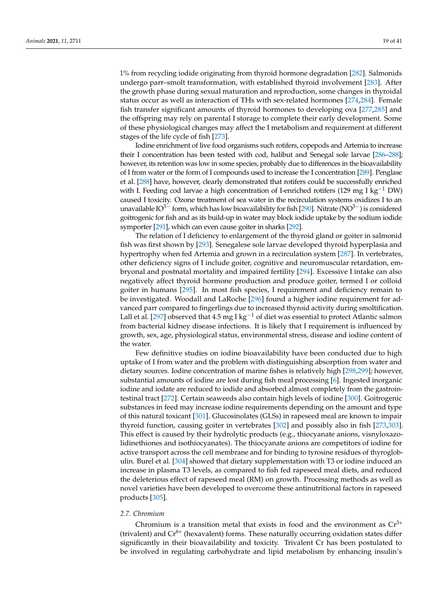1% from recycling iodide originating from thyroid hormone degradation [\[282\]](#page-35-15). Salmonids undergo parr–smolt transformation, with established thyroid involvement [\[283\]](#page-35-16). After the growth phase during sexual maturation and reproduction, some changes in thyroidal status occur as well as interaction of THs with sex-related hormones [\[274](#page-35-7)[,284\]](#page-35-17). Female fish transfer significant amounts of thyroid hormones to developing ova [\[277,](#page-35-10)[285\]](#page-35-18) and the offspring may rely on parental I storage to complete their early development. Some of these physiological changes may affect the I metabolism and requirement at different stages of the life cycle of fish [\[273\]](#page-35-6).

Iodine enrichment of live food organisms such rotifers, copepods and Artemia to increase their I concentration has been tested with cod, halibut and Senegal sole larvae [\[286–](#page-35-19)[288\]](#page-35-20); however, its retention was low in some species, probably due to differences in the bioavailability of I from water or the form of I compounds used to increase the I concentration [\[289\]](#page-35-21). Penglase et al. [\[288\]](#page-35-20) have, however, clearly demonstrated that rotifers could be successfully enriched with I. Feeding cod larvae a high concentration of I-enriched rotifers (129 mg I kg<sup>-1</sup> DW) caused I toxicity. Ozone treatment of sea water in the recirculation systems oxidizes I to an unavailable IO<sup>3−</sup> form, which has low bioavailability for fish [\[290\]](#page-35-22). Nitrate (NO<sup>3−</sup>) is considered goitrogenic for fish and as its build-up in water may block iodide uptake by the sodium iodide symporter [\[291\]](#page-35-23), which can even cause goiter in sharks [\[292\]](#page-35-24).

The relation of I deficiency to enlargement of the thyroid gland or goiter in salmonid fish was first shown by [\[293\]](#page-35-25). Senegalese sole larvae developed thyroid hyperplasia and hypertrophy when fed Artemia and grown in a recirculation system [\[287\]](#page-35-26). In vertebrates, other deficiency signs of I include goiter, cognitive and neuromuscular retardation, embryonal and postnatal mortality and impaired fertility [\[294\]](#page-35-27). Excessive I intake can also negatively affect thyroid hormone production and produce goiter, termed I or colloid goiter in humans [\[295\]](#page-35-28). In most fish species, I requirement and deficiency remain to be investigated. Woodall and LaRoche [\[296\]](#page-36-0) found a higher iodine requirement for advanced parr compared to fingerlings due to increased thyroid activity during smoltification. Lall et al. [\[297\]](#page-36-1) observed that 4.5 mg I kg<sup>-1</sup> of diet was essential to protect Atlantic salmon from bacterial kidney disease infections. It is likely that I requirement is influenced by growth, sex, age, physiological status, environmental stress, disease and iodine content of the water.

Few definitive studies on iodine bioavailability have been conducted due to high uptake of I from water and the problem with distinguishing absorption from water and dietary sources. Iodine concentration of marine fishes is relatively high [\[298,](#page-36-2)[299\]](#page-36-3); however, substantial amounts of iodine are lost during fish meal processing [\[6\]](#page-25-5). Ingested inorganic iodine and iodate are reduced to iodide and absorbed almost completely from the gastrointestinal tract [\[272\]](#page-35-5). Certain seaweeds also contain high levels of iodine [\[300\]](#page-36-4). Goitrogenic substances in feed may increase iodine requirements depending on the amount and type of this natural toxicant [\[301\]](#page-36-5). Glucosinolates (GLSs) in rapeseed meal are known to impair thyroid function, causing goiter in vertebrates [\[302\]](#page-36-6) and possibly also in fish [\[273,](#page-35-6)[303\]](#page-36-7). This effect is caused by their hydrolytic products (e.g., thiocyanate anions, visnyloxazolidinethiones and isothiocyanates). The thiocyanate anions are competitors of iodine for active transport across the cell membrane and for binding to tyrosine residues of thyroglobulin. Burel et al. [\[304\]](#page-36-8) showed that dietary supplementation with T3 or iodine induced an increase in plasma T3 levels, as compared to fish fed rapeseed meal diets, and reduced the deleterious effect of rapeseed meal (RM) on growth. Processing methods as well as novel varieties have been developed to overcome these antinutritional factors in rapeseed products [\[305\]](#page-36-9).

# *2.7. Chromium*

Chromium is a transition metal that exists in food and the environment as  $Cr^{3+}$ (trivalent) and  $Cr^{6+}$  (hexavalent) forms. These naturally occurring oxidation states differ significantly in their bioavailability and toxicity. Trivalent Cr has been postulated to be involved in regulating carbohydrate and lipid metabolism by enhancing insulin's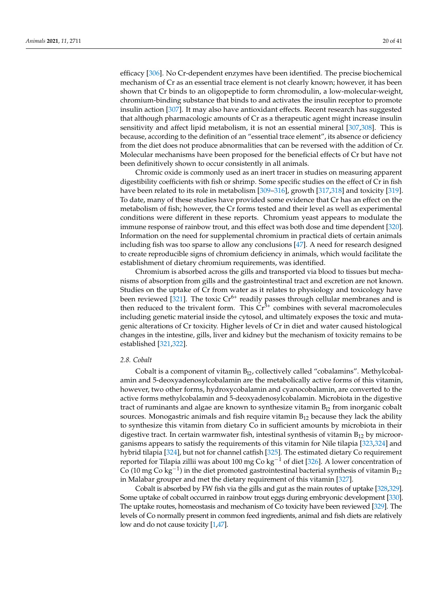efficacy [\[306\]](#page-36-10). No Cr-dependent enzymes have been identified. The precise biochemical mechanism of Cr as an essential trace element is not clearly known; however, it has been shown that Cr binds to an oligopeptide to form chromodulin, a low-molecular-weight, chromium-binding substance that binds to and activates the insulin receptor to promote insulin action [\[307\]](#page-36-11). It may also have antioxidant effects. Recent research has suggested that although pharmacologic amounts of Cr as a therapeutic agent might increase insulin sensitivity and affect lipid metabolism, it is not an essential mineral [\[307,](#page-36-11)[308\]](#page-36-12). This is because, according to the definition of an "essential trace element", its absence or deficiency from the diet does not produce abnormalities that can be reversed with the addition of Cr. Molecular mechanisms have been proposed for the beneficial effects of Cr but have not been definitively shown to occur consistently in all animals.

Chromic oxide is commonly used as an inert tracer in studies on measuring apparent digestibility coefficients with fish or shrimp. Some specific studies on the effect of Cr in fish have been related to its role in metabolism [\[309](#page-36-13)[–316\]](#page-36-14), growth [\[317,](#page-36-15)[318\]](#page-36-16) and toxicity [\[319\]](#page-36-17). To date, many of these studies have provided some evidence that Cr has an effect on the metabolism of fish; however, the Cr forms tested and their level as well as experimental conditions were different in these reports. Chromium yeast appears to modulate the immune response of rainbow trout, and this effect was both dose and time dependent [\[320\]](#page-36-18). Information on the need for supplemental chromium in practical diets of certain animals including fish was too sparse to allow any conclusions [\[47\]](#page-27-6). A need for research designed to create reproducible signs of chromium deficiency in animals, which would facilitate the establishment of dietary chromium requirements, was identified.

Chromium is absorbed across the gills and transported via blood to tissues but mechanisms of absorption from gills and the gastrointestinal tract and excretion are not known. Studies on the uptake of Cr from water as it relates to physiology and toxicology have been reviewed [\[321\]](#page-36-19). The toxic  $Cr^{6+}$  readily passes through cellular membranes and is then reduced to the trivalent form. This  $Cr^{3+}$  combines with several macromolecules including genetic material inside the cytosol, and ultimately exposes the toxic and mutagenic alterations of Cr toxicity. Higher levels of Cr in diet and water caused histological changes in the intestine, gills, liver and kidney but the mechanism of toxicity remains to be established [\[321](#page-36-19)[,322\]](#page-36-20).

# *2.8. Cobalt*

Cobalt is a component of vitamin  $B_{12}$ , collectively called "cobalamins". Methylcobalamin and 5-deoxyadenosylcobalamin are the metabolically active forms of this vitamin, however, two other forms, hydroxycobalamin and cyanocobalamin, are converted to the active forms methylcobalamin and 5-deoxyadenosylcobalamin. Microbiota in the digestive tract of ruminants and algae are known to synthesize vitamin  $B_{12}$  from inorganic cobalt sources. Monogastric animals and fish require vitamin  $B_{12}$  because they lack the ability to synthesize this vitamin from dietary Co in sufficient amounts by microbiota in their digestive tract. In certain warmwater fish, intestinal synthesis of vitamin  $B_{12}$  by microorganisms appears to satisfy the requirements of this vitamin for Nile tilapia [\[323](#page-36-21)[,324\]](#page-36-22) and hybrid tilapia [\[324\]](#page-36-22), but not for channel catfish [\[325\]](#page-36-23). The estimated dietary Co requirement reported for Tilapia zillii was about 100 mg Co kg<sup>-1</sup> of diet [\[326\]](#page-36-24). A lower concentration of Co (10 mg Co kg<sup>-1</sup>) in the diet promoted gastrointestinal bacterial synthesis of vitamin B<sub>12</sub> in Malabar grouper and met the dietary requirement of this vitamin [\[327\]](#page-37-0).

Cobalt is absorbed by FW fish via the gills and gut as the main routes of uptake [\[328](#page-37-1)[,329\]](#page-37-2). Some uptake of cobalt occurred in rainbow trout eggs during embryonic development [\[330\]](#page-37-3). The uptake routes, homeostasis and mechanism of Co toxicity have been reviewed [\[329\]](#page-37-2). The levels of Co normally present in common feed ingredients, animal and fish diets are relatively low and do not cause toxicity [\[1,](#page-25-0)[47\]](#page-27-6).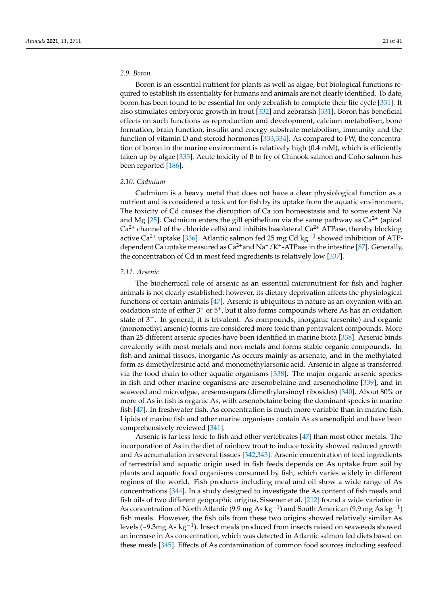# *2.9. Boron*

Boron is an essential nutrient for plants as well as algae, but biological functions required to establish its essentiality for humans and animals are not clearly identified. To date, boron has been found to be essential for only zebrafish to complete their life cycle [\[331\]](#page-37-4). It also stimulates embryonic growth in trout [\[332\]](#page-37-5) and zebrafish [\[331\]](#page-37-4). Boron has beneficial effects on such functions as reproduction and development, calcium metabolism, bone formation, brain function, insulin and energy substrate metabolism, immunity and the function of vitamin D and steroid hormones [\[333,](#page-37-6)[334\]](#page-37-7). As compared to FW, the concentration of boron in the marine environment is relatively high (0.4 mM), which is efficiently taken up by algae [\[335\]](#page-37-8). Acute toxicity of B to fry of Chinook salmon and Coho salmon has been reported [\[186\]](#page-32-3).

# *2.10. Cadmium*

Cadmium is a heavy metal that does not have a clear physiological function as a nutrient and is considered a toxicant for fish by its uptake from the aquatic environment. The toxicity of Cd causes the disruption of Ca ion homeostasis and to some extent Na and Mg [\[25\]](#page-26-11). Cadmium enters the gill epithelium via the same pathway as  $Ca<sup>2+</sup>$  (apical  $Ca<sup>2+</sup>$  channel of the chloride cells) and inhibits basolateral  $Ca<sup>2+</sup>$  ATPase, thereby blocking active Ca<sup>2+</sup> uptake [\[336\]](#page-37-9). Atlantic salmon fed 25 mg Cd kg<sup>-1</sup> showed inhibition of ATPdependent Ca uptake measured as  $Ca^{2+}$  and  $Na^+/K^+$ -ATPase in the intestine [\[87\]](#page-28-10). Generally, the concentration of Cd in most feed ingredients is relatively low [\[337\]](#page-37-10).

# *2.11. Arsenic*

The biochemical role of arsenic as an essential micronutrient for fish and higher animals is not clearly established; however, its dietary deprivation affects the physiological functions of certain animals [\[47\]](#page-27-6). Arsenic is ubiquitous in nature as an oxyanion with an oxidation state of either  $3^+$  or  $5^+$ , but it also forms compounds where As has an oxidation state of 3−. In general, it is trivalent. As compounds, inorganic (arsenite) and organic (monomethyl arsenic) forms are considered more toxic than pentavalent compounds. More than 25 different arsenic species have been identified in marine biota [\[338\]](#page-37-11). Arsenic binds covalently with most metals and non-metals and forms stable organic compounds. In fish and animal tissues, inorganic As occurs mainly as arsenate, and in the methylated form as dimethylarsinic acid and monomethylarsonic acid. Arsenic in algae is transferred via the food chain to other aquatic organisms [\[338\]](#page-37-11). The major organic arsenic species in fish and other marine organisms are arsenobetaine and arsenocholine [\[339\]](#page-37-12), and in seaweed and microalgae, aresenosugars (dimethylarsinoyl ribosides) [\[340\]](#page-37-13). About 80% or more of As in fish is organic As, with arsenobetaine being the dominant species in marine fish [\[47\]](#page-27-6). In freshwater fish, As concentration is much more variable than in marine fish. Lipids of marine fish and other marine organisms contain As as arsenolipid and have been comprehensively reviewed [\[341\]](#page-37-14).

Arsenic is far less toxic to fish and other vertebrates [\[47\]](#page-27-6) than most other metals. The incorporation of As in the diet of rainbow trout to induce toxicity showed reduced growth and As accumulation in several tissues [\[342,](#page-37-15)[343\]](#page-37-16). Arsenic concentration of feed ingredients of terrestrial and aquatic origin used in fish feeds depends on As uptake from soil by plants and aquatic food organisms consumed by fish, which varies widely in different regions of the world. Fish products including meal and oil show a wide range of As concentrations [\[344\]](#page-37-17). In a study designed to investigate the As content of fish meals and fish oils of two different geographic origins, Sissener et al. [\[212\]](#page-33-1) found a wide variation in As concentration of North Atlantic (9.9 mg As  $kg^{-1}$ ) and South American (9.9 mg As  $kg^{-1}$ ) fish meals. However, the fish oils from these two origins showed relatively similar As levels (~9.3mg As kg<sup>-1</sup>). Insect meals produced from insects raised on seaweeds showed an increase in As concentration, which was detected in Atlantic salmon fed diets based on these meals [\[345\]](#page-37-18). Effects of As contamination of common food sources including seafood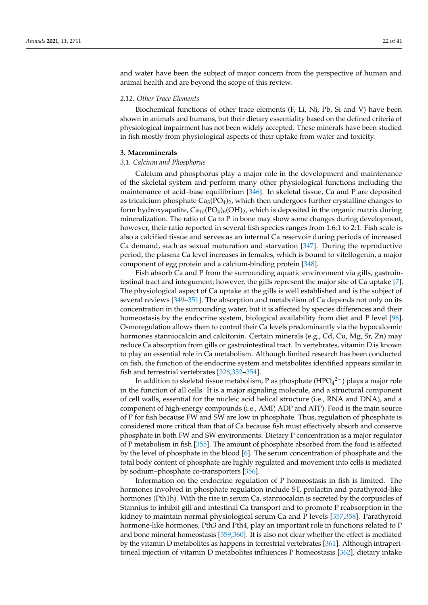and water have been the subject of major concern from the perspective of human and animal health and are beyond the scope of this review.

# *2.12. Other Trace Elements*

Biochemical functions of other trace elements (F, Li, Ni, Pb, Si and V) have been shown in animals and humans, but their dietary essentiality based on the defined criteria of physiological impairment has not been widely accepted. These minerals have been studied in fish mostly from physiological aspects of their uptake from water and toxicity.

#### **3. Macrominerals**

#### *3.1. Calcium and Phosphorus*

Calcium and phosphorus play a major role in the development and maintenance of the skeletal system and perform many other physiological functions including the maintenance of acid–base equilibrium [\[346\]](#page-37-19). In skeletal tissue, Ca and P are deposited as tricalcium phosphate  $Ca_3(PO_4)$ , which then undergoes further crystalline changes to form hydroxyapatite,  $Ca_{10}(PO_4)_6(OH)_2$ , which is deposited in the organic matrix during mineralization. The ratio of Ca to P in bone may show some changes during development, however, their ratio reported in several fish species ranges from 1.6:1 to 2:1. Fish scale is also a calcified tissue and serves as an internal Ca reservoir during periods of increased Ca demand, such as sexual maturation and starvation [\[347\]](#page-37-20). During the reproductive period, the plasma Ca level increases in females, which is bound to vitellogenin, a major component of egg protein and a calcium-binding protein [\[348\]](#page-37-21).

Fish absorb Ca and P from the surrounding aquatic environment via gills, gastrointestinal tract and integument; however, the gills represent the major site of Ca uptake [\[7\]](#page-25-6). The physiological aspect of Ca uptake at the gills is well established and is the subject of several reviews [\[349–](#page-37-22)[351\]](#page-37-23). The absorption and metabolism of Ca depends not only on its concentration in the surrounding water, but it is affected by species differences and their homeostasis by the endocrine system, biological availability from diet and P level [\[96\]](#page-28-19). Osmoregulation allows them to control their Ca levels predominantly via the hypocalcemic hormones stanniocalcin and calcitonin. Certain minerals (e.g., Cd, Cu, Mg, Sr, Zn) may reduce Ca absorption from gills or gastrointestinal tract. In vertebrates, vitamin D is known to play an essential role in Ca metabolism. Although limited research has been conducted on fish, the function of the endocrine system and metabolites identified appears similar in fish and terrestrial vertebrates [\[328,](#page-37-1)[352–](#page-37-24)[354\]](#page-37-25).

In addition to skeletal tissue metabolism, P as phosphate (HPO $_4^{\rm 2-})$  plays a major role in the function of all cells. It is a major signaling molecule, and a structural component of cell walls, essential for the nucleic acid helical structure (i.e., RNA and DNA), and a component of high-energy compounds (i.e., AMP, ADP and ATP). Food is the main source of P for fish because FW and SW are low in phosphate. Thus, regulation of phosphate is considered more critical than that of Ca because fish must effectively absorb and conserve phosphate in both FW and SW environments. Dietary P concentration is a major regulator of P metabolism in fish [\[355\]](#page-37-26). The amount of phosphate absorbed from the food is affected by the level of phosphate in the blood [\[6\]](#page-25-5). The serum concentration of phosphate and the total body content of phosphate are highly regulated and movement into cells is mediated by sodium–phosphate co-transporters [\[356\]](#page-37-27).

Information on the endocrine regulation of P homeostasis in fish is limited. The hormones involved in phosphate regulation include ST, prolactin and parathyroid-like hormones (Pth1h). With the rise in serum Ca, stanniocalcin is secreted by the corpuscles of Stannius to inhibit gill and intestinal Ca transport and to promote P reabsorption in the kidney to maintain normal physiological serum Ca and P levels [\[357,](#page-38-0)[358\]](#page-38-1). Parathyroid hormone-like hormones, Pth3 and Pth4, play an important role in functions related to P and bone mineral homeostasis [\[359,](#page-38-2)[360\]](#page-38-3). It is also not clear whether the effect is mediated by the vitamin D metabolites as happens in terrestrial vertebrates [\[361\]](#page-38-4). Although intraperitoneal injection of vitamin D metabolites influences P homeostasis [\[362\]](#page-38-5), dietary intake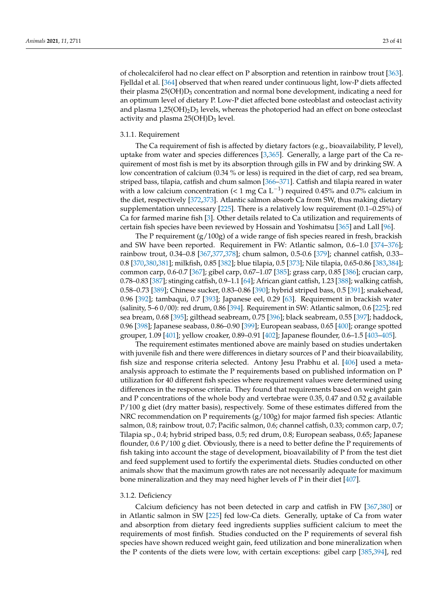of cholecalciferol had no clear effect on P absorption and retention in rainbow trout [\[363\]](#page-38-6). Fjelldal et al. [\[364\]](#page-38-7) observed that when reared under continuous light, low-P diets affected their plasma  $25(OH)D_3$  concentration and normal bone development, indicating a need for an optimum level of dietary P. Low-P diet affected bone osteoblast and osteoclast activity and plasma  $1,25(OH)_2D_3$  levels, whereas the photoperiod had an effect on bone osteoclast activity and plasma  $25(OH)D_3$  level.

## 3.1.1. Requirement

The Ca requirement of fish is affected by dietary factors (e.g., bioavailability, P level), uptake from water and species differences [\[3](#page-25-2)[,365\]](#page-38-8). Generally, a large part of the Ca requirement of most fish is met by its absorption through gills in FW and by drinking SW. A low concentration of calcium (0.34 % or less) is required in the diet of carp, red sea bream, striped bass, tilapia, catfish and chum salmon [\[366–](#page-38-9)[371\]](#page-38-10). Catfish and tilapia reared in water with a low calcium concentration (< 1 mg Ca L<sup>-1</sup>) required 0.45% and 0.7% calcium in the diet, respectively [\[372](#page-38-11)[,373\]](#page-38-12). Atlantic salmon absorb Ca from SW, thus making dietary supplementation unnecessary [\[225\]](#page-33-13). There is a relatively low requirement (0.1–0.25%) of Ca for farmed marine fish [\[3\]](#page-25-2). Other details related to Ca utilization and requirements of certain fish species have been reviewed by Hossain and Yoshimatsu [\[365\]](#page-38-8) and Lall [\[96\]](#page-28-19).

The P requirement  $(g/100g)$  of a wide range of fish species reared in fresh, brackish and SW have been reported. Requirement in FW: Atlantic salmon, 0.6–1.0 [\[374–](#page-38-13)[376\]](#page-38-14); rainbow trout, 0.34–0.8 [\[367,](#page-38-15)[377,](#page-38-16)[378\]](#page-38-17); chum salmon, 0.5-0.6 [\[379\]](#page-38-18); channel catfish, 0.33– 0.8 [\[370](#page-38-19)[,380,](#page-38-20)[381\]](#page-38-21); milkfish, 0.85 [\[382\]](#page-38-22); blue tilapia, 0.5 [\[373\]](#page-38-12); Nile tilapia, 0.65-0.86 [\[383](#page-38-23)[,384\]](#page-38-24); common carp, 0.6-0.7 [\[367\]](#page-38-15); gibel carp, 0.67–1.07 [\[385\]](#page-38-25); grass carp, 0.85 [\[386\]](#page-39-0); crucian carp, 0.78–0.83 [\[387\]](#page-39-1); stinging catfish, 0.9–1.1 [\[64\]](#page-27-23); African giant catfish, 1.23 [\[388\]](#page-39-2); walking catfish, 0.58–0.73 [\[389\]](#page-39-3); Chinese sucker, 0.83–0.86 [\[390\]](#page-39-4); hybrid striped bass, 0.5 [\[391\]](#page-39-5); snakehead, 0.96 [\[392\]](#page-39-6); tambaqui, 0.7 [\[393\]](#page-39-7); Japanese eel, 0.29 [\[63\]](#page-27-22). Requirement in brackish water (salinity, 5–6 0/00): red drum, 0.86 [\[394\]](#page-39-8). Requirement in SW: Atlantic salmon, 0.6 [\[225\]](#page-33-13); red sea bream, 0.68 [\[395\]](#page-39-9); gilthead seabream, 0.75 [\[396\]](#page-39-10); black seabream, 0.55 [\[397\]](#page-39-11); haddock, 0.96 [\[398\]](#page-39-12); Japanese seabass, 0.86–0.90 [\[399\]](#page-39-13); European seabass, 0.65 [\[400\]](#page-39-14); orange spotted grouper, 1.09 [\[401\]](#page-39-15); yellow croaker, 0.89–0.91 [\[402\]](#page-39-16); Japanese flounder, 0.6–1.5 [\[403](#page-39-17)[–405\]](#page-39-18).

The requirement estimates mentioned above are mainly based on studies undertaken with juvenile fish and there were differences in dietary sources of P and their bioavailability, fish size and response criteria selected. Antony Jesu Prabhu et al. [\[406\]](#page-39-19) used a metaanalysis approach to estimate the P requirements based on published information on P utilization for 40 different fish species where requirement values were determined using differences in the response criteria. They found that requirements based on weight gain and P concentrations of the whole body and vertebrae were 0.35, 0.47 and 0.52 g available P/100 g diet (dry matter basis), respectively. Some of these estimates differed from the NRC recommendation on P requirements (g/100g) for major farmed fish species: Atlantic salmon, 0.8; rainbow trout, 0.7; Pacific salmon, 0.6; channel catfish, 0.33; common carp, 0.7; Tilapia sp., 0.4; hybrid striped bass, 0.5; red drum, 0.8; European seabass, 0.65; Japanese flounder, 0.6 P/100 g diet. Obviously, there is a need to better define the P requirements of fish taking into account the stage of development, bioavailability of P from the test diet and feed supplement used to fortify the experimental diets. Studies conducted on other animals show that the maximum growth rates are not necessarily adequate for maximum bone mineralization and they may need higher levels of P in their diet [\[407\]](#page-39-20).

#### 3.1.2. Deficiency

Calcium deficiency has not been detected in carp and catfish in FW [\[367](#page-38-15)[,380\]](#page-38-20) or in Atlantic salmon in SW [\[225\]](#page-33-13) fed low-Ca diets. Generally, uptake of Ca from water and absorption from dietary feed ingredients supplies sufficient calcium to meet the requirements of most finfish. Studies conducted on the P requirements of several fish species have shown reduced weight gain, feed utilization and bone mineralization when the P contents of the diets were low, with certain exceptions: gibel carp [\[385](#page-38-25)[,394\]](#page-39-8), red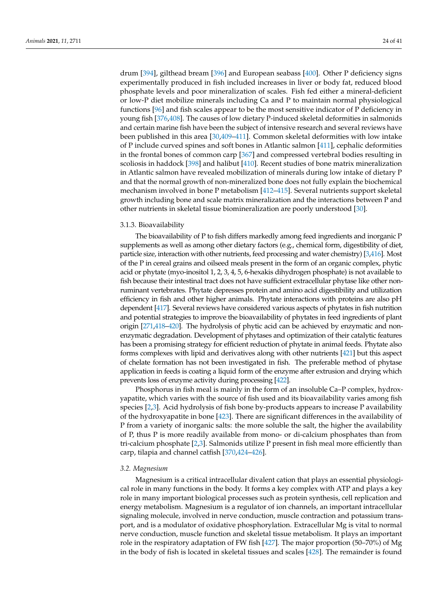drum [\[394\]](#page-39-8), gilthead bream [\[396\]](#page-39-10) and European seabass [\[400\]](#page-39-14). Other P deficiency signs experimentally produced in fish included increases in liver or body fat, reduced blood phosphate levels and poor mineralization of scales. Fish fed either a mineral-deficient or low-P diet mobilize minerals including Ca and P to maintain normal physiological functions [\[96\]](#page-28-19) and fish scales appear to be the most sensitive indicator of P deficiency in young fish [\[376,](#page-38-14)[408\]](#page-39-21). The causes of low dietary P-induced skeletal deformities in salmonids and certain marine fish have been the subject of intensive research and several reviews have been published in this area [\[30,](#page-26-16)[409–](#page-39-22)[411\]](#page-39-23). Common skeletal deformities with low intake of P include curved spines and soft bones in Atlantic salmon [\[411\]](#page-39-23), cephalic deformities in the frontal bones of common carp [\[367\]](#page-38-15) and compressed vertebral bodies resulting in scoliosis in haddock [\[398\]](#page-39-12) and halibut [\[410\]](#page-39-24). Recent studies of bone matrix mineralization in Atlantic salmon have revealed mobilization of minerals during low intake of dietary P and that the normal growth of non-mineralized bone does not fully explain the biochemical mechanism involved in bone P metabolism [\[412](#page-39-25)[–415\]](#page-40-0). Several nutrients support skeletal growth including bone and scale matrix mineralization and the interactions between P and other nutrients in skeletal tissue biomineralization are poorly understood [\[30\]](#page-26-16).

# 3.1.3. Bioavailability

The bioavailability of P to fish differs markedly among feed ingredients and inorganic P supplements as well as among other dietary factors (e.g., chemical form, digestibility of diet, particle size, interaction with other nutrients, feed processing and water chemistry) [\[3,](#page-25-2)[416\]](#page-40-1). Most of the P in cereal grains and oilseed meals present in the form of an organic complex, phytic acid or phytate (myo-inositol 1, 2, 3, 4, 5, 6-hexakis dihydrogen phosphate) is not available to fish because their intestinal tract does not have sufficient extracellular phytase like other nonruminant vertebrates. Phytate depresses protein and amino acid digestibility and utilization efficiency in fish and other higher animals. Phytate interactions with proteins are also pH dependent [\[417\]](#page-40-2). Several reviews have considered various aspects of phytates in fish nutrition and potential strategies to improve the bioavailability of phytates in feed ingredients of plant origin [\[271,](#page-35-4)[418–](#page-40-3)[420\]](#page-40-4). The hydrolysis of phytic acid can be achieved by enzymatic and nonenzymatic degradation. Development of phytases and optimization of their catalytic features has been a promising strategy for efficient reduction of phytate in animal feeds. Phytate also forms complexes with lipid and derivatives along with other nutrients [\[421\]](#page-40-5) but this aspect of chelate formation has not been investigated in fish. The preferable method of phytase application in feeds is coating a liquid form of the enzyme after extrusion and drying which prevents loss of enzyme activity during processing [\[422\]](#page-40-6).

Phosphorus in fish meal is mainly in the form of an insoluble Ca–P complex, hydroxyapatite, which varies with the source of fish used and its bioavailability varies among fish species [\[2,](#page-25-1)[3\]](#page-25-2). Acid hydrolysis of fish bone by-products appears to increase P availability of the hydroxyapatite in bone [\[423\]](#page-40-7). There are significant differences in the availability of P from a variety of inorganic salts: the more soluble the salt, the higher the availability of P, thus P is more readily available from mono- or di-calcium phosphates than from tri-calcium phosphate [\[2](#page-25-1)[,3\]](#page-25-2). Salmonids utilize P present in fish meal more efficiently than carp, tilapia and channel catfish [\[370,](#page-38-19)[424](#page-40-8)[–426\]](#page-40-9).

#### *3.2. Magnesium*

Magnesium is a critical intracellular divalent cation that plays an essential physiological role in many functions in the body. It forms a key complex with ATP and plays a key role in many important biological processes such as protein synthesis, cell replication and energy metabolism. Magnesium is a regulator of ion channels, an important intracellular signaling molecule, involved in nerve conduction, muscle contraction and potassium transport, and is a modulator of oxidative phosphorylation. Extracellular Mg is vital to normal nerve conduction, muscle function and skeletal tissue metabolism. It plays an important role in the respiratory adaptation of FW fish [\[427\]](#page-40-10). The major proportion (50–70%) of Mg in the body of fish is located in skeletal tissues and scales [\[428\]](#page-40-11). The remainder is found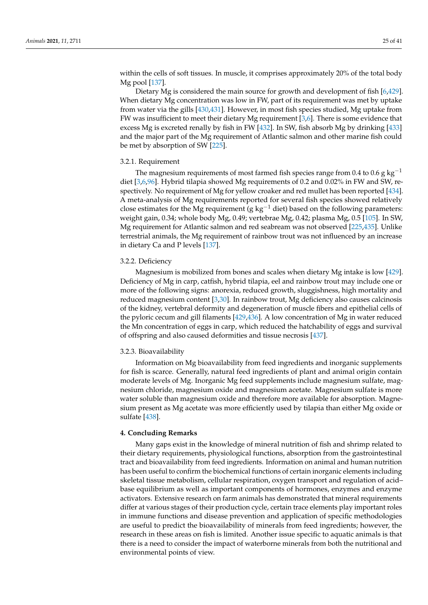within the cells of soft tissues. In muscle, it comprises approximately 20% of the total body Mg pool [\[137\]](#page-30-10).

Dietary Mg is considered the main source for growth and development of fish [\[6](#page-25-5)[,429\]](#page-40-12). When dietary Mg concentration was low in FW, part of its requirement was met by uptake from water via the gills [\[430,](#page-40-13)[431\]](#page-40-14). However, in most fish species studied, Mg uptake from FW was insufficient to meet their dietary Mg requirement [\[3,](#page-25-2)[6\]](#page-25-5). There is some evidence that excess Mg is excreted renally by fish in FW [\[432\]](#page-40-15). In SW, fish absorb Mg by drinking [\[433\]](#page-40-16) and the major part of the Mg requirement of Atlantic salmon and other marine fish could be met by absorption of SW [\[225\]](#page-33-13).

# 3.2.1. Requirement

The magnesium requirements of most farmed fish species range from 0.4 to 0.6 g kg<sup>-1</sup> diet [\[3,](#page-25-2)[6,](#page-25-5)[96\]](#page-28-19). Hybrid tilapia showed Mg requirements of 0.2 and 0.02% in FW and SW, respectively. No requirement of Mg for yellow croaker and red mullet has been reported [\[434\]](#page-40-17). A meta-analysis of Mg requirements reported for several fish species showed relatively close estimates for the Mg requirement (g kg<sup>-1</sup> diet) based on the following parameters: weight gain, 0.34; whole body Mg, 0.49; vertebrae Mg, 0.42; plasma Mg, 0.5 [\[105\]](#page-29-8). In SW, Mg requirement for Atlantic salmon and red seabream was not observed [\[225](#page-33-13)[,435\]](#page-40-18). Unlike terrestrial animals, the Mg requirement of rainbow trout was not influenced by an increase in dietary Ca and P levels [\[137\]](#page-30-10).

# 3.2.2. Deficiency

Magnesium is mobilized from bones and scales when dietary Mg intake is low [\[429\]](#page-40-12). Deficiency of Mg in carp, catfish, hybrid tilapia, eel and rainbow trout may include one or more of the following signs: anorexia, reduced growth, sluggishness, high mortality and reduced magnesium content [\[3](#page-25-2)[,30\]](#page-26-16). In rainbow trout, Mg deficiency also causes calcinosis of the kidney, vertebral deformity and degeneration of muscle fibers and epithelial cells of the pyloric cecum and gill filaments [\[429](#page-40-12)[,436\]](#page-40-19). A low concentration of Mg in water reduced the Mn concentration of eggs in carp, which reduced the hatchability of eggs and survival of offspring and also caused deformities and tissue necrosis [\[437\]](#page-40-20).

#### 3.2.3. Bioavailability

Information on Mg bioavailability from feed ingredients and inorganic supplements for fish is scarce. Generally, natural feed ingredients of plant and animal origin contain moderate levels of Mg. Inorganic Mg feed supplements include magnesium sulfate, magnesium chloride, magnesium oxide and magnesium acetate. Magnesium sulfate is more water soluble than magnesium oxide and therefore more available for absorption. Magnesium present as Mg acetate was more efficiently used by tilapia than either Mg oxide or sulfate [\[438\]](#page-40-21).

# **4. Concluding Remarks**

Many gaps exist in the knowledge of mineral nutrition of fish and shrimp related to their dietary requirements, physiological functions, absorption from the gastrointestinal tract and bioavailability from feed ingredients. Information on animal and human nutrition has been useful to confirm the biochemical functions of certain inorganic elements including skeletal tissue metabolism, cellular respiration, oxygen transport and regulation of acid– base equilibrium as well as important components of hormones, enzymes and enzyme activators. Extensive research on farm animals has demonstrated that mineral requirements differ at various stages of their production cycle, certain trace elements play important roles in immune functions and disease prevention and application of specific methodologies are useful to predict the bioavailability of minerals from feed ingredients; however, the research in these areas on fish is limited. Another issue specific to aquatic animals is that there is a need to consider the impact of waterborne minerals from both the nutritional and environmental points of view.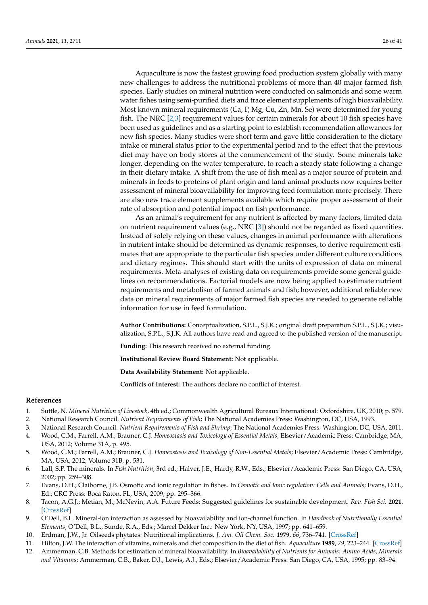Aquaculture is now the fastest growing food production system globally with many new challenges to address the nutritional problems of more than 40 major farmed fish species. Early studies on mineral nutrition were conducted on salmonids and some warm water fishes using semi-purified diets and trace element supplements of high bioavailability. Most known mineral requirements (Ca, P, Mg, Cu, Zn, Mn, Se) were determined for young fish. The NRC  $[2,3]$  $[2,3]$  requirement values for certain minerals for about 10 fish species have been used as guidelines and as a starting point to establish recommendation allowances for new fish species. Many studies were short term and gave little consideration to the dietary intake or mineral status prior to the experimental period and to the effect that the previous diet may have on body stores at the commencement of the study. Some minerals take longer, depending on the water temperature, to reach a steady state following a change in their dietary intake. A shift from the use of fish meal as a major source of protein and minerals in feeds to proteins of plant origin and land animal products now requires better assessment of mineral bioavailability for improving feed formulation more precisely. There are also new trace element supplements available which require proper assessment of their rate of absorption and potential impact on fish performance.

As an animal's requirement for any nutrient is affected by many factors, limited data on nutrient requirement values (e.g., NRC [\[3\]](#page-25-2)) should not be regarded as fixed quantities. Instead of solely relying on these values, changes in animal performance with alterations in nutrient intake should be determined as dynamic responses, to derive requirement estimates that are appropriate to the particular fish species under different culture conditions and dietary regimes. This should start with the units of expression of data on mineral requirements. Meta-analyses of existing data on requirements provide some general guidelines on recommendations. Factorial models are now being applied to estimate nutrient requirements and metabolism of farmed animals and fish; however, additional reliable new data on mineral requirements of major farmed fish species are needed to generate reliable information for use in feed formulation.

**Author Contributions:** Conceptualization, S.P.L., S.J.K.; original draft preparation S.P.L., S.J.K.; visualization, S.P.L., S.J.K. All authors have read and agreed to the published version of the manuscript.

**Funding:** This research received no external funding.

**Institutional Review Board Statement:** Not applicable.

**Data Availability Statement:** Not applicable.

**Conflicts of Interest:** The authors declare no conflict of interest.

#### **References**

- <span id="page-25-1"></span><span id="page-25-0"></span>1. Suttle, N. *Mineral Nutrition of Livestock*, 4th ed.; Commonwealth Agricultural Bureaux International: Oxfordshire, UK, 2010; p. 579. 2. National Research Council. *Nutrient Requirements of Fish*; The National Academies Press: Washington, DC, USA, 1993.
- <span id="page-25-2"></span>3. National Research Council. *Nutrient Requirements of Fish and Shrimp*; The National Academies Press: Washington, DC, USA, 2011.
- <span id="page-25-3"></span>4. Wood, C.M.; Farrell, A.M.; Brauner, C.J. *Homeostasis and Toxicology of Essential Metals*; Elsevier/Academic Press: Cambridge, MA, USA, 2012; Volume 31A, p. 495.
- <span id="page-25-4"></span>5. Wood, C.M.; Farrell, A.M.; Brauner, C.J. *Homeostasis and Toxicology of Non-Essential Metals*; Elsevier/Academic Press: Cambridge, MA, USA, 2012; Volume 31B, p. 531.
- <span id="page-25-5"></span>6. Lall, S.P. The minerals. In *Fish Nutrition*, 3rd ed.; Halver, J.E., Hardy, R.W., Eds.; Elsevier/Academic Press: San Diego, CA, USA, 2002; pp. 259–308.
- <span id="page-25-6"></span>7. Evans, D.H.; Claiborne, J.B. Osmotic and ionic regulation in fishes. In *Osmotic and Ionic regulation: Cells and Animals*; Evans, D.H., Ed.; CRC Press: Boca Raton, FL, USA, 2009; pp. 295–366.
- <span id="page-25-7"></span>8. Tacon, A.G.J.; Metian, M.; McNevin, A.A. Future Feeds: Suggested guidelines for sustainable development. *Rev. Fish Sci.* **2021**. [\[CrossRef\]](http://doi.org/10.1080/23308249.2021.1898539)
- <span id="page-25-8"></span>9. O'Dell, B.L. Mineral-ion interaction as assessed by bioavailability and ion-channel function. In *Handbook of Nutritionally Essential Elements*; O'Dell, B.L., Sunde, R.A., Eds.; Marcel Dekker Inc.: New York, NY, USA, 1997; pp. 641–659.
- <span id="page-25-9"></span>10. Erdman, J.W., Jr. Oilseeds phytates: Nutritional implications. *J. Am. Oil Chem. Soc.* **1979**, *66*, 736–741. [\[CrossRef\]](http://doi.org/10.1007/BF02663052)
- <span id="page-25-10"></span>11. Hilton, J.W. The interaction of vitamins, minerals and diet composition in the diet of fish. *Aquaculture* **1989**, *79*, 223–244. [\[CrossRef\]](http://doi.org/10.1016/0044-8486(89)90463-8)
- <span id="page-25-11"></span>12. Ammerman, C.B. Methods for estimation of mineral bioavailability. In *Bioavailability of Nutrients for Animals: Amino Acids, Minerals and Vitamins*; Ammerman, C.B., Baker, D.J., Lewis, A.J., Eds.; Elsevier/Academic Press: San Diego, CA, USA, 1995; pp. 83–94.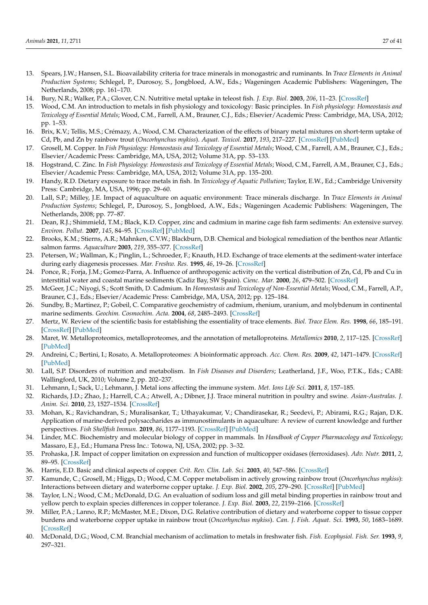- <span id="page-26-0"></span>13. Spears, J.W.; Hansen, S.L. Bioavailability criteria for trace minerals in monogastric and ruminants. In *Trace Elements in Animal Production Systems*; Schlegel, P., Durosoy, S., Jongbloed, A.W., Eds.; Wageningen Academic Publishers: Wageningen, The Netherlands, 2008; pp. 161–170.
- <span id="page-26-1"></span>14. Bury, N.R.; Walker, P.A.; Glover, C.N. Nutritive metal uptake in teleost fish. *J. Exp. Biol.* **2003**, *206*, 11–23. [\[CrossRef\]](http://doi.org/10.1242/jeb.00068)
- 15. Wood, C.M. An introduction to metals in fish physiology and toxicology: Basic principles. In *Fish physiology: Homeostasis and Toxicology of Essential Metals*; Wood, C.M., Farrell, A.M., Brauner, C.J., Eds.; Elsevier/Academic Press: Cambridge, MA, USA, 2012; pp. 1–53.
- <span id="page-26-2"></span>16. Brix, K.V.; Tellis, M.S.; Crémazy, A.; Wood, C.M. Characterization of the effects of binary metal mixtures on short-term uptake of Cd, Pb, and Zn by rainbow trout (*Oncorhynchus mykiss*). *Aquat. Toxicol.* **2017**, *193*, 217–227. [\[CrossRef\]](http://doi.org/10.1016/j.aquatox.2017.10.015) [\[PubMed\]](http://www.ncbi.nlm.nih.gov/pubmed/29100104)
- <span id="page-26-3"></span>17. Grosell, M. Copper. In *Fish Physiology: Homeostasis and Toxicology of Essential Metals; Wood, C.M., Farrell, A.M., Brauner, C.J., Eds.;* Elsevier/Academic Press: Cambridge, MA, USA, 2012; Volume 31A, pp. 53–133.
- <span id="page-26-4"></span>18. Hogstrand, C. Zinc. In *Fish Physiology: Homeostasis and Toxicology of Essential Metals; Wood, C.M., Farrell, A.M., Brauner, C.J., Eds.;* Elsevier/Academic Press: Cambridge, MA, USA, 2012; Volume 31A, pp. 135–200.
- <span id="page-26-5"></span>19. Handy, R.D. Dietary exposure to trace metals in fish. In *Toxicology of Aquatic Pollution*; Taylor, E.W., Ed.; Cambridge University Press: Cambridge, MA, USA, 1996; pp. 29–60.
- <span id="page-26-6"></span>20. Lall, S.P.; Milley, J.E. Impact of aquaculture on aquatic environment: Trace minerals discharge. In *Trace Elements in Animal Production Systems*; Schlegel, P., Durosoy, S., Jongbloed, A.W., Eds.; Wageningen Academic Publishers: Wageningen, The Netherlands, 2008; pp. 77–87.
- <span id="page-26-7"></span>21. Dean, R.J.; Shimmield, T.M.; Black, K.D. Copper, zinc and cadmium in marine cage fish farm sediments: An extensive survey. *Environ. Pollut.* **2007**, *145*, 84–95. [\[CrossRef\]](http://doi.org/10.1016/j.envpol.2006.03.050) [\[PubMed\]](http://www.ncbi.nlm.nih.gov/pubmed/16762469)
- <span id="page-26-8"></span>22. Brooks, K.M.; Stierns, A.R.; Mahnken, C.V.W.; Blackburn, D.B. Chemical and biological remediation of the benthos near Atlantic salmon farms. *Aquaculture* **2003**, *219*, 355–377. [\[CrossRef\]](http://doi.org/10.1016/S0044-8486(02)00528-8)
- <span id="page-26-9"></span>23. Petersen, W.; Wallman, K.; Pinglin, L.; Schroeder, F.; Knauth, H.D. Exchange of trace elements at the sediment-water interface during early diagenesis processes. *Mar. Freshw. Res.* **1995**, *46*, 19–26. [\[CrossRef\]](http://doi.org/10.1071/MF9950019)
- <span id="page-26-10"></span>24. Ponce, R.; Forja, J.M.; Gomez-Parra, A. Influence of anthropogenic activity on the vertical distribution of Zn, Cd, Pb and Cu in interstitial water and coastal marine sediments (Cadiz Bay, SW Spain). *Cienc. Mar.* **2000**, *26*, 479–502. [\[CrossRef\]](http://doi.org/10.7773/cm.v26i3.590)
- <span id="page-26-11"></span>25. McGeer, J.C.; Niyogi, S.; Scott Smith, D. Cadmium. In *Homeostasis and Toxicology of Non-Essential Metals*; Wood, C.M., Farrell, A.P., Brauner, C.J., Eds.; Elsevier/Academic Press: Cambridge, MA, USA, 2012; pp. 125–184.
- <span id="page-26-12"></span>26. Sundby, B.; Martinez, P.; Gobeil, C. Comparative geochemistry of cadmium, rhenium, uranium, and molybdenum in continental marine sediments. *Geochim. Cosmochim. Acta.* **2004**, *68*, 2485–2493. [\[CrossRef\]](http://doi.org/10.1016/j.gca.2003.08.011)
- <span id="page-26-13"></span>27. Mertz, W. Review of the scientific basis for establishing the essentiality of trace elements. *Biol. Trace Elem. Res.* **1998**, *66*, 185–191. [\[CrossRef\]](http://doi.org/10.1007/BF02783137) [\[PubMed\]](http://www.ncbi.nlm.nih.gov/pubmed/10050919)
- <span id="page-26-14"></span>28. Maret, W. Metalloproteomics, metalloproteomes, and the annotation of metalloproteins. *Metallomics* **2010**, *2*, 117–125. [\[CrossRef\]](http://doi.org/10.1039/B915804A) [\[PubMed\]](http://www.ncbi.nlm.nih.gov/pubmed/21069142)
- <span id="page-26-15"></span>29. Andreini, C.; Bertini, I.; Rosato, A. Metalloproteomes: A bioinformatic approach. *Acc. Chem. Res.* **2009**, *42*, 1471–1479. [\[CrossRef\]](http://doi.org/10.1021/ar900015x) [\[PubMed\]](http://www.ncbi.nlm.nih.gov/pubmed/19697929)
- <span id="page-26-16"></span>30. Lall, S.P. Disorders of nutrition and metabolism. In *Fish Diseases and Disorders*; Leatherland, J.F., Woo, P.T.K., Eds.; CABI: Wallingford, UK, 2010; Volume 2, pp. 202–237.
- <span id="page-26-17"></span>31. Lehmann, I.; Sack, U.; Lehmann, J. Metal ions affecting the immune system. *Met. Ions Life Sci.* **2011**, *8*, 157–185.
- 32. Richards, J.D.; Zhao, J.; Harrell, C.A.; Atwell, A.; Dibner, J.J. Trace mineral nutrition in poultry and swine. *Asian-Australas. J. Anim. Sci.* **2010**, *23*, 1527–1534. [\[CrossRef\]](http://doi.org/10.5713/ajas.2010.r.07)
- <span id="page-26-18"></span>33. Mohan, K.; Ravichandran, S.; Muralisankar, T.; Uthayakumar, V.; Chandirasekar, R.; Seedevi, P.; Abirami, R.G.; Rajan, D.K. Application of marine-derived polysaccharides as immunostimulants in aquaculture: A review of current knowledge and further perspectives. *Fish Shellfish Immun.* **2019**, *86*, 1177–1193. [\[CrossRef\]](http://doi.org/10.1016/j.fsi.2018.12.072) [\[PubMed\]](http://www.ncbi.nlm.nih.gov/pubmed/30599257)
- <span id="page-26-19"></span>34. Linder, M.C. Biochemistry and molecular biology of copper in mammals. In *Handbook of Copper Pharmacology and Toxicology*; Massaro, E.J., Ed.; Humana Press Inc.: Totowa, NJ, USA, 2002; pp. 3–32.
- <span id="page-26-20"></span>35. Prohaska, J.R. Impact of copper limitation on expression and function of multicopper oxidases (ferroxidases). *Adv. Nutr.* **2011**, *2*, 89–95. [\[CrossRef\]](http://doi.org/10.3945/an.110.000208)
- <span id="page-26-21"></span>36. Harris, E.D. Basic and clinical aspects of copper. *Crit. Rev. Clin. Lab. Sci.* **2003**, *40*, 547–586. [\[CrossRef\]](http://doi.org/10.1080/10408360390250649)
- <span id="page-26-22"></span>37. Kamunde, C.; Grosell, M.; Higgs, D.; Wood, C.M. Copper metabolism in actively growing rainbow trout (*Oncorhynchus mykiss*): Interactions between dietary and waterborne copper uptake. *J. Exp. Biol.* **2002**, *205*, 279–290. [\[CrossRef\]](http://doi.org/10.1242/jeb.205.2.279) [\[PubMed\]](http://www.ncbi.nlm.nih.gov/pubmed/11821494)
- <span id="page-26-23"></span>38. Taylor, L.N.; Wood, C.M.; McDonald, D.G. An evaluation of sodium loss and gill metal binding properties in rainbow trout and yellow perch to explain species differences in copper tolerance. *J. Exp. Biol.* **2003**, *22*, 2159–2166. [\[CrossRef\]](http://doi.org/10.1897/02-256)
- <span id="page-26-24"></span>39. Miller, P.A.; Lanno, R.P.; McMaster, M.E.; Dixon, D.G. Relative contribution of dietary and waterborne copper to tissue copper burdens and waterborne copper uptake in rainbow trout (*Oncorhynchus mykiss*). *Can. J. Fish. Aquat. Sci.* **1993**, *50*, 1683–1689. [\[CrossRef\]](http://doi.org/10.1139/f93-189)
- <span id="page-26-25"></span>40. McDonald, D.G.; Wood, C.M. Branchial mechanism of acclimation to metals in freshwater fish. *Fish. Ecophysiol. Fish. Ser.* **1993**, *9*, 297–321.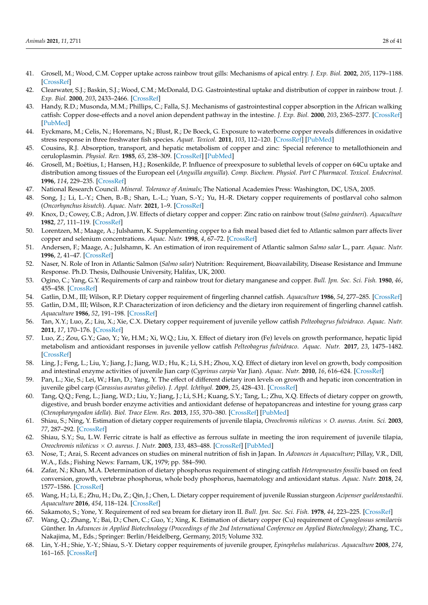- <span id="page-27-0"></span>41. Grosell, M.; Wood, C.M. Copper uptake across rainbow trout gills: Mechanisms of apical entry. *J. Exp. Biol.* **2002**, *205*, 1179–1188. [\[CrossRef\]](http://doi.org/10.1242/jeb.205.8.1179)
- <span id="page-27-1"></span>42. Clearwater, S.J.; Baskin, S.J.; Wood, C.M.; McDonald, D.G. Gastrointestinal uptake and distribution of copper in rainbow trout. *J. Exp. Biol.* **2000**, *203*, 2433–2466. [\[CrossRef\]](http://doi.org/10.1242/jeb.203.16.2455)
- <span id="page-27-2"></span>43. Handy, R.D.; Musonda, M.M.; Phillips, C.; Falla, S.J. Mechanisms of gastrointestinal copper absorption in the African walking catfish: Copper dose-effects and a novel anion dependent pathway in the intestine. *J. Exp. Biol.* **2000**, *203*, 2365–2377. [\[CrossRef\]](http://doi.org/10.1242/jeb.203.15.2365) [\[PubMed\]](http://www.ncbi.nlm.nih.gov/pubmed/10887075)
- <span id="page-27-3"></span>44. Eyckmans, M.; Celis, N.; Horemans, N.; Blust, R.; De Boeck, G. Exposure to waterborne copper reveals differences in oxidative stress response in three freshwater fish species. *Aquat. Toxicol.* **2011**, *103*, 112–120. [\[CrossRef\]](http://doi.org/10.1016/j.aquatox.2011.02.010) [\[PubMed\]](http://www.ncbi.nlm.nih.gov/pubmed/21419094)
- <span id="page-27-4"></span>45. Cousins, R.J. Absorption, transport, and hepatic metabolism of copper and zinc: Special reference to metallothionein and ceruloplasmin. *Physiol. Rev.* **1985**, *65*, 238–309. [\[CrossRef\]](http://doi.org/10.1152/physrev.1985.65.2.238) [\[PubMed\]](http://www.ncbi.nlm.nih.gov/pubmed/3885271)
- <span id="page-27-5"></span>46. Grosell, M.; Boëtius, I.; Hansen, H.J.; Rosenkilde, P. Influence of preexposure to sublethal levels of copper on 64Cu uptake and distribution among tissues of the European eel (*Anguilla anguilla*). *Comp. Biochem. Physiol. Part C Pharmacol. Toxicol. Endocrinol.* **1996**, *114*, 229–235. [\[CrossRef\]](http://doi.org/10.1016/0742-8413(96)00038-2)
- <span id="page-27-6"></span>47. National Research Council. *Mineral. Tolerance of Animals*; The National Academies Press: Washington, DC, USA, 2005.
- <span id="page-27-7"></span>48. Song, J.; Li, L.-Y.; Chen, B.-B.; Shan, L.-L.; Yuan, S.-Y.; Yu, H.-R. Dietary copper requirements of postlarval coho salmon (*Oncorhynchus kisutch*). *Aquac. Nutr.* **2021**, 1–9. [\[CrossRef\]](http://doi.org/10.1111/anu.13342)
- <span id="page-27-8"></span>49. Knox, D.; Cowey, C.B.; Adron, J.W. Effects of dietary copper and copper: Zinc ratio on rainbow trout (*Salmo gairdneri*). *Aquaculture* **1982**, *27*, 111–119. [\[CrossRef\]](http://doi.org/10.1016/0044-8486(82)90130-2)
- <span id="page-27-9"></span>50. Lorentzen, M.; Maage, A.; Julshamn, K. Supplementing copper to a fish meal based diet fed to Atlantic salmon parr affects liver copper and selenium concentrations. *Aquac. Nutr.* **1998**, *4*, 67–72. [\[CrossRef\]](http://doi.org/10.1046/j.1365-2095.1998.00046.x)
- <span id="page-27-10"></span>51. Andersen, F.; Maage, A.; Julshamn, K. An estimation of iron requirement of Atlantic salmon *Salmo salar* L., parr. *Aquac. Nutr.* **1996**, *2*, 41–47. [\[CrossRef\]](http://doi.org/10.1111/j.1365-2095.1996.tb00006.x)
- <span id="page-27-11"></span>52. Naser, N. Role of Iron in Atlantic Salmon (*Salmo salar*) Nutrition: Requirement, Bioavailability, Disease Resistance and Immune Response. Ph.D. Thesis, Dalhousie University, Halifax, UK, 2000.
- <span id="page-27-12"></span>53. Ogino, C.; Yang, G.Y. Requirements of carp and rainbow trout for dietary manganese and copper. *Bull. Jpn. Soc. Sci. Fish.* **1980**, *46*, 455–458. [\[CrossRef\]](http://doi.org/10.2331/suisan.46.455)
- <span id="page-27-13"></span>54. Gatlin, D.M., III; Wilson, R.P. Dietary copper requirement of fingerling channel catfish. *Aquaculture* **1986**, *54*, 277–285. [\[CrossRef\]](http://doi.org/10.1016/0044-8486(86)90272-3)
- <span id="page-27-14"></span>55. Gatlin, D.M., III; Wilson, R.P. Characterization of iron deficiency and the dietary iron requirement of fingerling channel catfish. *Aquaculture* **1986**, *52*, 191–198. [\[CrossRef\]](http://doi.org/10.1016/0044-8486(86)90143-2)
- <span id="page-27-15"></span>56. Tan, X.Y.; Luo, Z.; Liu, X.; Xie, C.X. Dietary copper requirement of juvenile yellow catfish *Pelteobagrus fulvidraco*. *Aquac. Nutr.* **2011**, *17*, 170–176. [\[CrossRef\]](http://doi.org/10.1111/j.1365-2095.2009.00720.x)
- <span id="page-27-16"></span>57. Luo, Z.; Zou, G.Y.; Gao, Y.; Ye, H.M.; Xi, W.Q.; Liu, X. Effect of dietary iron (Fe) levels on growth performance, hepatic lipid metabolism and antioxidant responses in juvenile yellow catfish *Pelteobagrus fulvidraco*. *Aquac. Nutr.* **2017**, *23*, 1475–1482. [\[CrossRef\]](http://doi.org/10.1111/anu.12523)
- <span id="page-27-17"></span>58. Ling, J.; Feng, L.; Liu, Y.; Jiang, J.; Jiang, W.D.; Hu, K.; Li, S.H.; Zhou, X.Q. Effect of dietary iron level on growth, body composition and intestinal enzyme activities of juvenile Jian carp (*Cyprinus carpio* Var Jian). *Aquac. Nutr.* **2010**, *16*, 616–624. [\[CrossRef\]](http://doi.org/10.1111/j.1365-2095.2009.00699.x)
- <span id="page-27-18"></span>59. Pan, L.; Xie, S.; Lei, W.; Han, D.; Yang, Y. The effect of different dietary iron levels on growth and hepatic iron concentration in juvenile gibel carp (*Carassius auratus gibelio*). *J. Appl. Ichthyol.* **2009**, *25*, 428–431. [\[CrossRef\]](http://doi.org/10.1111/j.1439-0426.2009.01210.x)
- <span id="page-27-19"></span>60. Tang, Q.Q.; Feng, L.; Jiang, W.D.; Liu, Y.; Jiang, J.; Li, S.H.; Kuang, S.Y.; Tang, L.; Zhu, X.Q. Effects of dietary copper on growth, digestive, and brush border enzyme activities and antioxidant defense of hepatopancreas and intestine for young grass carp (*Ctenopharyngodon idella*). *Biol. Trace Elem. Res.* **2013**, *155*, 370–380. [\[CrossRef\]](http://doi.org/10.1007/s12011-013-9785-6) [\[PubMed\]](http://www.ncbi.nlm.nih.gov/pubmed/24052363)
- <span id="page-27-20"></span>61. Shiau, S.; Ning, Y. Estimation of dietary copper requirements of juvenile tilapia, *Oreochromis niloticus* × *O. aureus*. *Anim. Sci.* **2003**, *77*, 287–292. [\[CrossRef\]](http://doi.org/10.1017/S1357729800059026)
- <span id="page-27-21"></span>62. Shiau, S.Y.; Su, L.W. Ferric citrate is half as effective as ferrous sulfate in meeting the iron requirement of juvenile tilapia, *Oreochromis niloticus* × *O. aureus*. *J. Nutr.* **2003**, *133*, 483–488. [\[CrossRef\]](http://doi.org/10.1093/jn/133.2.483) [\[PubMed\]](http://www.ncbi.nlm.nih.gov/pubmed/12566488)
- <span id="page-27-22"></span>63. Nose, T.; Arai, S. Recent advances on studies on mineral nutrition of fish in Japan. In *Advances in Aquaculture*; Pillay, V.R., Dill, W.A., Eds.; Fishing News: Farnam, UK, 1979; pp. 584–590.
- <span id="page-27-23"></span>64. Zafar, N.; Khan, M.A. Determination of dietary phosphorus requirement of stinging catfish *Heteropneustes fossilis* based on feed conversion, growth, vertebrae phosphorus, whole body phosphorus, haematology and antioxidant status. *Aquac. Nutr.* **2018**, *24*, 1577–1586. [\[CrossRef\]](http://doi.org/10.1111/anu.12794)
- <span id="page-27-24"></span>65. Wang, H.; Li, E.; Zhu, H.; Du, Z.; Qin, J.; Chen, L. Dietary copper requirement of juvenile Russian sturgeon *Acipenser gueldenstaedtii*. *Aquaculture* **2016**, *454*, 118–124. [\[CrossRef\]](http://doi.org/10.1016/j.aquaculture.2015.12.018)
- <span id="page-27-25"></span>66. Sakamoto, S.; Yone, Y. Requirement of red sea bream for dietary iron II. *Bull. Jpn. Soc. Sci. Fish.* **1978**, *44*, 223–225. [\[CrossRef\]](http://doi.org/10.2331/suisan.44.223)
- <span id="page-27-26"></span>67. Wang, Q.; Zhang, Y.; Bai, D.; Chen, C.; Guo, Y.; Xing, K. Estimation of dietary copper (Cu) requirement of *Cynoglossus semilaevis* Günther. In *Advances in Applied Biotechnology (Proceedings of the 2nd International Conference on Applied Biotechnology)*; Zhang, T.C., Nakajima, M., Eds.; Springer: Berlin/Heidelberg, Germany, 2015; Volume 332.
- <span id="page-27-27"></span>68. Lin, Y.-H.; Shie, Y.-Y.; Shiau, S.-Y. Dietary copper requirements of juvenile grouper, *Epinephelus malabaricus*. *Aquaculture* **2008**, *274*, 161–165. [\[CrossRef\]](http://doi.org/10.1016/j.aquaculture.2007.11.006)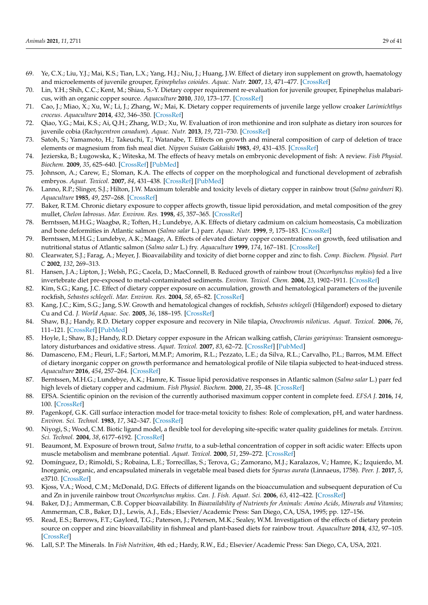- <span id="page-28-0"></span>69. Ye, C.X.; Liu, Y.J.; Mai, K.S.; Tian, L.X.; Yang, H.J.; Niu, J.; Huang, J.W. Effect of dietary iron supplement on growth, haematology and microelements of juvenile grouper, *Epinephelus coioides*. *Aquac. Nutr.* **2007**, *13*, 471–477. [\[CrossRef\]](http://doi.org/10.1111/j.1365-2095.2007.00501.x)
- <span id="page-28-1"></span>70. Lin, Y.H.; Shih, C.C.; Kent, M.; Shiau, S.-Y. Dietary copper requirement re-evaluation for juvenile grouper, Epinephelus malabaricus, with an organic copper source. *Aquaculture* **2010**, *310*, 173–177. [\[CrossRef\]](http://doi.org/10.1016/j.aquaculture.2010.10.004)
- <span id="page-28-2"></span>71. Cao, J.; Miao, X.; Xu, W.; Li, J.; Zhang, W.; Mai, K. Dietary copper requirements of juvenile large yellow croaker *Larimichthys croceus*. *Aquaculture* **2014**, *432*, 346–350. [\[CrossRef\]](http://doi.org/10.1016/j.aquaculture.2014.05.032)
- <span id="page-28-3"></span>72. Qiao, Y.G.; Mai, K.S.; Ai, Q.H.; Zhang, W.D.; Xu, W. Evaluation of iron methionine and iron sulphate as dietary iron sources for juvenile cobia (*Rachycentron canadum*). *Aquac. Nutr.* **2013**, *19*, 721–730. [\[CrossRef\]](http://doi.org/10.1111/anu.12019)
- <span id="page-28-4"></span>73. Satoh, S.; Yamamoto, H.; Takeuchi, T.; Watanabe, T. Effects on growth and mineral composition of carp of deletion of trace elements or magnesium from fish meal diet. *Nippon Suisan Gakkaishi* **1983**, *49*, 431–435. [\[CrossRef\]](http://doi.org/10.2331/suisan.49.431)
- <span id="page-28-5"></span>74. Jezierska, B.; Ługowska, K.; Witeska, M. The effects of heavy metals on embryonic development of fish: A review. *Fish Physiol. Biochem.* **2009**, *35*, 625–640. [\[CrossRef\]](http://doi.org/10.1007/s10695-008-9284-4) [\[PubMed\]](http://www.ncbi.nlm.nih.gov/pubmed/19020985)
- <span id="page-28-6"></span>75. Johnson, A.; Carew, E.; Sloman, K.A. The effects of copper on the morphological and functional development of zebrafish embryos. *Aquat. Toxicol.* **2007**, *84*, 431–438. [\[CrossRef\]](http://doi.org/10.1016/j.aquatox.2007.07.003) [\[PubMed\]](http://www.ncbi.nlm.nih.gov/pubmed/17714802)
- <span id="page-28-7"></span>76. Lanno, R.P.; Slinger, S.J.; Hilton, J.W. Maximum tolerable and toxicity levels of dietary copper in rainbow trout (*Salmo gairdneri* R). *Aquaculture* **1985**, *49*, 257–268. [\[CrossRef\]](http://doi.org/10.1016/0044-8486(85)90084-5)
- 77. Baker, R.T.M. Chronic dietary exposure to copper affects growth, tissue lipid peroxidation, and metal composition of the grey mullet, *Chelon labrosus*. *Mar. Environ. Res.* **1998**, *45*, 357–365. [\[CrossRef\]](http://doi.org/10.1016/S0141-1136(98)00098-1)
- 78. Berntssen, M.H.G.; Waagbø, R.; Toften, H.; Lundebye, A.K. Effects of dietary cadmium on calcium homeostasis, Ca mobilization and bone deformities in Atlantic salmon (*Salmo salar* L.) parr. *Aquac. Nutr.* **1999**, *9*, 175–183. [\[CrossRef\]](http://doi.org/10.1046/j.1365-2095.2003.00245.x)
- 79. Berntssen, M.H.G.; Lundebye, A.K.; Maage, A. Effects of elevated dietary copper concentrations on growth, feed utilisation and nutritional status of Atlantic salmon (*Salmo salar* L.) fry. *Aquaculture* **1999**, *174*, 167–181. [\[CrossRef\]](http://doi.org/10.1016/S0044-8486(99)00015-0)
- <span id="page-28-9"></span>80. Clearwater, S.J.; Farag, A.; Meyer, J. Bioavailability and toxicity of diet borne copper and zinc to fish. *Comp. Biochem. Physiol. Part C* **2002**, *132*, 269–313.
- 81. Hansen, J.A.; Lipton, J.; Welsh, P.G.; Cacela, D.; MacConnell, B. Reduced growth of rainbow trout (*Oncorhynchus mykiss*) fed a live invertebrate diet pre-exposed to metal-contaminated sediments. *Environ. Toxicol. Chem.* **2004**, *23*, 1902–1911. [\[CrossRef\]](http://doi.org/10.1897/02-619)
- 82. Kim, S.G.; Kang, J.C. Effect of dietary copper exposure on accumulation, growth and hematological parameters of the juvenile rockfish, *Sebastes schlegeli*. *Mar. Environ. Res.* **2004**, *58*, 65–82. [\[CrossRef\]](http://doi.org/10.1016/j.marenvres.2003.12.004)
- <span id="page-28-20"></span>83. Kang, J.C.; Kim, S.G.; Jang, S.W. Growth and hematological changes of rockfish, *Sebastes schlegeli* (Hilgendorf) exposed to dietary Cu and Cd. *J. World Aquac. Soc.* **2005**, *36*, 188–195. [\[CrossRef\]](http://doi.org/10.1111/j.1749-7345.2005.tb00384.x)
- 84. Shaw, B.J.; Handy, R.D. Dietary copper exposure and recovery in Nile tilapia, *Oreochromis niloticus*. *Aquat. Toxicol.* **2006**, *76*, 111–121. [\[CrossRef\]](http://doi.org/10.1016/j.aquatox.2005.10.002) [\[PubMed\]](http://www.ncbi.nlm.nih.gov/pubmed/16298437)
- 85. Hoyle, I.; Shaw, B.J.; Handy, R.D. Dietary copper exposure in the African walking catfish, *Clarias gariepinus*: Transient osmoregulatory disturbances and oxidative stress. *Aquat. Toxicol.* **2007**, *83*, 62–72. [\[CrossRef\]](http://doi.org/10.1016/j.aquatox.2007.03.014) [\[PubMed\]](http://www.ncbi.nlm.nih.gov/pubmed/17442412)
- <span id="page-28-8"></span>86. Damasceno, F.M.; Fleuri, L.F.; Sartori, M.M.P.; Amorim, R.L.; Pezzato, L.E.; da Silva, R.L.; Carvalho, P.L.; Barros, M.M. Effect of dietary inorganic copper on growth performance and hematological profile of Nile tilapia subjected to heat-induced stress. *Aquaculture* **2016**, *454*, 257–264. [\[CrossRef\]](http://doi.org/10.1016/j.aquaculture.2015.12.029)
- <span id="page-28-10"></span>87. Berntssen, M.H.G.; Lundebye, A.K.; Hamre, K. Tissue lipid peroxidative responses in Atlantic salmon (*Salmo salar* L.) parr fed high levels of dietary copper and cadmium. *Fish Physiol. Biochem.* **2000**, *21*, 35–48. [\[CrossRef\]](http://doi.org/10.1023/A:1007894816114)
- <span id="page-28-11"></span>88. EFSA. Scientific opinion on the revision of the currently authorised maximum copper content in complete feed. *EFSA J.* **2016**, *14*, 100. [\[CrossRef\]](http://doi.org/10.2903/j.efsa.2016.4563)
- <span id="page-28-12"></span>89. Pagenkopf, G.K. Gill surface interaction model for trace-metal toxicity to fishes: Role of complexation, pH, and water hardness. *Environ. Sci. Technol.* **1983**, *17*, 342–347. [\[CrossRef\]](http://doi.org/10.1021/es00112a007)
- <span id="page-28-13"></span>90. Niyogi, S.; Wood, C.M. Biotic ligand model, a flexible tool for developing site-specific water quality guidelines for metals. *Environ. Sci. Technol.* **2004**, *38*, 6177–6192. [\[CrossRef\]](http://doi.org/10.1021/es0496524)
- <span id="page-28-14"></span>91. Beaumont, M. Exposure of brown trout, *Salmo trutta*, to a sub-lethal concentration of copper in soft acidic water: Effects upon muscle metabolism and membrane potential. *Aquat. Toxicol.* **2000**, *51*, 259–272. [\[CrossRef\]](http://doi.org/10.1016/S0166-445X(00)00109-0)
- <span id="page-28-15"></span>92. Domínguez, D.; Rimoldi, S.; Robaina, L.E.; Torrecillas, S.; Terova, G.; Zamorano, M.J.; Karalazos, V.; Hamre, K.; Izquierdo, M. Inorganic, organic, and encapsulated minerals in vegetable meal based diets for *Sparus aurata* (Linnaeus, 1758). *Peer. J.* **2017**, *5*, e3710. [\[CrossRef\]](http://doi.org/10.7717/peerj.3710)
- <span id="page-28-16"></span>93. Kjoss, V.A.; Wood, C.M.; McDonald, D.G. Effects of different ligands on the bioaccumulation and subsequent depuration of Cu and Zn in juvenile rainbow trout *Oncorhynchus mykiss*. *Can. J. Fish. Aquat. Sci.* **2006**, *63*, 412–422. [\[CrossRef\]](http://doi.org/10.1139/f05-230)
- <span id="page-28-17"></span>94. Baker, D.J.; Ammerman, C.B. Copper bioavailability. In *Bioavailability of Nutrients for Animals: Amino Acids, Minerals and Vitamins*; Ammerman, C.B., Baker, D.J., Lewis, A.J., Eds.; Elsevier/Academic Press: San Diego, CA, USA, 1995; pp. 127–156.
- <span id="page-28-18"></span>95. Read, E.S.; Barrows, F.T.; Gaylord, T.G.; Paterson, J.; Petersen, M.K.; Sealey, W.M. Investigation of the effects of dietary protein source on copper and zinc bioavailability in fishmeal and plant-based diets for rainbow trout. *Aquaculture* **2014**, *432*, 97–105. [\[CrossRef\]](http://doi.org/10.1016/j.aquaculture.2014.04.029)
- <span id="page-28-19"></span>96. Lall, S.P. The Minerals. In *Fish Nutrition*, 4th ed.; Hardy, R.W., Ed.; Elsevier/Academic Press: San Diego, CA, USA, 2021.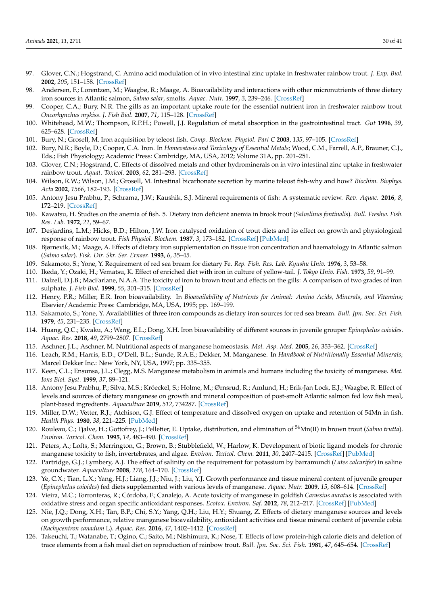- <span id="page-29-0"></span>97. Glover, C.N.; Hogstrand, C. Amino acid modulation of in vivo intestinal zinc uptake in freshwater rainbow trout. *J. Exp. Biol.* **2002**, *205*, 151–158. [\[CrossRef\]](http://doi.org/10.1242/jeb.205.1.151)
- <span id="page-29-1"></span>98. Andersen, F.; Lorentzen, M.; Waagbø, R.; Maage, A. Bioavailability and interactions with other micronutrients of three dietary iron sources in Atlantic salmon, *Salmo salar*, smolts. *Aquac. Nutr.* **1997**, *3*, 239–246. [\[CrossRef\]](http://doi.org/10.1046/j.1365-2095.1997.00096.x)
- <span id="page-29-2"></span>99. Cooper, C.A.; Bury, N.R. The gills as an important uptake route for the essential nutrient iron in freshwater rainbow trout *Oncorhynchus mykiss*. *J. Fish Biol.* **2007**, *71*, 115–128. [\[CrossRef\]](http://doi.org/10.1111/j.1095-8649.2007.01474.x)
- <span id="page-29-3"></span>100. Whitehead, M.W.; Thompson, R.P.H.; Powell, J.J. Regulation of metal absorption in the gastrointestinal tract. *Gut* **1996**, *39*, 625–628. [\[CrossRef\]](http://doi.org/10.1136/gut.39.5.625)
- <span id="page-29-4"></span>101. Bury, N.; Grosell, M. Iron acquisition by teleost fish. *Comp. Biochem. Physiol. Part C* **2003**, *135*, 97–105. [\[CrossRef\]](http://doi.org/10.1016/S1532-0456(03)00021-8)
- <span id="page-29-5"></span>102. Bury, N.R.; Boyle, D.; Cooper, C.A. Iron. In *Homeostasis and Toxicology of Essential Metals*; Wood, C.M., Farrell, A.P., Brauner, C.J., Eds.; Fish Physiology; Academic Press: Cambridge, MA, USA, 2012; Volume 31A, pp. 201–251.
- <span id="page-29-6"></span>103. Glover, C.N.; Hogstrand, C. Effects of dissolved metals and other hydrominerals on in vivo intestinal zinc uptake in freshwater rainbow trout. *Aquat. Toxicol.* **2003**, *62*, 281–293. [\[CrossRef\]](http://doi.org/10.1016/S0166-445X(02)00108-X)
- <span id="page-29-7"></span>104. Wilson, R.W.; Wilson, J.M.; Grosell, M. Intestinal bicarbonate secretion by marine teleost fish-why and how? *Biochim. Biophys. Acta* **2002**, *1566*, 182–193. [\[CrossRef\]](http://doi.org/10.1016/S0005-2736(02)00600-4)
- <span id="page-29-8"></span>105. Antony Jesu Prabhu, P.; Schrama, J.W.; Kaushik, S.J. Mineral requirements of fish: A systematic review. *Rev. Aquac.* **2016**, *8*, 172–219. [\[CrossRef\]](http://doi.org/10.1111/raq.12090)
- <span id="page-29-9"></span>106. Kawatsu, H. Studies on the anemia of fish. 5. Dietary iron deficient anemia in brook trout (*Salvelinus fontinalis*). *Bull. Freshw. Fish. Res. Lab.* **1972**, *22*, 59–67.
- <span id="page-29-10"></span>107. Desjardins, L.M.; Hicks, B.D.; Hilton, J.W. Iron catalysed oxidation of trout diets and its effect on growth and physiological response of rainbow trout. *Fish Physiol. Biochem.* **1987**, *3*, 173–182. [\[CrossRef\]](http://doi.org/10.1007/BF02180278) [\[PubMed\]](http://www.ncbi.nlm.nih.gov/pubmed/24233557)
- <span id="page-29-11"></span>108. Bjørnevik, M.; Maage, A. Effects of dietary iron supplementation on tissue iron concentration and haematology in Atlantic salmon (*Salmo salar*). *Fisk. Dir. Skr. Ser. Ernaer.* **1993**, *6*, 35–45.
- <span id="page-29-12"></span>109. Sakamoto, S.; Yone, Y. Requirement of red sea bream for dietary Fe. *Rep. Fish. Res. Lab. Kyushu Univ.* **1976**, *3*, 53–58.
- <span id="page-29-13"></span>110. Ikeda, Y.; Ozaki, H.; Vematsu, K. Effect of enriched diet with iron in culture of yellow-tail. *J. Tokyo Univ. Fish.* **1973**, *59*, 91–99.
- <span id="page-29-14"></span>111. Dalzell, D.J.B.; MacFarlane, N.A.A. The toxicity of iron to brown trout and effects on the gills: A comparison of two grades of iron sulphate. *J. Fish Biol.* **1999**, *55*, 301–315. [\[CrossRef\]](http://doi.org/10.1111/j.1095-8649.1999.tb00680.x)
- <span id="page-29-15"></span>112. Henry, P.R.; Miller, E.R. Iron bioavailability. In *Bioavailability of Nutrients for Animal: Amino Acids, Minerals, and Vitamins*; Elsevier/Academic Press: Cambridge, MA, USA, 1995; pp. 169–199.
- <span id="page-29-16"></span>113. Sakamoto, S.; Yone, Y. Availabilities of three iron compounds as dietary iron sources for red sea bream. *Bull. Jpn. Soc. Sci. Fish.* **1979**, *45*, 231–235. [\[CrossRef\]](http://doi.org/10.2331/suisan.45.231)
- <span id="page-29-17"></span>114. Huang, Q.C.; Kwaku, A.; Wang, E.L.; Dong, X.H. Iron bioavailability of different sources in juvenile grouper *Epinephelus coioides*. *Aquac. Res.* **2018**, *49*, 2799–2807. [\[CrossRef\]](http://doi.org/10.1111/are.13742)
- <span id="page-29-18"></span>115. Aschner, J.L.; Aschner, M. Nutritional aspects of manganese homeostasis. *Mol. Asp. Med.* **2005**, *26*, 353–362. [\[CrossRef\]](http://doi.org/10.1016/j.mam.2005.07.003)
- <span id="page-29-19"></span>116. Leach, R.M.; Harris, E.D.; O'Dell, B.L.; Sunde, R.A.E.; Dekker, M. Manganese. In *Handbook of Nutritionally Essential Minerals*; Marcel Dekker Inc.: New York, NY, USA, 1997; pp. 335–355.
- <span id="page-29-20"></span>117. Keen, C.L.; Ensunsa, J.L.; Clegg, M.S. Manganese metabolism in animals and humans including the toxicity of manganese. *Met. Ions Biol. Syst.* **1999**, *37*, 89–121.
- <span id="page-29-21"></span>118. Antony Jesu Prabhu, P.; Silva, M.S.; Kröeckel, S.; Holme, M.; Ørnsrud, R.; Amlund, H.; Erik-Jan Lock, E.J.; Waagbø, R. Effect of levels and sources of dietary manganese on growth and mineral composition of post-smolt Atlantic salmon fed low fish meal, plant-based ingredients. *Aquaculture* **2019**, *512*, 734287. [\[CrossRef\]](http://doi.org/10.1016/j.aquaculture.2019.734287)
- <span id="page-29-22"></span>119. Miller, D.W.; Vetter, R.J.; Atchison, G.J. Effect of temperature and dissolved oxygen on uptake and retention of 54Mn in fish. *Health Phys.* **1980**, *38*, 221–225. [\[PubMed\]](http://www.ncbi.nlm.nih.gov/pubmed/7372487)
- <span id="page-29-23"></span>120. Rouleau, C.; Tjalve, H.; Gottofrey, J.; Pelletier, E. Uptake, distribution, and elimination of <sup>54</sup>Mn(II) in brown trout (*Salmo trutta*). *Environ. Toxicol. Chem.* **1995**, *14*, 483–490. [\[CrossRef\]](http://doi.org/10.1002/etc.5620140318)
- <span id="page-29-24"></span>121. Peters, A.; Lofts, S.; Merrington, G.; Brown, B.; Stubblefield, W.; Harlow, K. Development of biotic ligand models for chronic manganese toxicity to fish, invertebrates, and algae. *Environ. Toxicol. Chem.* **2011**, *30*, 2407–2415. [\[CrossRef\]](http://doi.org/10.1002/etc.643) [\[PubMed\]](http://www.ncbi.nlm.nih.gov/pubmed/21842490)
- <span id="page-29-25"></span>122. Partridge, G.J.; Lymbery, A.J. The effect of salinity on the requirement for potassium by barramundi (*Lates calcarifer*) in saline groundwater. *Aquaculture* **2008**, *278*, 164–170. [\[CrossRef\]](http://doi.org/10.1016/j.aquaculture.2008.03.042)
- <span id="page-29-26"></span>123. Ye, C.X.; Tian, L.X.; Yang, H.J.; Liang, J.J.; Niu, J.; Liu, Y.J. Growth performance and tissue mineral content of juvenile grouper (*Epinephelus coioides*) fed diets supplemented with various levels of manganese. *Aquac. Nutr.* **2009**, *15*, 608–614. [\[CrossRef\]](http://doi.org/10.1111/j.1365-2095.2008.00628.x)
- <span id="page-29-27"></span>124. Vieira, M.C.; Torronteras, R.; Córdoba, F.; Canalejo, A. Acute toxicity of manganese in goldfish *Carassius auratus* is associated with oxidative stress and organ specific antioxidant responses. *Ecotox. Environ. Saf.* **2012**, *78*, 212–217. [\[CrossRef\]](http://doi.org/10.1016/j.ecoenv.2011.11.015) [\[PubMed\]](http://www.ncbi.nlm.nih.gov/pubmed/22154142)
- <span id="page-29-28"></span>125. Nie, J.Q.; Dong, X.H.; Tan, B.P.; Chi, S.Y.; Yang, Q.H.; Liu, H.Y.; Shuang, Z. Effects of dietary manganese sources and levels on growth performance, relative manganese bioavailability, antioxidant activities and tissue mineral content of juvenile cobia *(Rachycentron canadum* L). *Aquac. Res.* **2016**, *47*, 1402–1412. [\[CrossRef\]](http://doi.org/10.1111/are.12598)
- <span id="page-29-29"></span>126. Takeuchi, T.; Watanabe, T.; Ogino, C.; Saito, M.; Nishimura, K.; Nose, T. Effects of low protein-high calorie diets and deletion of trace elements from a fish meal diet on reproduction of rainbow trout. *Bull. Jpn. Soc. Sci. Fish.* **1981**, *47*, 645–654. [\[CrossRef\]](http://doi.org/10.2331/suisan.47.645)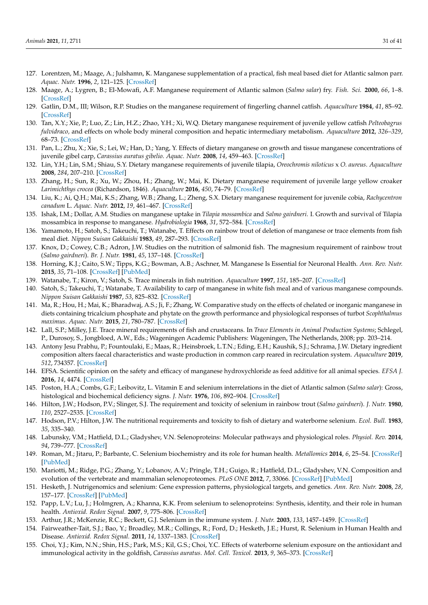- <span id="page-30-0"></span>127. Lorentzen, M.; Maage, A.; Julshamn, K. Manganese supplementation of a practical, fish meal based diet for Atlantic salmon parr. *Aquac. Nutr.* **1996**, *2*, 121–125. [\[CrossRef\]](http://doi.org/10.1111/j.1365-2095.1996.tb00019.x)
- <span id="page-30-1"></span>128. Maage, A.; Lygren, B.; El-Mowafi, A.F. Manganese requirement of Atlantic salmon (*Salmo salar*) fry. *Fish. Sci.* **2000**, *66*, 1–8. [\[CrossRef\]](http://doi.org/10.1046/j.1444-2906.2000.00001.x)
- <span id="page-30-2"></span>129. Gatlin, D.M., III; Wilson, R.P. Studies on the manganese requirement of fingerling channel catfish. *Aquaculture* **1984**, *41*, 85–92. [\[CrossRef\]](http://doi.org/10.1016/0044-8486(84)90085-1)
- <span id="page-30-3"></span>130. Tan, X.Y.; Xie, P.; Luo, Z.; Lin, H.Z.; Zhao, Y.H.; Xi, W.Q. Dietary manganese requirement of juvenile yellow catfish *Pelteobagrus fulvidraco,* and effects on whole body mineral composition and hepatic intermediary metabolism. *Aquaculture* **2012**, *326–329*, 68–73. [\[CrossRef\]](http://doi.org/10.1016/j.aquaculture.2011.11.013)
- <span id="page-30-4"></span>131. Pan, L.; Zhu, X.; Xie, S.; Lei, W.; Han, D.; Yang, Y. Effects of dietary manganese on growth and tissue manganese concentrations of juvenile gibel carp, *Carassius auratus gibelio*. *Aquac. Nutr.* **2008**, *14*, 459–463. [\[CrossRef\]](http://doi.org/10.1111/j.1365-2095.2007.00550.x)
- <span id="page-30-5"></span>132. Lin, Y.H.; Lin, S.M.; Shiau, S.Y. Dietary manganese requirements of juvenile tilapia, *Oreochromis niloticus* x *O. aureus*. *Aquaculture* **2008**, *284*, 207–210. [\[CrossRef\]](http://doi.org/10.1016/j.aquaculture.2008.07.049)
- <span id="page-30-6"></span>133. Zhang, H.; Sun, R.; Xu, W.; Zhou, H.; Zhang, W.; Mai, K. Dietary manganese requirement of juvenile large yellow croaker *Larimichthys crocea* (Richardson, 1846). *Aquaculture* **2016**, *450*, 74–79. [\[CrossRef\]](http://doi.org/10.1016/j.aquaculture.2015.07.010)
- <span id="page-30-7"></span>134. Liu, K.; Ai, Q.H.; Mai, K.S.; Zhang, W.B.; Zhang, L.; Zheng, S.X. Dietary manganese requirement for juvenile cobia, *Rachycentron canadum* L. *Aquac. Nutr.* **2012**, *19*, 461–467. [\[CrossRef\]](http://doi.org/10.1111/j.1365-2095.2012.00979.x)
- <span id="page-30-8"></span>135. Ishak, I.M.; Dollar, A.M. Studies on manganese uptake in *Tilapia mossambica* and *Salmo gairdneri*. I. Growth and survival of Tilapia mossambica in response to manganese. *Hydrobiologia* **1968**, *31*, 572–584. [\[CrossRef\]](http://doi.org/10.1007/BF00134455)
- <span id="page-30-9"></span>136. Yamamoto, H.; Satoh, S.; Takeuchi, T.; Watanabe, T. Effects on rainbow trout of deletion of manganese or trace elements from fish meal diet. *Nippon Suisan Gakkaishi* **1983**, *49*, 287–293. [\[CrossRef\]](http://doi.org/10.2331/suisan.49.287)
- <span id="page-30-10"></span>137. Knox, D.; Cowey, C.B.; Adron, J.W. Studies on the nutrition of salmonid fish. The magnesium requirement of rainbow trout (*Salmo gairdneri*). *Br. J. Nutr.* **1981**, *45*, 137–148. [\[CrossRef\]](http://doi.org/10.1079/BJN19810086)
- <span id="page-30-11"></span>138. Horning, K.J.; Caito, S.W.; Tipps, K.G.; Bowman, A.B.; Aschner, M. Manganese Is Essential for Neuronal Health. *Ann. Rev. Nutr.* **2015**, *35*, 71–108. [\[CrossRef\]](http://doi.org/10.1146/annurev-nutr-071714-034419) [\[PubMed\]](http://www.ncbi.nlm.nih.gov/pubmed/25974698)
- <span id="page-30-12"></span>139. Watanabe, T.; Kiron, V.; Satoh, S. Trace minerals in fish nutrition. *Aquaculture* **1997**, *151*, 185–207. [\[CrossRef\]](http://doi.org/10.1016/S0044-8486(96)01503-7)
- <span id="page-30-13"></span>140. Satoh, S.; Takeuchi, T.; Watanabe, T. Availability to carp of manganese in white fish meal and of various manganese compounds. *Nippon Suisan Gakkaishi* **1987**, *53*, 825–832. [\[CrossRef\]](http://doi.org/10.2331/suisan.53.825)
- <span id="page-30-14"></span>141. Ma, R.; Hou, H.; Mai, K.; Bharadwaj, A.S.; Ji, F.; Zhang, W. Comparative study on the effects of chelated or inorganic manganese in diets containing tricalcium phosphate and phytate on the growth performance and physiological responses of turbot *Scophthalmus maximus*. *Aquac. Nutr.* **2015**, *21*, 780–787. [\[CrossRef\]](http://doi.org/10.1111/anu.12206)
- <span id="page-30-15"></span>142. Lall, S.P.; Milley, J.E. Trace mineral requirements of fish and crustaceans. In *Trace Elements in Animal Production Systems*; Schlegel, P., Durosoy, S., Jongbloed, A.W., Eds.; Wageningen Academic Publishers: Wageningen, The Netherlands, 2008; pp. 203–214.
- <span id="page-30-16"></span>143. Antony Jesu Prabhu, P.; Fountoulaki, E.; Maas, R.; Heinsbroek, L.T.N.; Eding, E.H.; Kaushik, S.J.; Schrama, J.W. Dietary ingredient composition alters faecal characteristics and waste production in common carp reared in recirculation system. *Aquaculture* **2019**, *512*, 734357. [\[CrossRef\]](http://doi.org/10.1016/j.aquaculture.2019.734357)
- <span id="page-30-17"></span>144. EFSA. Scientific opinion on the safety and efficacy of manganese hydroxychloride as feed additive for all animal species. *EFSA J.* **2016**, *14*, 4474. [\[CrossRef\]](http://doi.org/10.2903/j.efsa.2016.4474)
- <span id="page-30-18"></span>145. Poston, H.A.; Combs, G.F.; Leibovitz, L. Vitamin E and selenium interrelations in the diet of Atlantic salmon (*Salmo salar*): Gross, histological and biochemical deficiency signs. *J. Nutr.* **1976**, *106*, 892–904. [\[CrossRef\]](http://doi.org/10.1093/jn/106.7.892)
- <span id="page-30-26"></span>146. Hilton, J.W.; Hodson, P.V.; Slinger, S.J. The requirement and toxicity of selenium in rainbow trout (*Salmo gairdneri*). *J. Nutr.* **1980**, *110*, 2527–2535. [\[CrossRef\]](http://doi.org/10.1093/jn/110.12.2527)
- <span id="page-30-19"></span>147. Hodson, P.V.; Hilton, J.W. The nutritional requirements and toxicity to fish of dietary and waterborne selenium. *Ecol. Bull.* **1983**, *35*, 335–340.
- <span id="page-30-20"></span>148. Labunsky, V.M.; Hatfield, D.L.; Gladyshev, V.N. Selenoproteins: Molecular pathways and physiological roles. *Physiol. Rev.* **2014**, *94*, 739–777. [\[CrossRef\]](http://doi.org/10.1152/physrev.00039.2013)
- <span id="page-30-21"></span>149. Roman, M.; Jitaru, P.; Barbante, C. Selenium biochemistry and its role for human health. *Metallomics* **2014**, *6*, 25–54. [\[CrossRef\]](http://doi.org/10.1039/C3MT00185G) [\[PubMed\]](http://www.ncbi.nlm.nih.gov/pubmed/24185753)
- <span id="page-30-22"></span>150. Mariotti, M.; Ridge, P.G.; Zhang, Y.; Lobanov, A.V.; Pringle, T.H.; Guigo, R.; Hatfield, D.L.; Gladyshev, V.N. Composition and evolution of the vertebrate and mammalian selenoproteomes. *PLoS ONE* **2012**, *7*, 33066. [\[CrossRef\]](http://doi.org/10.1371/journal.pone.0033066) [\[PubMed\]](http://www.ncbi.nlm.nih.gov/pubmed/22479358)
- <span id="page-30-23"></span>151. Hesketh, J. Nutrigenomics and selenium: Gene expression patterns, physiological targets, and genetics. *Ann. Rev. Nutr.* **2008**, *28*, 157–177. [\[CrossRef\]](http://doi.org/10.1146/annurev.nutr.28.061807.155446) [\[PubMed\]](http://www.ncbi.nlm.nih.gov/pubmed/18494599)
- <span id="page-30-24"></span>152. Papp, L.V.; Lu, J.; Holmgren, A.; Khanna, K.K. From selenium to selenoproteins: Synthesis, identity, and their role in human health. *Antioxid. Redox Signal.* **2007**, *9*, 775–806. [\[CrossRef\]](http://doi.org/10.1089/ars.2007.1528)
- <span id="page-30-25"></span>153. Arthur, J.R.; McKenzie, R.C.; Beckett, G.J. Selenium in the immune system. *J. Nutr.* **2003**, *133*, 1457–1459. [\[CrossRef\]](http://doi.org/10.1093/jn/133.5.1457S)
- 154. Fairweather-Tait, S.J.; Bao, Y.; Broadley, M.R.; Collings, R.; Ford, D.; Hesketh, J.E.; Hurst, R. Selenium in Human Health and Disease. *Antioxid. Redox Signal.* **2011**, *14*, 1337–1383. [\[CrossRef\]](http://doi.org/10.1089/ars.2010.3275)
- <span id="page-30-27"></span>155. Choi, Y.J.; Kim, N.N.; Shin, H.S.; Park, M.S.; Kil, G.S.; Choi, Y.C. Effects of waterborne selenium exposure on the antioxidant and immunological activity in the goldfish, *Carassius auratus*. *Mol. Cell. Toxicol.* **2013**, *9*, 365–373. [\[CrossRef\]](http://doi.org/10.1007/s13273-013-0045-9)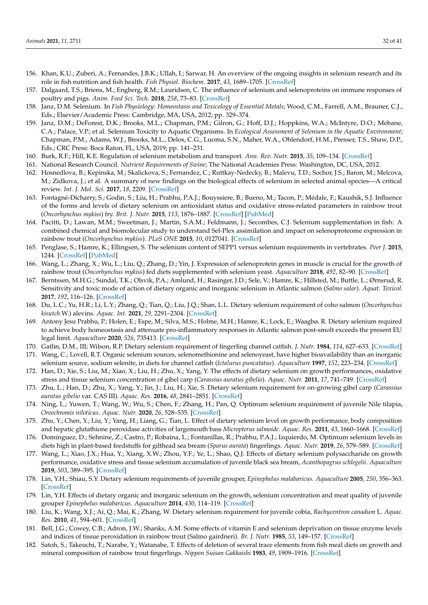- <span id="page-31-24"></span>156. Khan, K.U.; Zuberi, A.; Fernandes, J.B.K.; Ullah, I.; Sarwar, H. An overview of the ongoing insights in selenium research and its role in fish nutrition and fish health. *Fish Physiol. Biochem.* **2017**, *43*, 1689–1705. [\[CrossRef\]](http://doi.org/10.1007/s10695-017-0402-z)
- <span id="page-31-0"></span>157. Dalgaard, T.S.; Briens, M.; Engberg, R.M.; Lauridsen, C. The influence of selenium and selenoproteins on immune responses of poultry and pigs. *Anim. Feed Sci. Tech.* **2018**, *258*, 73–83. [\[CrossRef\]](http://doi.org/10.1016/j.anifeedsci.2018.01.020)
- <span id="page-31-1"></span>158. Janz, D.M. Selenium. In *Fish Physiology: Homeostasis and Toxicology of Essential Metals*; Wood, C.M., Farrell, A.M., Brauner, C.J., Eds.; Elsevier/Academic Press: Cambridge, MA, USA, 2012; pp. 329–374.
- <span id="page-31-2"></span>159. Janz, D.M.; DeForest, D.K.; Brooks, M.L.; Chapman, P.M.; Gilron, G.; Hoff, D.J.; Hoppkins, W.A.; McIntyre, D.O.; Mebane, C.A.; Palace, V.P.; et al. Selenium Toxicity to Aquatic Organisms. In *Ecological Assessment of Selenium in the Aquatic Environment*; Chapman, P.M., Adams, W.J., Brooks, M.L., Delos, C.G., Luoma, S.N., Maher, W.A., Ohlendorf, H.M., Presser, T.S., Shaw, D.P., Eds.; CRC Press: Boca Raton, FL, USA, 2019; pp. 141–231.
- <span id="page-31-3"></span>160. Burk, R.F.; Hill, K.E. Regulation of selenium metabolism and transport. *Ann. Rev. Nutr.* **2015**, *35*, 109–134. [\[CrossRef\]](http://doi.org/10.1146/annurev-nutr-071714-034250)
- <span id="page-31-4"></span>161. National Research Council. *Nutrient Requirements of Swine*; The National Academies Press: Washington, DC, USA, 2012.
- <span id="page-31-5"></span>162. Hosnedlova, B.; Kepinska, M.; Skalickova, S.; Fernandez, C.; Ruttkay-Nedecky, B.; Malevu, T.D.; Sochor, J.S.; Baron, M.; Melcova, M.; Zidkova, J.; et al. A summary of new findings on the biological effects of selenium in selected animal species—A critical review. *Int. J. Mol. Sci.* **2017**, *18*, 2209. [\[CrossRef\]](http://doi.org/10.3390/ijms18102209)
- <span id="page-31-6"></span>163. Fontagné-Dicharry, S.; Godin, S.; Liu, H.; Prabhu, P.A.J.; Bouyssiere, B.; Bueno, M.; Tacon, P.; Médale, F.; Kaushik, S.J. Influence of the forms and levels of dietary selenium on antioxidant status and oxidative stress-related parameters in rainbow trout (*Oncorhynchus mykiss*) fry. *Brit. J. Nutr.* **2015**, *113*, 1876–1887. [\[CrossRef\]](http://doi.org/10.1017/S0007114515001300) [\[PubMed\]](http://www.ncbi.nlm.nih.gov/pubmed/25990817)
- 164. Pacitti, D.; Lawan, M.M.; Sweetman, J.; Martin, S.A.M.; Feldmann, J.; Secombes, C.J. Selenium supplementation in fish: A combined chemical and biomolecular study to understand Sel-Plex assimilation and impact on selenoproteome expression in rainbow trout (*Oncorhynchus mykiss*). *PLoS ONE* **2015**, *10*, 0127041. [\[CrossRef\]](http://doi.org/10.1371/journal.pone.0127041)
- 165. Penglase, S.; Hamre, K.; Ellingsen, S. The selenium content of SEPP1 versus selenium requirements in vertebrates. *Peer J.* **2015**, 1244. [\[CrossRef\]](http://doi.org/10.7717/peerj.1244) [\[PubMed\]](http://www.ncbi.nlm.nih.gov/pubmed/26734501)
- <span id="page-31-7"></span>166. Wang, L.; Zhang, X.; Wu, L.; Liu, Q.; Zhang, D.; Yin, J. Expression of selenoprotein genes in muscle is crucial for the growth of rainbow trout (*Oncorhynchus mykiss*) fed diets supplemented with selenium yeast. *Aquaculture* **2018**, *492*, 82–90. [\[CrossRef\]](http://doi.org/10.1016/j.aquaculture.2018.03.054)
- <span id="page-31-8"></span>167. Berntssen, M.H.G.; Sundal, T.K.; Olsvik, P.A.; Amlund, H.; Rasinger, J.D.; Sele, V.; Hamre, K.; Hillsted, M.; Buttle, L.; Ørnsrud, R. Sensitivity and toxic mode of action of dietary organic and inorganic selenium in Atlantic salmon (*Salmo salar*). *Aquat. Toxicol.* **2017**, *192*, 116–126. [\[CrossRef\]](http://doi.org/10.1016/j.aquatox.2017.09.014)
- <span id="page-31-9"></span>168. Du, L.C.; Yu, H.R.; Li, L.Y.; Zhang, Q.; Tian, Q.; Liu, J.Q.; Shan, L.L. Dietary selenium requirement of coho salmon (*Oncorhynchus kisutch* W.) alevins. *Aquac. Int.* **2021**, *29*, 2291–2304. [\[CrossRef\]](http://doi.org/10.1007/s10499-021-00749-8)
- <span id="page-31-10"></span>169. Antony Jesu Prabhu, P.; Holen, E.; Espe, M.; Silva, M.S.; Holme, M.H.; Hamre, K.; Lock, E.; Waagbø, R. Dietary selenium required to achieve body homeostasis and attenuate pro-inflammatory responses in Atlantic salmon post-smolt exceeds the present EU legal limit. *Aquaculture* **2020**, *526*, 735413. [\[CrossRef\]](http://doi.org/10.1016/j.aquaculture.2020.735413)
- <span id="page-31-11"></span>170. Gatlin, D.M., III; Wilson, R.P. Dietary selenium requirement of fingerling channel catfish. *J. Nutr.* **1984**, *114*, 627–633. [\[CrossRef\]](http://doi.org/10.1093/jn/114.3.627)
- <span id="page-31-12"></span>171. Wang, C.; Lovell, R.T. Organic selenium sources, selenomethionine and selenoyeast, have higher bioavailability than an inorganic selenium source, sodium selenite, in diets for channel catfish (*Ictalurus puncatatus*). *Aquaculture* **1997**, *152*, 223–234. [\[CrossRef\]](http://doi.org/10.1016/S0044-8486(96)01523-2)
- <span id="page-31-13"></span>172. Han, D.; Xie, S.; Liu, M.; Xiao, X.; Liu, H.; Zhu, X.; Yang, Y. The effects of dietary selenium on growth performances, oxidative stress and tissue selenium concentration of gibel carp (*Carassius auratus gibelio*). *Aquac. Nutr.* **2011**, *17*, 741–749. [\[CrossRef\]](http://doi.org/10.1111/j.1365-2095.2010.00841.x)
- <span id="page-31-14"></span>173. Zhu, L.; Han, D.; Zhu, X.; Yang, Y.; Jin, J.; Liu, H.; Xie, S. Dietary selenium requirement for on-growing gibel carp (*Carassius auratus gibelio* var. CAS III). *Aquac. Res.* **2016**, *48*, 2841–2851. [\[CrossRef\]](http://doi.org/10.1111/are.13118)
- <span id="page-31-15"></span>174. Ning, L.; Yuwen, T.; Wang, W.; Wu, S.; Chen, F.; Zhang, H.; Pan, Q. Optimum selenium requirement of juvenile Nile tilapia, *Oreochromis niloticus*. *Aquac. Nutr.* **2020**, *26*, 528–535. [\[CrossRef\]](http://doi.org/10.1111/anu.13014)
- <span id="page-31-16"></span>175. Zhu, Y.; Chen, Y.; Liu, Y.; Yang, H.; Liang, G.; Tian, L. Effect of dietary selenium level on growth performance, body composition and hepatic glutathione peroxidase activities of largemouth bass *Micropterus salmoide*. *Aquac. Res.* **2011**, *43*, 1660–1668. [\[CrossRef\]](http://doi.org/10.1111/j.1365-2109.2011.02972.x)
- <span id="page-31-17"></span>176. Domínguez, D.; Sehnine, Z.; Castro, P.; Robaina, L.; Fontanillas, R.; Prabhu, P.A.J.; Izquierdo, M. Optimum selenium levels in diets high in plant-based feedstuffs for gilthead sea bream (*Sparus aurata*) fingerlings. *Aquac. Nutr.* **2019**, *26*, 579–589. [\[CrossRef\]](http://doi.org/10.1111/anu.13019)
- <span id="page-31-18"></span>177. Wang, L.; Xiao, J.X.; Hua, Y.; Xiang, X.W.; Zhou, Y.F.; Ye, L.; Shao, Q.J. Effects of dietary selenium polysaccharide on growth performance, oxidative stress and tissue selenium accumulation of juvenile black sea bream, *Acanthopagrus schlegelii*. *Aquaculture* **2019**, *503*, 389–395. [\[CrossRef\]](http://doi.org/10.1016/j.aquaculture.2019.01.033)
- <span id="page-31-19"></span>178. Lin, Y.H.; Shiau, S.Y. Dietary selenium requirements of juvenile grouper, *Epinephelus malabaricus*. *Aquaculture* **2005**, *250*, 356–363. [\[CrossRef\]](http://doi.org/10.1016/j.aquaculture.2005.03.022)
- <span id="page-31-20"></span>179. Lin, Y.H. Effects of dietary organic and inorganic selenium on the growth, selenium concentration and meat quality of juvenile grouper *Epinephelus malabaricus*. *Aquaculture* **2014**, *430*, 114–119. [\[CrossRef\]](http://doi.org/10.1016/j.aquaculture.2014.03.048)
- <span id="page-31-21"></span>180. Liu, K.; Wang, X.J.; Ai, Q.; Mai, K.; Zhang, W. Dietary selenium requirement for juvenile cobia, *Rachycentron canadum* L. *Aquac. Res.* **2010**, *41*, 594–601. [\[CrossRef\]](http://doi.org/10.1111/j.1365-2109.2010.02562.x)
- <span id="page-31-22"></span>181. Bell, J.G.; Cowey, C.B.; Adron, J.W.; Shanks, A.M. Some effects of vitamin E and selenium deprivation on tissue enzyme levels and indices of tissue peroxidation in rainbow trout (Salmo gairdneri). *Br. J. Nutr.* **1985**, *53*, 149–157. [\[CrossRef\]](http://doi.org/10.1079/BJN19850019)
- <span id="page-31-23"></span>182. Satoh, S.; Takeuchi, T.; Narabe, Y.; Watanabe, T. Effects of deletion of several trace elements from fish meal diets on growth and mineral composition of rainbow trout fingerlings. *Nippon Suisan Gakkaishi* **1983**, *49*, 1909–1916. [\[CrossRef\]](http://doi.org/10.2331/suisan.49.1909)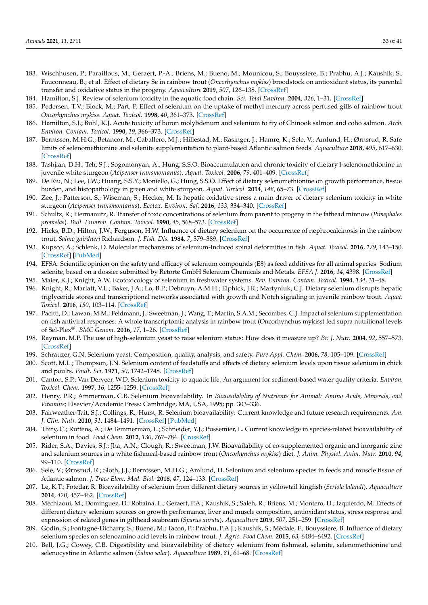- <span id="page-32-0"></span>183. Wischhusen, P.; Paraillous, M.; Geraert, P.-A.; Briens, M.; Bueno, M.; Mounicou, S.; Bouyssiere, B.; Prabhu, A.J.; Kaushik, S.; Fauconneau, B.; et al. Effect of dietary Se in rainbow trout (*Oncorhynchus mykiss*) broodstock on antioxidant status, its parental transfer and oxidative status in the progeny. *Aquaculture* **2019**, *507*, 126–138. [\[CrossRef\]](http://doi.org/10.1016/j.aquaculture.2019.04.006)
- <span id="page-32-1"></span>184. Hamilton, S.J. Review of selenium toxicity in the aquatic food chain. *Sci. Total Environ.* **2004**, *326*, 1–31. [\[CrossRef\]](http://doi.org/10.1016/j.scitotenv.2004.01.019)
- <span id="page-32-2"></span>185. Pedersen, T.V.; Block, M.; Part, P. Effect of selenium on the uptake of methyl mercury across perfused gills of rainbow trout *Oncorhynchus mykiss*. *Aquat. Toxicol.* **1998**, *40*, 361–373. [\[CrossRef\]](http://doi.org/10.1016/S0166-445X(97)00061-1)
- <span id="page-32-3"></span>186. Hamilton, S.J.; Buhl, K.J. Acute toxicity of boron molybdenum and selenium to fry of Chinook salmon and coho salmon. *Arch. Environ. Contam. Toxicol.* **1990**, *19*, 366–373. [\[CrossRef\]](http://doi.org/10.1007/BF01054980)
- <span id="page-32-4"></span>187. Berntssen, M.H.G.; Betancor, M.; Caballero, M.J.; Hillestad, M.; Rasinger, J.; Hamre, K.; Sele, V.; Amlund, H.; Ørnsrud, R. Safe limits of selenomethionine and selenite supplementation to plant-based Atlantic salmon feeds. *Aquaculture* **2018**, *495*, 617–630. [\[CrossRef\]](http://doi.org/10.1016/j.aquaculture.2018.06.041)
- <span id="page-32-5"></span>188. Tashjian, D.H.; Teh, S.J.; Sogomonyan, A.; Hung, S.S.O. Bioaccumulation and chronic toxicity of dietary l-selenomethionine in juvenile white sturgeon (*Acipenser transmontanus*). *Aquat. Toxicol.* **2006**, *79*, 401–409. [\[CrossRef\]](http://doi.org/10.1016/j.aquatox.2006.07.008)
- <span id="page-32-6"></span>189. De Riu, N.; Lee, J.W.; Huang, S.S.Y.; Moniello, G.; Hung, S.S.O. Effect of dietary selenomethionine on growth performance, tissue burden, and histopathology in green and white sturgeon. *Aquat. Toxicol.* **2014**, *148*, 65–73. [\[CrossRef\]](http://doi.org/10.1016/j.aquatox.2013.12.030)
- <span id="page-32-7"></span>190. Zee, J.; Patterson, S.; Wiseman, S.; Hecker, M. Is hepatic oxidative stress a main driver of dietary selenium toxicity in white sturgeon (*Acipenser transmontanus*). *Ecotox. Environ. Saf.* **2016**, *133*, 334–340. [\[CrossRef\]](http://doi.org/10.1016/j.ecoenv.2016.07.004)
- <span id="page-32-8"></span>191. Schultz, R.; Hermanutz, R. Transfer of toxic concentrations of selenium from parent to progeny in the fathead minnow (*Pimephales promelas*). *Bull. Environ. Contam. Toxicol.* **1990**, *45*, 568–573. [\[CrossRef\]](http://doi.org/10.1007/BF01700630)
- <span id="page-32-9"></span>192. Hicks, B.D.; Hilton, J.W.; Ferguson, H.W. Influence of dietary selenium on the occurrence of nephrocalcinosis in the rainbow trout, *Salmo gairdneri* Richardson. *J. Fish. Dis.* **1984**, *7*, 379–389. [\[CrossRef\]](http://doi.org/10.1111/j.1365-2761.1984.tb01202.x)
- <span id="page-32-10"></span>193. Kupsco, A.; Schlenk, D. Molecular mechanisms of selenium-Induced spinal deformities in fish. *Aquat. Toxicol.* **2016**, *179*, 143–150. [\[CrossRef\]](http://doi.org/10.1016/j.aquatox.2016.09.001) [\[PubMed\]](http://www.ncbi.nlm.nih.gov/pubmed/27611865)
- <span id="page-32-11"></span>194. EFSA. Scientific opinion on the safety and efficacy of selenium compounds (E8) as feed additives for all animal species: Sodium selenite, based on a dossier submitted by Retorte GmbH Selenium Chemicals and Metals. *EFSA J.* **2016**, *14*, 4398. [\[CrossRef\]](http://doi.org/10.2903/j.efsa.2016.4398)
- <span id="page-32-12"></span>195. Maier, K.J.; Knight, A.W. Ecotoxicology of selenium in freshwater systems. *Rev. Environ. Contam. Toxicol.* **1994**, *134*, 31–48.
- <span id="page-32-13"></span>196. Knight, R.; Marlatt, V.L.; Baker, J.A.; Lo, B.P.; Debruyn, A.M.H.; Elphick, J.R.; Martyniuk, C.J. Dietary selenium disrupts hepatic triglyceride stores and transcriptional networks associated with growth and Notch signaling in juvenile rainbow trout. *Aquat. Toxicol.* **2016**, *180*, 103–114. [\[CrossRef\]](http://doi.org/10.1016/j.aquatox.2016.09.014)
- <span id="page-32-14"></span>197. Pacitti, D.; Lawan, M.M.; Feldmann, J.; Sweetman, J.; Wang, T.; Martin, S.A.M.; Secombes, C.J. Impact of selenium supplementation on fish antiviral responses: A whole transcriptomic analysis in rainbow trout (Oncorhynchus mykiss) fed supra nutritional levels of Sel-Plex®. *BMC Genom.* **2016**, *17*, 1–26. [\[CrossRef\]](http://doi.org/10.1186/s12864-016-2418-7)
- <span id="page-32-15"></span>198. Rayman, M.P. The use of high-selenium yeast to raise selenium status: How does it measure up? *Br. J. Nutr.* **2004**, *92*, 557–573. [\[CrossRef\]](http://doi.org/10.1079/BJN20041251)
- <span id="page-32-16"></span>199. Schrauzer, G.N. Selenium yeast: Composition, quality, analysis, and safety. *Pure Appl. Chem.* **2006**, *78*, 105–109. [\[CrossRef\]](http://doi.org/10.1351/pac200678010105)
- <span id="page-32-17"></span>200. Scott, M.L.; Thompson, J.N. Selenium content of feedstuffs and effects of dietary selenium levels upon tissue selenium in chick and poults. *Poult. Sci.* **1971**, *50*, 1742–1748. [\[CrossRef\]](http://doi.org/10.3382/ps.0501742)
- <span id="page-32-18"></span>201. Canton, S.P.; Van Derveer, W.D. Selenium toxicity to aquatic life: An argument for sediment-based water quality criteria. *Environ. Toxicol. Chem.* **1997**, *16*, 1255–1259. [\[CrossRef\]](http://doi.org/10.1002/etc.5620160622)
- <span id="page-32-19"></span>202. Henry, P.R.; Ammerman, C.B. Selenium bioavailability. In *Bioavailability of Nutrients for Animal: Amino Acids, Minerals, and Vitamins*; Elsevier/Academic Press: Cambridge, MA, USA, 1995; pp. 303–336.
- <span id="page-32-20"></span>203. Fairweather-Tait, S.J.; Collings, R.; Hurst, R. Selenium bioavailability: Current knowledge and future research requirements. *Am. J. Clin. Nutr.* **2010**, *91*, 1484–1491. [\[CrossRef\]](http://doi.org/10.3945/ajcn.2010.28674J) [\[PubMed\]](http://www.ncbi.nlm.nih.gov/pubmed/20200264)
- <span id="page-32-21"></span>204. Thiry, C.; Ruttens, A.; De Temmerman, L.; Schneider, Y.J.; Pussemier, L. Current knowledge in species-related bioavailability of selenium in food. *Food Chem.* **2012**, *130*, 767–784. [\[CrossRef\]](http://doi.org/10.1016/j.foodchem.2011.07.102)
- <span id="page-32-22"></span>205. Rider, S.A.; Davies, S.J.; Jha, A.N.; Clough, R.; Sweetman, J.W. Bioavailability of co-supplemented organic and inorganic zinc and selenium sources in a white fishmeal-based rainbow trout (*Oncorhynchus mykiss*) diet. *J. Anim. Physiol. Anim. Nutr.* **2010**, *94*, 99–110. [\[CrossRef\]](http://doi.org/10.1111/j.1439-0396.2008.00888.x)
- <span id="page-32-26"></span>206. Sele, V.; Ørnsrud, R.; Sloth, J.J.; Berntssen, M.H.G.; Amlund, H. Selenium and selenium species in feeds and muscle tissue of Atlantic salmon. *J. Trace Elem. Med. Biol.* **2018**, *47*, 124–133. [\[CrossRef\]](http://doi.org/10.1016/j.jtemb.2018.02.005)
- 207. Le, K.T.; Fotedar, R. Bioavailability of selenium from different dietary sources in yellowtail kingfish (*Seriola lalandi*). *Aquaculture* **2014**, *420*, 457–462. [\[CrossRef\]](http://doi.org/10.1016/j.aquaculture.2013.10.034)
- <span id="page-32-23"></span>208. Mechlaoui, M.; Dominguez, D.; Robaina, L.; Geraert, P.A.; Kaushik, S.; Saleh, R.; Briens, M.; Montero, D.; Izquierdo, M. Effects of different dietary selenium sources on growth performance, liver and muscle composition, antioxidant status, stress response and expression of related genes in gilthead seabream (*Sparus aurata*). *Aquaculture* **2019**, *507*, 251–259. [\[CrossRef\]](http://doi.org/10.1016/j.aquaculture.2019.04.037)
- <span id="page-32-24"></span>209. Godin, S.; Fontagné-Dicharry, S.; Bueno, M.; Tacon, P.; Prabhu, P.A.J.; Kaushik, S.; Médale, F.; Bouyssiere, B. Influence of dietary selenium species on selenoamino acid levels in rainbow trout. *J. Agric. Food Chem.* **2015**, *63*, 6484–6492. [\[CrossRef\]](http://doi.org/10.1021/acs.jafc.5b00768)
- <span id="page-32-25"></span>210. Bell, J.G.; Cowey, C.B. Digestibility and bioavailability of dietary selenium from fishmeal, selenite, selenomethionine and selenocystine in Atlantic salmon (*Salmo salar*). *Aquaculture* **1989**, *81*, 61–68. [\[CrossRef\]](http://doi.org/10.1016/0044-8486(89)90230-5)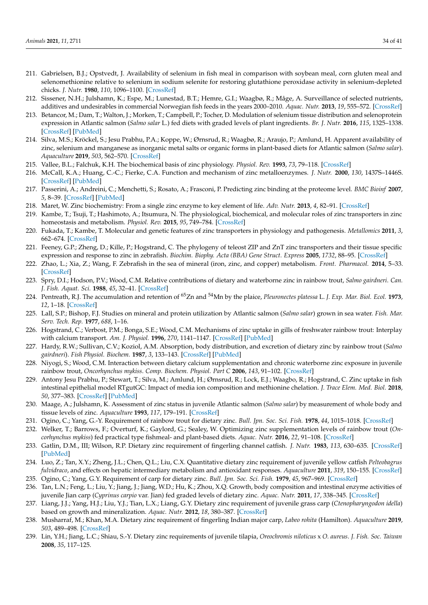- <span id="page-33-0"></span>211. Gabrielsen, B.J.; Opstvedt, J. Availability of selenium in fish meal in comparison with soybean meal, corn gluten meal and selenomethionine relative to selenium in sodium selenite for restoring glutathione peroxidase activity in selenium-depleted chicks. *J. Nutr.* **1980**, *110*, 1096–1100. [\[CrossRef\]](http://doi.org/10.1093/jn/110.6.1096)
- <span id="page-33-1"></span>212. Sissener, N.H.; Julshamn, K.; Espe, M.; Lunestad, B.T.; Hemre, G.I.; Waagbø, R.; Måge, A. Surveillance of selected nutrients, additives and undesirables in commercial Norwegian fish feeds in the years 2000–2010. *Aquac. Nutr.* **2013**, *19*, 555–572. [\[CrossRef\]](http://doi.org/10.1111/anu.12007)
- 213. Betancor, M.; Dam, T.; Walton, J.; Morken, T.; Campbell, P.; Tocher, D. Modulation of selenium tissue distribution and selenoprotein expression in Atlantic salmon (*Salmo salar* L.) fed diets with graded levels of plant ingredients. *Br. J. Nutr.* **2016**, *115*, 1325–1338. [\[CrossRef\]](http://doi.org/10.1017/S0007114516000416) [\[PubMed\]](http://www.ncbi.nlm.nih.gov/pubmed/26907361)
- <span id="page-33-2"></span>214. Silva, M.S.; Kröckel, S.; Jesu Prabhu, P.A.; Koppe, W.; Ørnsrud, R.; Waagbø, R.; Araujo, P.; Amlund, H. Apparent availability of zinc, selenium and manganese as inorganic metal salts or organic forms in plant-based diets for Atlantic salmon (*Salmo salar*). *Aquaculture* **2019**, *503*, 562–570. [\[CrossRef\]](http://doi.org/10.1016/j.aquaculture.2019.01.005)
- <span id="page-33-3"></span>215. Vallee, B.L.; Falchuk, K.H. The biochemical basis of zinc physiology. *Physiol. Rev.* **1993**, *73*, 79–118. [\[CrossRef\]](http://doi.org/10.1152/physrev.1993.73.1.79)
- <span id="page-33-4"></span>216. McCall, K.A.; Huang, C.-C.; Fierke, C.A. Function and mechanism of zinc metalloenzymes. *J. Nutr.* **2000**, *130*, 1437S–1446S. [\[CrossRef\]](http://doi.org/10.1093/jn/130.5.1437S) [\[PubMed\]](http://www.ncbi.nlm.nih.gov/pubmed/10801957)
- <span id="page-33-5"></span>217. Passerini, A.; Andreini, C.; Menchetti, S.; Rosato, A.; Frasconi, P. Predicting zinc binding at the proteome level. *BMC Bioinf* **2007**, *5*, 8–39. [\[CrossRef\]](http://doi.org/10.1186/1471-2105-8-39) [\[PubMed\]](http://www.ncbi.nlm.nih.gov/pubmed/17280606)
- <span id="page-33-6"></span>218. Maret, W. Zinc biochemistry: From a single zinc enzyme to key element of life. *Adv. Nutr.* **2013**, *4*, 82–91. [\[CrossRef\]](http://doi.org/10.3945/an.112.003038)
- <span id="page-33-7"></span>219. Kambe, T.; Tsuji, T.; Hashimoto, A.; Itsumura, N. The physiological, biochemical, and molecular roles of zinc transporters in zinc homeostasis and metabolism. *Physiol. Rev.* **2015**, *95*, 749–784. [\[CrossRef\]](http://doi.org/10.1152/physrev.00035.2014)
- <span id="page-33-8"></span>220. Fukada, T.; Kambe, T. Molecular and genetic features of zinc transporters in physiology and pathogenesis. *Metallomics* **2011**, *3*, 662–674. [\[CrossRef\]](http://doi.org/10.1039/c1mt00011j)
- <span id="page-33-9"></span>221. Feeney, G.P.; Zheng, D.; Kille, P.; Hogstrand, C. The phylogeny of teleost ZIP and ZnT zinc transporters and their tissue specific expression and response to zinc in zebrafish. *Biochim. Biophy. Acta (BBA) Gene Struct. Express* **2005**, *1732*, 88–95. [\[CrossRef\]](http://doi.org/10.1016/j.bbaexp.2005.12.002)
- <span id="page-33-10"></span>222. Zhao, L.; Xia, Z.; Wang, F. Zebrafish in the sea of mineral (iron, zinc, and copper) metabolism. *Front. Pharmacol.* **2014**, 5–33. [\[CrossRef\]](http://doi.org/10.3389/fphar.2014.00033)
- <span id="page-33-11"></span>223. Spry, D.I.; Hodson, P.V.; Wood, C.M. Relative contributions of dietary and waterborne zinc in rainbow trout, *Salmo gairdneri*. *Can. J. Fish. Aquat. Sci.* **1988**, *45*, 32–41. [\[CrossRef\]](http://doi.org/10.1139/f88-005)
- <span id="page-33-12"></span>224. Pentreath, R.J. The accumulation and retention of <sup>65</sup>Zn and <sup>54</sup>Mn by the plaice, *Pleuronectes platessa* L. *J. Exp. Mar. Biol. Ecol.* **1973**, *12*, 1–18. [\[CrossRef\]](http://doi.org/10.1016/0022-0981(73)90034-8)
- <span id="page-33-13"></span>225. Lall, S.P.; Bishop, F.J. Studies on mineral and protein utilization by Atlantic salmon (*Salmo salar*) grown in sea water. *Fish. Mar. Serv. Tech. Rep.* **1977**, *688*, 1–16.
- <span id="page-33-14"></span>226. Hogstrand, C.; Verbost, P.M.; Bonga, S.E.; Wood, C.M. Mechanisms of zinc uptake in gills of freshwater rainbow trout: Interplay with calcium transport. *Am. J. Physiol.* **1996**, *270*, 1141–1147. [\[CrossRef\]](http://doi.org/10.1152/ajpregu.1996.270.5.R1141) [\[PubMed\]](http://www.ncbi.nlm.nih.gov/pubmed/8928918)
- <span id="page-33-15"></span>227. Hardy, R.W.; Sullivan, C.V.; Koziol, A.M. Absorption, body distribution, and excretion of dietary zinc by rainbow trout (*Salmo gairdneri*). *Fish Physiol. Biochem.* **1987**, *3*, 133–143. [\[CrossRef\]](http://doi.org/10.1007/BF02180415) [\[PubMed\]](http://www.ncbi.nlm.nih.gov/pubmed/24233441)
- <span id="page-33-16"></span>228. Niyogi, S.; Wood, C.M. Interaction between dietary calcium supplementation and chronic waterborne zinc exposure in juvenile rainbow trout, *Oncorhynchus mykiss*. *Comp. Biochem. Physiol. Part C* **2006**, *143*, 91–102. [\[CrossRef\]](http://doi.org/10.1016/j.cbpc.2005.12.007)
- <span id="page-33-17"></span>229. Antony Jesu Prabhu, P.; Stewart, T.; Silva, M.; Amlund, H.; Ørnsrud, R.; Lock, E.J.; Waagbo, R.; Hogstrand, C. Zinc uptake in fish intestinal epithelial model RTgutGC: Impact of media ion composition and methionine chelation. *J. Trace Elem. Med. Biol.* **2018**, *50*, 377–383. [\[CrossRef\]](http://doi.org/10.1016/j.jtemb.2018.07.025) [\[PubMed\]](http://www.ncbi.nlm.nih.gov/pubmed/30262308)
- <span id="page-33-18"></span>230. Maage, A.; Julshamn, K. Assessment of zinc status in juvenile Atlantic salmon (*Salmo salar*) by measurement of whole body and tissue levels of zinc. *Aquaculture* **1993**, *117*, 179–191. [\[CrossRef\]](http://doi.org/10.1016/0044-8486(93)90134-K)
- <span id="page-33-19"></span>231. Ogino, C.; Yang, G.-Y. Requirement of rainbow trout for dietary zinc. *Bull. Jpn. Soc. Sci. Fish.* **1978**, *44*, 1015–1018. [\[CrossRef\]](http://doi.org/10.2331/suisan.44.1015)
- <span id="page-33-20"></span>232. Welker, T.; Barrows, F.; Overturf, K.; Gaylord, G.; Sealey, W. Optimizing zinc supplementation levels of rainbow trout (*Oncorhynchus mykiss*) fed practical type fishmeal- and plant-based diets. *Aquac. Nutr.* **2016**, *22*, 91–108. [\[CrossRef\]](http://doi.org/10.1111/anu.12232)
- <span id="page-33-21"></span>233. Gatlin, D.M., III; Wilson, R.P. Dietary zinc requirement of fingerling channel catfish. *J. Nutr.* **1983**, *113*, 630–635. [\[CrossRef\]](http://doi.org/10.1093/jn/113.3.630) [\[PubMed\]](http://www.ncbi.nlm.nih.gov/pubmed/6827380)
- <span id="page-33-22"></span>234. Luo, Z.; Tan, X.Y.; Zheng, J.L.; Chen, Q.L.; Liu, C.X. Quantitative dietary zinc requirement of juvenile yellow catfish *Pelteobagrus fulvidraco*, and effects on hepatic intermediary metabolism and antioxidant responses. *Aquaculture* **2011**, *319*, 150–155. [\[CrossRef\]](http://doi.org/10.1016/j.aquaculture.2011.06.047)
- <span id="page-33-23"></span>235. Ogino, C.; Yang, G.Y. Requirement of carp for dietary zinc. *Bull. Jpn. Soc. Sci. Fish.* **1979**, *45*, 967–969. [\[CrossRef\]](http://doi.org/10.2331/suisan.45.967)
- <span id="page-33-24"></span>236. Tan, L.N.; Feng, L.; Liu, Y.; Jiang, J.; Jiang, W.D.; Hu, K.; Zhou, X.Q. Growth, body composition and intestinal enzyme activities of juvenile Jian carp (*Cyprinus carpio* var. Jian) fed graded levels of dietary zinc. *Aquac. Nutr.* **2011**, *17*, 338–345. [\[CrossRef\]](http://doi.org/10.1111/j.1365-2095.2010.00793.x)
- <span id="page-33-25"></span>237. Liang, J.J.; Yang, H.J.; Liu, Y.J.; Tian, L.X.; Liang, G.Y. Dietary zinc requirement of juvenile grass carp (*Ctenopharyngodon idella*) based on growth and mineralization. *Aquac. Nutr.* **2012**, *18*, 380–387. [\[CrossRef\]](http://doi.org/10.1111/j.1365-2095.2011.00935.x)
- <span id="page-33-26"></span>238. Musharraf, M.; Khan, M.A. Dietary zinc requirement of fingerling Indian major carp, *Labeo rohita* (Hamilton). *Aquaculture* **2019**, *503*, 489–498. [\[CrossRef\]](http://doi.org/10.1016/j.aquaculture.2019.01.039)
- <span id="page-33-27"></span>239. Lin, Y.H.; Jiang, L.C.; Shiau, S.-Y. Dietary zinc requirements of juvenile tilapia, *Oreochromis niloticus* x *O. aureus*. *J. Fish. Soc. Taiwan* **2008**, *35*, 117–125.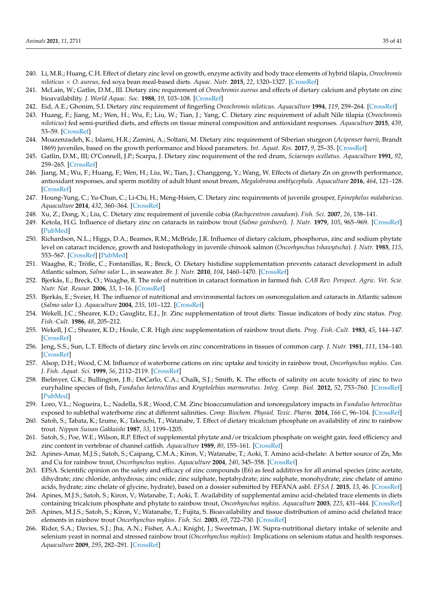- <span id="page-34-0"></span>240. Li, M.R.; Huang, C.H. Effect of dietary zinc level on growth, enzyme activity and body trace elements of hybrid tilapia, *Oreochromis niloticus* × *O. aureus*, fed soya bean meal-based diets. *Aquac. Nutr.* **2015**, *22*, 1320–1327. [\[CrossRef\]](http://doi.org/10.1111/anu.12332)
- <span id="page-34-1"></span>241. McLain, W.; Gatlin, D.M., III. Dietary zinc requirement of *Oreochromis aureus* and effects of dietary calcium and phytate on zinc bioavailability. *J. World Aquac. Soc.* **1988**, *19*, 103–108. [\[CrossRef\]](http://doi.org/10.1111/j.1749-7345.1988.tb01052.x)
- <span id="page-34-2"></span>242. Eid, A.E.; Ghonim, S.I. Dietary zinc requirement of fingerling *Oreochromis niloticus*. *Aquaculture* **1994**, *119*, 259–264. [\[CrossRef\]](http://doi.org/10.1016/0044-8486(94)90180-5)
- <span id="page-34-3"></span>243. Huang, F.; Jiang, M.; Wen, H.; Wu, F.; Liu, W.; Tian, J.; Yang, C. Dietary zinc requirement of adult Nile tilapia (*Oreochromis niloticus*) fed semi-purified diets, and effects on tissue mineral composition and antioxidant responses. *Aquaculture* **2015**, *439*, 53–59. [\[CrossRef\]](http://doi.org/10.1016/j.aquaculture.2015.01.018)
- <span id="page-34-4"></span>244. Moazenzadeh, K.; Islami, H.R.; Zamini, A.; Soltani, M. Dietary zinc requirement of Siberian sturgeon (*Acipenser baerii*, Brandt 1869) juveniles, based on the growth performance and blood parameters. *Int. Aquat. Res.* **2017**, *9*, 25–35. [\[CrossRef\]](http://doi.org/10.1007/s40071-017-0153-6)
- <span id="page-34-5"></span>245. Gatlin, D.M., III; O'Connell, J.P.; Scarpa, J. Dietary zinc requirement of the red drum, *Sciaenops ocellatus*. *Aquaculture* **1991**, *92*, 259–265. [\[CrossRef\]](http://doi.org/10.1016/0044-8486(91)90027-5)
- <span id="page-34-6"></span>246. Jiang, M.; Wu, F.; Huang, F.; Wen, H.; Liu, W.; Tian, J.; Changgeng, Y.; Wang, W. Effects of dietary Zn on growth performance, antioxidant responses, and sperm motility of adult blunt snout bream, *Megalobrama amblycephala*. *Aquaculture* **2016**, *464*, 121–128. [\[CrossRef\]](http://doi.org/10.1016/j.aquaculture.2016.06.025)
- <span id="page-34-7"></span>247. Houng-Yung, C.; Yu-Chun, C.; Li-Chi, H.; Meng-Hsien, C. Dietary zinc requirements of juvenile grouper, *Epinephelus malabaricus*. *Aquaculture* **2014**, *432*, 360–364. [\[CrossRef\]](http://doi.org/10.1016/j.aquaculture.2014.05.020)
- <span id="page-34-8"></span>248. Xu, Z.; Dong, X.; Liu, C. Dietary zinc requirement of juvenile cobia (*Rachycentron canadum*). *Fish. Sci.* **2007**, *26*, 138–141.
- <span id="page-34-9"></span>249. Ketola, H.G. Influence of dietary zinc on cataracts in rainbow trout (*Salmo gairdneri*). *J. Nutr.* **1979**, *105*, 965–969. [\[CrossRef\]](http://doi.org/10.1093/jn/109.6.965) [\[PubMed\]](http://www.ncbi.nlm.nih.gov/pubmed/109582)
- <span id="page-34-10"></span>250. Richardson, N.L.; Higgs, D.A.; Beames, R.M.; McBride, J.R. Influence of dietary calcium, phosphorus, zinc and sodium phytate level on cataract incidence, growth and histopathology in juvenile chinook salmon (*Oncorhynchus tshawytscha*). *J. Nutr.* **1985**, *115*, 553–567. [\[CrossRef\]](http://doi.org/10.1093/jn/115.5.553) [\[PubMed\]](http://www.ncbi.nlm.nih.gov/pubmed/3998857)
- <span id="page-34-11"></span>251. Waagbø, R.; Tröße, C.; Fontanillas, R.; Breck, O. Dietary histidine supplementation prevents cataract development in adult Atlantic salmon, *Salmo salar* L., in seawater. *Br. J. Nutr.* **2010**, *104*, 1460–1470. [\[CrossRef\]](http://doi.org/10.1017/S0007114510002485)
- <span id="page-34-12"></span>252. Bjerkås, E.; Breck, O.; Waagbø, R. The role of nutrition in cataract formation in farmed fish. *CAB Rev. Perspect. Agric. Vet. Scie. Nutr. Nat. Resour.* **2006**, *33*, 1–16. [\[CrossRef\]](http://doi.org/10.1079/PAVSNNR20061033)
- <span id="page-34-13"></span>253. Bjerkås, E.; Sveier, H. The influence of nutritional and environmental factors on osmoregulation and cataracts in Atlantic salmon (*Salmo salar* L). *Aquaculture* **2004**, *235*, 101–122. [\[CrossRef\]](http://doi.org/10.1016/j.aquaculture.2003.10.005)
- <span id="page-34-14"></span>254. Wekell, J.C.; Shearer, K.D.; Gauglitz, E.J., Jr. Zinc supplementation of trout diets: Tissue indicators of body zinc status. *Prog. Fish.-Cult.* **1986**, *48*, 205–212.
- <span id="page-34-15"></span>255. Wekell, J.C.; Shearer, K.D.; Houle, C.R. High zinc supplementation of rainbow trout diets. *Prog. Fish.-Cult.* **1983**, *45*, 144–147. [\[CrossRef\]](http://doi.org/10.1577/1548-8659(1983)45[144:HZSORT]2.0.CO;2)
- <span id="page-34-16"></span>256. Jeng, S.S.; Sun, L.T. Effects of dietary zinc levels on zinc concentrations in tissues of common carp. *J. Nutr.* **1981**, *111*, 134–140. [\[CrossRef\]](http://doi.org/10.1093/jn/111.1.134)
- <span id="page-34-17"></span>257. Alsop, D.H.; Wood, C.M. Influence of waterborne cations on zinc uptake and toxicity in rainbow trout, *Oncorhynchus mykiss*. *Can. J. Fish. Aquat. Sci.* **1999**, *56*, 2112–2119. [\[CrossRef\]](http://doi.org/10.1139/f99-156)
- <span id="page-34-18"></span>258. Bielmyer, G.K.; Bullington, J.B.; DeCarlo, C.A.; Chalk, S.J.; Smith, K. The effects of salinity on acute toxicity of zinc to two euryhaline species of fish, *Fundulus heteroclitus* and *Kryptolebias marmoratus*. *Integ. Comp. Biol.* **2012**, *52*, 753–760. [\[CrossRef\]](http://doi.org/10.1093/icb/ics045) [\[PubMed\]](http://www.ncbi.nlm.nih.gov/pubmed/22523126)
- <span id="page-34-19"></span>259. Loro, V.L.; Nogueira, L.; Nadella, S.R.; Wood, C.M. Zinc bioaccumulation and ionoregulatory impacts in *Fundulus heteroclitus* exposed to sublethal waterborne zinc at different salinities. *Comp. Biochem. Physiol. Toxic. Pharm.* **2014**, *166 C*, 96–104. [\[CrossRef\]](http://doi.org/10.1016/j.cbpc.2014.07.004)
- <span id="page-34-20"></span>260. Satoh, S.; Tabata, K.; Izume, K.; Takeuchi, T.; Watanabe, T. Effect of dietary tricalcium phosphate on availability of zinc to rainbow trout. *Nippon Suisan Gakkaishi* **1987**, *53*, 1199–1205.
- 261. Satoh, S.; Poe, W.E.; Wilson, R.P. Effect of supplemental phytate and/or tricalcium phosphate on weight gain, feed efficiency and zinc content in vertebrae of channel catfish. *Aquaculture* **1989**, *80*, 155–161. [\[CrossRef\]](http://doi.org/10.1016/0044-8486(89)90281-0)
- <span id="page-34-21"></span>262. Apines-Amar, M.J.S.; Satoh, S.; Caipang, C.M.A.; Kiron, V.; Watanabe, T.; Aoki, T. Amino acid-chelate: A better source of Zn, Mn and Cu for rainbow trout, *Oncorhynchus mykiss*. *Aquaculture* **2004**, *240*, 345–358. [\[CrossRef\]](http://doi.org/10.1016/j.aquaculture.2004.01.032)
- <span id="page-34-22"></span>263. EFSA. Scientific opinion on the safety and efficacy of zinc compounds (E6) as feed additives for all animal species (zinc acetate, dihydrate; zinc chloride, anhydrous; zinc oxide; zinc sulphate, heptahydrate; zinc sulphate, monohydrate; zinc chelate of amino acids, hydrate; zinc chelate of glycine, hydrate), based on a dossier submitted by FEFANA asbl. *EFSA J.* **2015**, *13*, 46. [\[CrossRef\]](http://doi.org/10.2903/j.efsa.2015.4058)
- <span id="page-34-23"></span>264. Apines, M.J.S.; Satoh, S.; Kiron, V.; Watanabe, T.; Aoki, T. Availability of supplemental amino acid-chelated trace elements in diets containing tricalcium phosphate and phytate to rainbow trout, *Oncorhynchus mykiss*. *Aquaculture* **2003**, *225*, 431–444. [\[CrossRef\]](http://doi.org/10.1016/S0044-8486(03)00307-7)
- 265. Apines, M.J.S.; Satoh, S.; Kiron, V.; Watanabe, T.; Fujita, S. Bioavailability and tissue distribution of amino acid chelated trace elements in rainbow trout *Oncorhynchus mykiss*. *Fish. Sci.* **2003**, *69*, 722–730. [\[CrossRef\]](http://doi.org/10.1046/j.1444-2906.2003.00679.x)
- <span id="page-34-24"></span>266. Rider, S.A.; Davies, S.J.; Jha, A.N.; Fisher, A.A.; Knight, J.; Sweetman, J.W. Supra-nutritional dietary intake of selenite and selenium yeast in normal and stressed rainbow trout (*Oncorhynchus mykiss*): Implications on selenium status and health responses. *Aquaculture* **2009**, *295*, 282–291. [\[CrossRef\]](http://doi.org/10.1016/j.aquaculture.2009.07.003)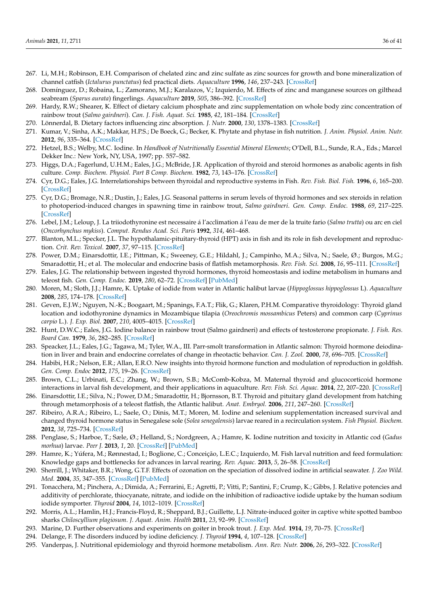- <span id="page-35-0"></span>267. Li, M.H.; Robinson, E.H. Comparison of chelated zinc and zinc sulfate as zinc sources for growth and bone mineralization of channel catfish (*Ictalurus punctatus*) fed practical diets. *Aquaculture* **1996**, *146*, 237–243. [\[CrossRef\]](http://doi.org/10.1016/S0044-8486(96)01388-9)
- <span id="page-35-1"></span>268. Domínguez, D.; Robaina, L.; Zamorano, M.J.; Karalazos, V.; Izquierdo, M. Effects of zinc and manganese sources on gilthead seabream (*Sparus aurata*) fingerlings. *Aquaculture* **2019**, *505*, 386–392. [\[CrossRef\]](http://doi.org/10.1016/j.aquaculture.2019.03.004)
- <span id="page-35-2"></span>269. Hardy, R.W.; Shearer, K. Effect of dietary calcium phosphate and zinc supplementation on whole body zinc concentration of rainbow trout (*Salmo gairdneri*). *Can. J. Fish. Aquat. Sci.* **1985**, *42*, 181–184. [\[CrossRef\]](http://doi.org/10.1139/f85-022)
- <span id="page-35-3"></span>270. Lönnerdal, B. Dietary factors influencing zinc absorption. *J. Nutr.* **2000**, *130*, 1378–1383. [\[CrossRef\]](http://doi.org/10.1093/jn/130.5.1378S)
- <span id="page-35-4"></span>271. Kumar, V.; Sinha, A.K.; Makkar, H.P.S.; De Boeck, G.; Becker, K. Phytate and phytase in fish nutrition. *J. Anim. Physiol. Anim. Nutr.* **2012**, *96*, 335–364. [\[CrossRef\]](http://doi.org/10.1111/j.1439-0396.2011.01169.x)
- <span id="page-35-5"></span>272. Hetzel, B.S.; Welby, M.C. Iodine. In *Handbook of Nutritionally Essential Mineral Elements*; O'Dell, B.L., Sunde, R.A., Eds.; Marcel Dekker Inc.: New York, NY, USA, 1997; pp. 557–582.
- <span id="page-35-6"></span>273. Higgs, D.A.; Fagerlund, U.H.M.; Eales, J.G.; McBride, J.R. Application of thyroid and steroid hormones as anabolic agents in fish culture. *Comp. Biochem. Physiol. Part B Comp. Biochem.* **1982**, *73*, 143–176. [\[CrossRef\]](http://doi.org/10.1016/0305-0491(82)90206-1)
- <span id="page-35-7"></span>274. Cyr, D.G.; Eales, J.G. Interrelationships between thyroidal and reproductive systems in Fish. *Rev. Fish. Biol. Fish.* **1996**, *6*, 165–200. [\[CrossRef\]](http://doi.org/10.1007/BF00182342)
- <span id="page-35-8"></span>275. Cyr, D.G.; Bromage, N.R.; Dustin, J.; Eales, J.G. Seasonal patterns in serum levels of thyroid hormones and sex steroids in relation to photoperiod-induced changes in spawning time in rainbow trout, *Salmo gairdneri*. *Gen. Comp. Endoc.* **1988**, *69*, 217–225. [\[CrossRef\]](http://doi.org/10.1016/0016-6480(88)90008-1)
- <span id="page-35-9"></span>276. Lebel, J.M.; Leloup, J. La triiodothyronine est necessaire á l'acclimation á l'eau de mer de la truite fario (*Salmo trutta*) ou arc en ciel (*Oncorhynchus mykiss*). *Comput. Rendus Acad. Sci. Paris* **1992**, *314*, 461–468.
- <span id="page-35-10"></span>277. Blanton, M.L.; Specker, J.L. The hypothalamic-pituitary-thyroid (HPT) axis in fish and its role in fish development and reproduction. *Crit. Rev. Toxicol.* **2007**, *37*, 97–115. [\[CrossRef\]](http://doi.org/10.1080/10408440601123529)
- <span id="page-35-11"></span>278. Power, D.M.; Einarsdottir, I.E.; Pittman, K.; Sweeney, G.E.; Hildahl, J.; Campinho, M.A.; Silva, N.; Saele, Ø.; Burgos, M.G.; Smaradottir, H.; et al. The molecular and endocrine basis of flatfish metamorphosis. *Rev. Fish. Sci.* **2008**, *16*, 95–111. [\[CrossRef\]](http://doi.org/10.1080/10641260802325377)
- <span id="page-35-12"></span>279. Eales, J.G. The relationship between ingested thyroid hormones, thyroid homeostasis and iodine metabolism in humans and teleost fish. *Gen. Comp. Endoc.* **2019**, *280*, 62–72. [\[CrossRef\]](http://doi.org/10.1016/j.ygcen.2019.04.012) [\[PubMed\]](http://www.ncbi.nlm.nih.gov/pubmed/30980803)
- <span id="page-35-13"></span>280. Moren, M.; Sloth, J.J.; Hamre, K. Uptake of iodide from water in Atlantic halibut larvae (*Hippoglossus hippoglossus* L). *Aquaculture* **2008**, *285*, 174–178. [\[CrossRef\]](http://doi.org/10.1016/j.aquaculture.2008.08.007)
- <span id="page-35-14"></span>281. Geven, E.J.W.; Nguyen, N.-K.; Boogaart, M.; Spanings, F.A.T.; Flik, G.; Klaren, P.H.M. Comparative thyroidology: Thyroid gland location and iodothyronine dynamics in Mozambique tilapia (*Oreochromis mossambicus* Peters) and common carp (*Cyprinus carpio* L.). *J. Exp. Biol.* **2007**, *210*, 4005–4015. [\[CrossRef\]](http://doi.org/10.1242/jeb.010462)
- <span id="page-35-15"></span>282. Hunt, D.W.C.; Eales, J.G. Iodine balance in rainbow trout (Salmo gairdneri) and effects of testosterone propionate. *J. Fish. Res. Board Can.* **1979**, *36*, 282–285. [\[CrossRef\]](http://doi.org/10.1139/f79-044)
- <span id="page-35-16"></span>283. Speacker, J.L.; Eales, J.G.; Tagawa, M.; Tyler, W.A., III. Parr-smolt transformation in Atlantic salmon: Thyroid hormone deiodination in liver and brain and endocrine correlates of change in rheotactic behavior. *Can. J. Zool.* **2000**, *78*, 696–705. [\[CrossRef\]](http://doi.org/10.1139/z99-258)
- <span id="page-35-17"></span>284. Habibi, H.R.; Nelson, E.R.; Allan, E.R.O. New insights into thyroid hormone function and modulation of reproduction in goldfish. *Gen. Comp. Endoc* **2012**, *175*, 19–26. [\[CrossRef\]](http://doi.org/10.1016/j.ygcen.2011.11.003)
- <span id="page-35-18"></span>285. Brown, C.L.; Urbinati, E.C.; Zhang, W.; Brown, S.B.; McComb-Kobza, M. Maternal thyroid and glucocorticoid hormone interactions in larval fish development, and their applications in aquaculture. *Rev. Fish. Sci. Aquac.* **2014**, *22*, 207–220. [\[CrossRef\]](http://doi.org/10.1080/23308249.2014.918086)
- <span id="page-35-19"></span>286. Einarsdottir, I.E.; Silva, N.; Power, D.M.; Smaradottir, H.; Bjornsson, B.T. Thyroid and pituitary gland development from hatching through metamorphosis of a teleost flatfish, the Atlantic halibut. *Anat. Embryol.* **2006**, *211*, 247–260. [\[CrossRef\]](http://doi.org/10.1007/s00429-005-0055-z)
- <span id="page-35-26"></span>287. Ribeiro, A.R.A.; Ribeiro, L.; Saele, O.; Dinis, M.T.; Moren, M. Iodine and selenium supplementation increased survival and changed thyroid hormone status in Senegalese sole (*Solea senegalensis*) larvae reared in a recirculation system. *Fish Physiol. Biochem.* **2012**, *38*, 725–734. [\[CrossRef\]](http://doi.org/10.1007/s10695-011-9554-4)
- <span id="page-35-20"></span>288. Penglase, S.; Harboe, T.; Sæle, Ø.; Helland, S.; Nordgreen, A.; Hamre, K. Iodine nutrition and toxicity in Atlantic cod (*Gadus morhua*) larvae. *Peer J.* **2013**, *1*, 20. [\[CrossRef\]](http://doi.org/10.7717/peerj.20) [\[PubMed\]](http://www.ncbi.nlm.nih.gov/pubmed/23638355)
- <span id="page-35-21"></span>289. Hamre, K.; Yúfera, M.; Rønnestad, I.; Boglione, C.; Conceição, L.E.C.; Izquierdo, M. Fish larval nutrition and feed formulation: Knowledge gaps and bottlenecks for advances in larval rearing. *Rev. Aquac.* **2013**, *5*, 26–58. [\[CrossRef\]](http://doi.org/10.1111/j.1753-5131.2012.01086.x)
- <span id="page-35-22"></span>290. Sherrill, J.; Whitaker, B.R.; Wong, G.T.F. Effects of ozonation on the speciation of dissolved iodine in artificial seawater. *J. Zoo Wild. Med.* **2004**, *35*, 347–355. [\[CrossRef\]](http://doi.org/10.1638/03-025) [\[PubMed\]](http://www.ncbi.nlm.nih.gov/pubmed/15526890)
- <span id="page-35-23"></span>291. Tonacchera, M.; Pinchera, A.; Dimida, A.; Ferrarini, E.; Agretti, P.; Vitti, P.; Santini, F.; Crump, K.; Gibbs, J. Relative potencies and additivity of perchlorate, thiocyanate, nitrate, and iodide on the inhibition of radioactive iodide uptake by the human sodium iodide symporter. *Thyroid* **2004**, *14*, 1012–1019. [\[CrossRef\]](http://doi.org/10.1089/thy.2004.14.1012)
- <span id="page-35-24"></span>292. Morris, A.L.; Hamlin, H.J.; Francis-Floyd, R.; Sheppard, B.J.; Guillette, L.J. Nitrate-induced goiter in captive white spotted bamboo sharks *Chiloscyllium plagiosum*. *J. Aquat. Anim. Health* **2011**, *23*, 92–99. [\[CrossRef\]](http://doi.org/10.1080/08997659.2011.574079)
- <span id="page-35-25"></span>293. Marine, D. Further observations and experiments on goiter in brook trout. *J. Exp. Med.* **1914**, *19*, 70–75. [\[CrossRef\]](http://doi.org/10.1084/jem.19.1.70)
- <span id="page-35-27"></span>294. Delange, F. The disorders induced by iodine deficiency. *J. Thyroid* **1994**, *4*, 107–128. [\[CrossRef\]](http://doi.org/10.1089/thy.1994.4.107)
- <span id="page-35-28"></span>295. Vanderpas, J. Nutritional epidemiology and thyroid hormone metabolism. *Ann. Rev. Nutr.* **2006**, *26*, 293–322. [\[CrossRef\]](http://doi.org/10.1146/annurev.nutr.26.010506.103810)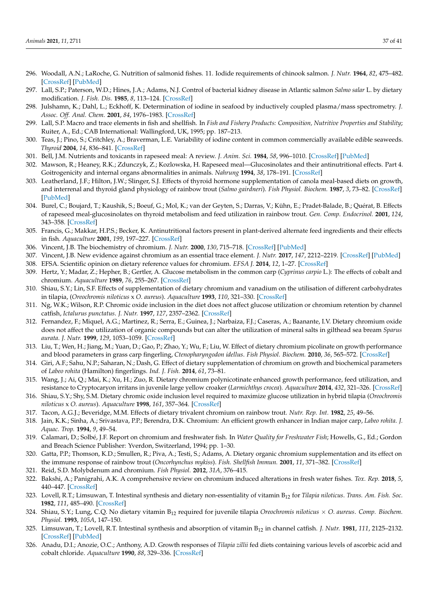- <span id="page-36-0"></span>296. Woodall, A.N.; LaRoche, G. Nutrition of salmonid fishes. 11. Iodide requirements of chinook salmon. *J. Nutr.* **1964**, *82*, 475–482. [\[CrossRef\]](http://doi.org/10.1093/jn/82.4.475) [\[PubMed\]](http://www.ncbi.nlm.nih.gov/pubmed/14151136)
- <span id="page-36-1"></span>297. Lall, S.P.; Paterson, W.D.; Hines, J.A.; Adams, N.J. Control of bacterial kidney disease in Atlantic salmon *Salmo salar* L. by dietary modification. *J. Fish. Dis.* **1985**, *8*, 113–124. [\[CrossRef\]](http://doi.org/10.1111/j.1365-2761.1985.tb01192.x)
- <span id="page-36-2"></span>298. Julshamn, K.; Dahl, L.; Eckhoff, K. Determination of iodine in seafood by inductively coupled plasma/mass spectrometry. *J. Assoc. Off. Anal. Chem.* **2001**, *84*, 1976–1983. [\[CrossRef\]](http://doi.org/10.1093/jaoac/84.6.1976)
- <span id="page-36-3"></span>299. Lall, S.P. Macro and trace elements in fish and shellfish. In *Fish and Fishery Products: Composition, Nutritive Properties and Stability*; Ruiter, A., Ed.; CAB International: Wallingford, UK, 1995; pp. 187–213.
- <span id="page-36-4"></span>300. Teas, J.; Pino, S.; Critchley, A.; Braverman, L.E. Variability of iodine content in common commercially available edible seaweeds. *Thyroid* **2004**, *14*, 836–841. [\[CrossRef\]](http://doi.org/10.1089/thy.2004.14.836)
- <span id="page-36-5"></span>301. Bell, J.M. Nutrients and toxicants in rapeseed meal: A review. *J. Anim. Sci.* **1984**, *58*, 996–1010. [\[CrossRef\]](http://doi.org/10.2527/jas1984.584996x) [\[PubMed\]](http://www.ncbi.nlm.nih.gov/pubmed/6202670)
- <span id="page-36-6"></span>302. Mawson, R.; Heaney, R.K.; Zdunczyk, Z.; Kozlowska, H. Rapeseed meal—Glucosinolates and their antinutritional effects. Part 4. Goitrogenicity and internal organs abnormalities in animals. *Nahrung* **1994**, *38*, 178–191. [\[CrossRef\]](http://doi.org/10.1002/food.19940380210)
- <span id="page-36-7"></span>303. Leatherland, J.F.; Hilton, J.W.; Slinger, S.J. Effects of thyroid hormone supplementation of canola meal-based diets on growth, and interrenal and thyroid gland physiology of rainbow trout (*Salmo gairdneri*). *Fish Physiol. Biochem.* **1987**, *3*, 73–82. [\[CrossRef\]](http://doi.org/10.1007/BF02183001) [\[PubMed\]](http://www.ncbi.nlm.nih.gov/pubmed/24233336)
- <span id="page-36-8"></span>304. Burel, C.; Boujard, T.; Kaushik, S.; Boeuf, G.; Mol, K.; van der Geyten, S.; Darras, V.; Kühn, E.; Pradet-Balade, B.; Quérat, B. Effects of rapeseed meal-glucosinolates on thyroid metabolism and feed utilization in rainbow trout. *Gen. Comp. Endocrinol.* **2001**, *124*, 343–358. [\[CrossRef\]](http://doi.org/10.1006/gcen.2001.7723)
- <span id="page-36-9"></span>305. Francis, G.; Makkar, H.P.S.; Becker, K. Antinutritional factors present in plant-derived alternate feed ingredients and their effects in fish. *Aquaculture* **2001**, *199*, 197–227. [\[CrossRef\]](http://doi.org/10.1016/S0044-8486(01)00526-9)
- <span id="page-36-10"></span>306. Vincent, J.B. The biochemistry of chromium. *J. Nutr.* **2000**, *130*, 715–718. [\[CrossRef\]](http://doi.org/10.1093/jn/130.4.715) [\[PubMed\]](http://www.ncbi.nlm.nih.gov/pubmed/10736319)
- <span id="page-36-11"></span>307. Vincent, J.B. New evidence against chromium as an essential trace element. *J. Nutr.* **2017**, *147*, 2212–2219. [\[CrossRef\]](http://doi.org/10.3945/jn.117.255901) [\[PubMed\]](http://www.ncbi.nlm.nih.gov/pubmed/29021369)
- <span id="page-36-12"></span>308. EFSA. Scientific opinion on dietary reference values for chromium. *EFSA J.* **2014**, *12*, 1–27. [\[CrossRef\]](http://doi.org/10.2903/j.efsa.2014.NNNN)
- <span id="page-36-13"></span>309. Hertz, Y.; Madar, Z.; Hepher, B.; Gertler, A. Glucose metabolism in the common carp (*Cyprinus carpio* L.): The effects of cobalt and chromium. *Aquaculture* **1989**, *76*, 255–267. [\[CrossRef\]](http://doi.org/10.1016/0044-8486(89)90079-3)
- 310. Shiau, S.Y.; Lin, S.F. Effects of supplementation of dietary chromium and vanadium on the utilisation of different carbohydrates in tilapia, (*Oreochromis niloticus* x *O. aureus*). *Aquaculture* **1993**, *110*, 321–330. [\[CrossRef\]](http://doi.org/10.1016/0044-8486(93)90379-D)
- 311. Ng, W.K.; Wilson, R.P. Chromic oxide inclusion in the diet does not affect glucose utilization or chromium retention by channel catfish, *Ictalurus punctatus*. *J. Nutr.* **1997**, *127*, 2357–2362. [\[CrossRef\]](http://doi.org/10.1093/jn/127.12.2357)
- 312. Fernandez, F.; Miquel, A.G.; Martinez, R.; Serra, E.; Guinea, J.; Narbaiza, F.J.; Caseras, A.; Baanante, I.V. Dietary chromium oxide does not affect the utilization of organic compounds but can alter the utilization of mineral salts in gilthead sea bream *Sparus aurata*. *J. Nutr.* **1999**, *129*, 1053–1059. [\[CrossRef\]](http://doi.org/10.1093/jn/129.5.1053)
- 313. Liu, T.; Wen, H.; Jiang, M.; Yuan, D.; Gao, P.; Zhao, Y.; Wu, F.; Liu, W. Effect of dietary chromium picolinate on growth performance and blood parameters in grass carp fingerling, *Ctenopharyngodon idellus*. *Fish Physiol. Biochem.* **2010**, *36*, 565–572. [\[CrossRef\]](http://doi.org/10.1007/s10695-009-9327-5)
- 314. Giri, A.F.; Sahu, N.P.; Saharan, N.; Dash, G. Effect of dietary supplementation of chromium on growth and biochemical parameters of *Labeo rohita* (Hamilton) fingerlings. *Ind. J. Fish.* **2014**, *61*, 73–81.
- 315. Wang, J.; Ai, Q.; Mai, K.; Xu, H.; Zuo, R. Dietary chromium polynicotinate enhanced growth performance, feed utilization, and resistance to Cryptocaryon irritans in juvenile large yellow croaker (*Larmichthys crocea*). *Aquaculture* **2014**, *432*, 321–326. [\[CrossRef\]](http://doi.org/10.1016/j.aquaculture.2014.05.027)
- <span id="page-36-14"></span>316. Shiau, S.Y.; Shy, S.M. Dietary chromic oxide inclusion level required to maximize glucose utilization in hybrid tilapia (*Oreochromis niloticus* x *O. aureus*). *Aquaculture* **1998**, *161*, 357–364. [\[CrossRef\]](http://doi.org/10.1016/S0044-8486(97)00283-4)
- <span id="page-36-15"></span>317. Tacon, A.G.J.; Beveridge, M.M. Effects of dietary trivalent chromium on rainbow trout. *Nutr. Rep. Int.* **1982**, *25*, 49–56.
- <span id="page-36-16"></span>318. Jain, K.K.; Sinha, A.; Srivastava, P.P.; Berendra, D.K. Chromium: An efficient growth enhancer in Indian major carp, *Labeo rohita*. *J. Aquac. Trop.* **1994**, *9*, 49–54.
- <span id="page-36-17"></span>319. Calamari, D.; Solbé, J.F. Report on chromium and freshwater fish. In *Water Quality for Freshwater Fish*; Howells, G., Ed.; Gordon and Breach Science Publisher: Yverdon, Switzerland, 1994; pp. 1–30.
- <span id="page-36-18"></span>320. Gatta, P.P.; Thomson, K.D.; Smullen, R.; Piva, A.; Testi, S.; Adams, A. Dietary organic chromium supplementation and its effect on the immune response of rainbow trout (*Oncorhynchus mykiss*). *Fish. Shellfish Immun.* **2001**, *11*, 371–382. [\[CrossRef\]](http://doi.org/10.1006/fsim.2000.0323)
- <span id="page-36-19"></span>321. Reid, S.D. Molybdenum and chromium. *Fish Physiol.* **2012**, *31A*, 376–415.
- <span id="page-36-20"></span>322. Bakshi, A.; Panigrahi, A.K. A comprehensive review on chromium induced alterations in fresh water fishes. *Tox. Rep.* **2018**, *5*, 440–447. [\[CrossRef\]](http://doi.org/10.1016/j.toxrep.2018.03.007)
- <span id="page-36-21"></span>323. Lovell, R.T.; Limsuwan, T. Intestinal synthesis and dietary non-essentiality of vitamin B<sup>12</sup> for *Tilapia niloticus*. *Trans. Am. Fish. Soc.* **1982**, *111*, 485–490. [\[CrossRef\]](http://doi.org/10.1577/1548-8659(1982)111<485:ISADNO>2.0.CO;2)
- <span id="page-36-22"></span>324. Shiau, S.Y.; Lung, C.Q. No dietary vitamin B<sup>12</sup> required for juvenile tilapia *Oreochromis niloticus* × *O. aureus*. *Comp. Biochem. Physiol.* **1993**, *105A*, 147–150.
- <span id="page-36-23"></span>325. Limsuwan, T.; Lovell, R.T. Intestinal synthesis and absorption of vitamin B<sup>12</sup> in channel catfish. *J. Nutr.* **1981**, *111*, 2125–2132. [\[CrossRef\]](http://doi.org/10.1093/jn/111.12.2125) [\[PubMed\]](http://www.ncbi.nlm.nih.gov/pubmed/7310537)
- <span id="page-36-24"></span>326. Anadu, D.I.; Anozie, O.C.; Anthony, A.D. Growth responses of *Tilapia zillii* fed diets containing various levels of ascorbic acid and cobalt chloride. *Aquaculture* **1990**, *88*, 329–336. [\[CrossRef\]](http://doi.org/10.1016/0044-8486(90)90158-J)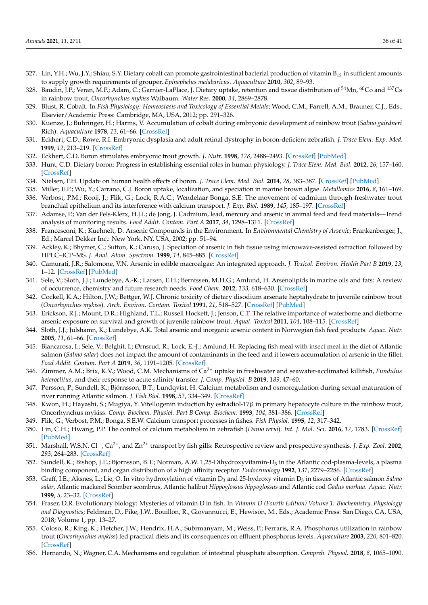- <span id="page-37-0"></span>327. Lin, Y.H.; Wu, J.Y.; Shiau, S.Y. Dietary cobalt can promote gastrointestinal bacterial production of vitamin  $B_{12}$  in sufficient amounts to supply growth requirements of grouper, *Epinephelus malabaricus*. *Aquaculture* **2010**, *302*, 89–93.
- <span id="page-37-1"></span>328. Baudin, J.P.; Veran, M.P.; Adam, C.; Garnier-LaPlace, J. Dietary uptake, retention and tissue distribution of <sup>54</sup>Mn, <sup>60</sup>Co and <sup>137</sup>Cs in rainbow trout, *Oncorhynchus mykiss* Walbaum. *Water Res.* **2000**, *34*, 2869–2878.
- <span id="page-37-2"></span>329. Blust, R. Cobalt. In *Fish Physiology: Homeostasis and Toxicology of Essential Metals*; Wood, C.M., Farrell, A.M., Brauner, C.J., Eds.; Elsevier/Academic Press: Cambridge, MA, USA, 2012; pp. 291–326.
- <span id="page-37-3"></span>330. Kuenze, J.; Buhringer, H.; Harms, V. Accumulation of cobalt during embryonic development of rainbow trout (*Salmo gairdneri* Rich). *Aquaculture* **1978**, *13*, 61–66. [\[CrossRef\]](http://doi.org/10.1016/0044-8486(78)90128-X)
- <span id="page-37-4"></span>331. Eckhert, C.D.; Rowe, R.I. Embryonic dysplasia and adult retinal dystrophy in boron-deficient zebrafish. *J. Trace Elem. Exp. Med.* **1999**, *12*, 213–219. [\[CrossRef\]](http://doi.org/10.1002/(SICI)1520-670X(1999)12:3<213::AID-JTRA5>3.0.CO;2-0)
- <span id="page-37-5"></span>332. Eckhert, C.D. Boron stimulates embryonic trout growth. *J. Nutr.* **1998**, *128*, 2488–2493. [\[CrossRef\]](http://doi.org/10.1093/jn/128.12.2488) [\[PubMed\]](http://www.ncbi.nlm.nih.gov/pubmed/9868197)
- <span id="page-37-6"></span>333. Hunt, C.D. Dietary boron: Progress in establishing essential roles in human physiology. *J. Trace Elem. Med. Biol.* **2012**, *26*, 157–160. [\[CrossRef\]](http://doi.org/10.1016/j.jtemb.2012.03.014)
- <span id="page-37-7"></span>334. Nielsen, F.H. Update on human health effects of boron. *J. Trace Elem. Med. Biol.* **2014**, *28*, 383–387. [\[CrossRef\]](http://doi.org/10.1016/j.jtemb.2014.06.023) [\[PubMed\]](http://www.ncbi.nlm.nih.gov/pubmed/25063690)
- <span id="page-37-8"></span>335. Miller, E.P.; Wu, Y.; Carrano, C.J. Boron uptake, localization, and speciation in marine brown algae. *Metallomics* **2016**, *8*, 161–169.
- <span id="page-37-9"></span>336. Verbost, P.M.; Rooij, J.; Flik, G.; Lock, R.A.C.; Wendelaar Bonga, S.E. The movement of cadmium through freshwater trout branchial epithelium and its interference with calcium transport. *J. Exp. Biol.* **1989**, *145*, 185–197. [\[CrossRef\]](http://doi.org/10.1242/jeb.145.1.185)
- <span id="page-37-10"></span>337. Adamse, P.; Van der Fels-Klerx, H.J.I.; de Jong, J. Cadmium, lead, mercury and arsenic in animal feed and feed materials—Trend analysis of monitoring results. *Food Addit. Contam. Part A* **2017**, *34*, 1298–1311. [\[CrossRef\]](http://doi.org/10.1080/19440049.2017.1300686)
- <span id="page-37-11"></span>338. Francesconi, K.; Kuehnelt, D. Arsenic Compounds in the Environment. In *Environmental Chemistry of Arsenic*; Frankenberger, J., Ed.; Marcel Dekker Inc.: New York, NY, USA, 2002; pp. 51–94.
- <span id="page-37-12"></span>339. Ackley, K.; Bhymer, C.; Sutton, K.; Caruso, J. Speciation of arsenic in fish tissue using microwave-assisted extraction followed by HPLC–ICP–MS. *J. Anal. Atom. Spectrom.* **1999**, *14*, 845–885. [\[CrossRef\]](http://doi.org/10.1039/a807466f)
- <span id="page-37-13"></span>340. Camurati, J.R.; Salomone, V.N. Arsenic in edible macroalgae: An integrated approach. *J. Toxicol. Environ. Health Part B* **2019**, *23*, 1–12. [\[CrossRef\]](http://doi.org/10.1080/10937404.2019.1672364) [\[PubMed\]](http://www.ncbi.nlm.nih.gov/pubmed/31578125)
- <span id="page-37-14"></span>341. Sele, V.; Sloth, J.J.; Lundebye, A.-K.; Larsen, E.H.; Berntssen, M.H.G.; Amlund, H. Arsenolipìds in marine oils and fats: A review of occurrence, chemistry and future research needs. *Food Chem.* **2012**, *133*, 618–630. [\[CrossRef\]](http://doi.org/10.1016/j.foodchem.2012.02.004)
- <span id="page-37-15"></span>342. Cockell, K.A.; Hilton, J.W.; Bettger, W.J. Chronic toxicity of dietary disodium arsenate heptahydrate to juvenile rainbow trout (*Oncorhynchus mykiss*). *Arch. Environ. Contam. Toxicol* **1991**, *21*, 518–527. [\[CrossRef\]](http://doi.org/10.1007/BF01183873) [\[PubMed\]](http://www.ncbi.nlm.nih.gov/pubmed/1759847)
- <span id="page-37-16"></span>343. Erickson, R.J.; Mount, D.R.; Highland, T.L.; Russell Hockett, J.; Jenson, C.T. The relative importance of waterborne and dietborne arsenic exposure on survival and growth of juvenile rainbow trout. *Aquat. Toxicol* **2011**, *104*, 108–115. [\[CrossRef\]](http://doi.org/10.1016/j.aquatox.2011.04.003)
- <span id="page-37-17"></span>344. Sloth, J.J.; Julshamn, K.; Lundebye, A.K. Total arsenic and inorganic arsenic content in Norwegian fish feed products. *Aquac. Nutr.* **2005**, *11*, 61–66. [\[CrossRef\]](http://doi.org/10.1111/j.1365-2095.2004.00334.x)
- <span id="page-37-18"></span>345. Biancarosa, I.; Sele, V.; Belghit, I.; Ørnsrud, R.; Lock, E.-J.; Amlund, H. Replacing fish meal with insect meal in the diet of Atlantic salmon (*Salmo salar*) does not impact the amount of contaminants in the feed and it lowers accumulation of arsenic in the fillet. *Food Addit. Contam. Part A* **2019**, *36*, 1191–1205. [\[CrossRef\]](http://doi.org/10.1080/19440049.2019.1619938)
- <span id="page-37-19"></span>346. Zimmer, A.M.; Brix, K.V.; Wood, C.M. Mechanisms of Ca2+ uptake in freshwater and seawater-acclimated killifish, *Fundulus heteroclitus*, and their response to acute salinity transfer. *J. Comp. Physiol. B* **2019**, *189*, 47–60.
- <span id="page-37-20"></span>347. Persson, P.; Sundell, K.; Björnsson, B.T.; Lundqvist, H. Calcium metabolism and osmoregulation during sexual maturation of river running Atlantic salmon. *J. Fish Biol.* **1998**, *52*, 334–349. [\[CrossRef\]](http://doi.org/10.1111/j.1095-8649.1998.tb00801.x)
- <span id="page-37-21"></span>348. Kwon, H.; Hayashi, S.; Mugiya, Y. Vitellogenin induction by estradiol-17β in primary hepatocyte culture in the rainbow trout, Oncorhynchus mykiss. *Comp. Biochem. Physiol. Part B Comp. Biochem.* **1993**, *104*, 381–386. [\[CrossRef\]](http://doi.org/10.1016/0305-0491(93)90383-G)
- <span id="page-37-22"></span>349. Flik, G.; Verbost, P.M.; Bonga, S.E.W. Calcium transport processes in fishes. *Fish Physiol.* **1995**, *12*, 317–342.
- 350. Lin, C.H.; Hwang, P.P. The control of calcium metabolism in zebrafish (*Danio rerio*). *Int. J. Mol. Sci.* **2016**, *17*, 1783. [\[CrossRef\]](http://doi.org/10.3390/ijms17111783) [\[PubMed\]](http://www.ncbi.nlm.nih.gov/pubmed/27792163)
- <span id="page-37-23"></span>351. Marshall, W.S.N. Cl−, Ca2+, and Zn2+ transport by fish gills: Retrospective review and prospective synthesis. *J. Exp. Zool.* **2002**, *293*, 264–283. [\[CrossRef\]](http://doi.org/10.1002/jez.10127)
- <span id="page-37-24"></span>352. Sundell, K.; Bishop, J.E.; Bjornsson, B.T.; Norman, A.W. 1,25-Dihydroxyvitamin-D3 in the Atlantic cod-plasma-levels, a plasma binding component, and organ distribution of a high affinity receptor. *Endocrinology* **1992**, *131*, 2279–2286. [\[CrossRef\]](http://doi.org/10.1210/endo.131.5.1330497)
- 353. Graff, I.E.; Aksnes, L.; Lie, O. In vitro hydroxylation of vitamin D<sup>3</sup> and 25-hydroxy vitamin D<sup>3</sup> in tissues of Atlantic salmon *Salmo salar*, Atlantic mackerel Scomber scombrus, Atlantic halibut *Hippoglossus hippoglossus* and Atlantic cod *Gadus morhua*. *Aquac. Nutr.* **1999**, *5*, 23–32. [\[CrossRef\]](http://doi.org/10.1046/j.1365-2095.1999.00084.x)
- <span id="page-37-25"></span>354. Fraser, D.R. Evolutionary biology: Mysteries of vitamin D in fish. In *Vitamin D (Fourth Edition) Volume 1: Biochemistry, Physiology and Diagnostics*; Feldman, D., Pike, J.W., Bouillon, R., Giovannucci, E., Hewison, M., Eds.; Academic Press: San Diego, CA, USA, 2018; Volume 1, pp. 13–27.
- <span id="page-37-26"></span>355. Coloso, R.; King, K.; Fletcher, J.W.; Hendrix, H.A.; Subrmanyam, M.; Weiss, P.; Ferraris, R.A. Phosphorus utilization in rainbow trout (*Oncorhynchus mykiss*) fed practical diets and its consequences on effluent phosphorus levels. *Aquaculture* **2003**, *220*, 801–820. [\[CrossRef\]](http://doi.org/10.1016/S0044-8486(02)00403-9)
- <span id="page-37-27"></span>356. Hernando, N.; Wagner, C.A. Mechanisms and regulation of intestinal phosphate absorption. *Compreh. Physiol.* **2018**, *8*, 1065–1090.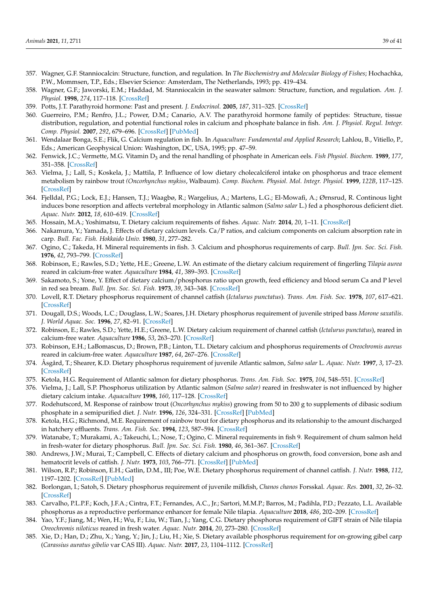- <span id="page-38-0"></span>357. Wagner, G.F. Stanniocalcin: Structure, function, and regulation. In *The Biochemistry and Molecular Biology of Fishes*; Hochachka, P.W., Mommsen, T.P., Eds.; Elsevier Science: Amsterdam, The Netherlands, 1993; pp. 419–434.
- <span id="page-38-1"></span>358. Wagner, G.F.; Jaworski, E.M.; Haddad, M. Stanniocalcin in the seawater salmon: Structure, function, and regulation. *Am. J. Physiol.* **1998**, *274*, 117–118. [\[CrossRef\]](http://doi.org/10.1152/ajpregu.1998.274.4.R1177)
- <span id="page-38-2"></span>359. Potts, J.T. Parathyroid hormone: Past and present. *J. Endocrinol.* **2005**, *187*, 311–325. [\[CrossRef\]](http://doi.org/10.1677/joe.1.06057)
- <span id="page-38-3"></span>360. Guerreiro, P.M.; Renfro, J.L.; Power, D.M.; Canario, A.V. The parathyroid hormone family of peptides: Structure, tissue distribution, regulation, and potential functional roles in calcium and phosphate balance in fish. *Am. J. Physiol. Regul. Integr. Comp. Physiol.* **2007**, *292*, 679–696. [\[CrossRef\]](http://doi.org/10.1152/ajpregu.00480.2006) [\[PubMed\]](http://www.ncbi.nlm.nih.gov/pubmed/17023665)
- <span id="page-38-4"></span>361. Wendalaar Bonga, S.E.; Flik, G. Calcium regulation in fish. In *Aquaculture: Fundamental and Applied Research*; Lahlou, B., Vitiello, P., Eds.; American Geophysical Union: Washington, DC, USA, 1995; pp. 47–59.
- <span id="page-38-5"></span>362. Fenwick, J.C.; Vermette, M.G. Vitamin D<sup>3</sup> and the renal handling of phosphate in American eels. *Fish Physiol. Biochem.* **1989**, *177*, 351–358. [\[CrossRef\]](http://doi.org/10.1007/BF00004728)
- <span id="page-38-6"></span>363. Vielma, J.; Lall, S.; Koskela, J.; Mattila, P. Influence of low dietary cholecalciferol intake on phosphorus and trace element metabolism by rainbow trout *(Oncorhynchus mykiss*, Walbaum). *Comp. Biochem. Physiol. Mol. Integr. Physiol.* **1999**, *122B*, 117–125. [\[CrossRef\]](http://doi.org/10.1016/S1095-6433(98)10171-X)
- <span id="page-38-7"></span>364. Fjelldal, P.G.; Lock, E.J.; Hansen, T.J.; Waagbø, R.; Wargelius, A.; Martens, L.G.; El-Mowafi, A.; Ørnsrud, R. Continous light induces bone resorption and affects vertebral morphology in Atlantic salmon (*Salmo salar* L.) fed a phosphorous deficient diet. *Aquac. Nutr.* **2012**, *18*, 610–619. [\[CrossRef\]](http://doi.org/10.1111/j.1365-2095.2011.00918.x)
- <span id="page-38-8"></span>365. Hossain, M.A.; Yoshimatsu, T. Dietary calcium requirements of fishes. *Aquac. Nutr.* **2014**, *20*, 1–11. [\[CrossRef\]](http://doi.org/10.1111/anu.12135)
- <span id="page-38-9"></span>366. Nakamura, Y.; Yamada, J. Effects of dietary calcium levels. Ca/P ratios, and calcium components on calcium absorption rate in carp. *Bull. Fac. Fish. Hokkaido Univ.* **1980**, *31*, 277–282.
- <span id="page-38-15"></span>367. Ogino, C.; Takeda, H. Mineral requirements in fish. 3. Calcium and phosphorus requirements of carp. *Bull. Jpn. Soc. Sci. Fish.* **1976**, *42*, 793–799. [\[CrossRef\]](http://doi.org/10.2331/suisan.42.793)
- 368. Robinson, E.; Rawles, S.D.; Yette, H.E.; Greene, L.W. An estimate of the dietary calcium requirement of fingerling *Tilapia aurea* reared in calcium-free water. *Aquaculture* **1984**, *41*, 389–393. [\[CrossRef\]](http://doi.org/10.1016/0044-8486(84)90206-0)
- 369. Sakamoto, S.; Yone, Y. Effect of dietary calcium/phosphorus ratio upon growth, feed efficiency and blood serum Ca and P level in red sea bream. *Bull. Jpn. Soc. Sci. Fish.* **1973**, *39*, 343–348. [\[CrossRef\]](http://doi.org/10.2331/suisan.39.343)
- <span id="page-38-19"></span>370. Lovell, R.T. Dietary phosphorus requirement of channel catfish (*Ictalurus punctatus*). *Trans. Am. Fish. Soc.* **1978**, *107*, 617–621. [\[CrossRef\]](http://doi.org/10.1577/1548-8659(1978)107<617:DPROCC>2.0.CO;2)
- <span id="page-38-10"></span>371. Dougall, D.S.; Woods, L.C.; Douglass, L.W.; Soares, J.H. Dietary phosphorus requirement of juvenile striped bass *Morone saxatilis*. *J. World Aquac. Soc.* **1996**, *27*, 82–91. [\[CrossRef\]](http://doi.org/10.1111/j.1749-7345.1996.tb00597.x)
- <span id="page-38-11"></span>372. Robinson, E.; Rawles, S.D.; Yette, H.E.; Greene, L.W. Dietary calcium requirement of channel catfish (*Ictalurus punctatus*), reared in calcium-free water. *Aquaculture* **1986**, *53*, 263–270. [\[CrossRef\]](http://doi.org/10.1016/0044-8486(86)90356-X)
- <span id="page-38-12"></span>373. Robinson, E.H.; LaBomascus, D.; Brown, P.B.; Linton, T.L. Dietary calcium and phosphorus requirements of *Oreochromis aureus* reared in calcium-free water. *Aquaculture* **1987**, *64*, 267–276. [\[CrossRef\]](http://doi.org/10.1016/0044-8486(87)90189-X)
- <span id="page-38-13"></span>374. Åsgård, T.; Shearer, K.D. Dietary phosphorus requirement of juvenile Atlantic salmon, *Salmo salar* L. *Aquac. Nutr.* **1997**, *3*, 17–23. [\[CrossRef\]](http://doi.org/10.1046/j.1365-2095.1997.00069.x)
- 375. Ketola, H.G. Requirement of Atlantic salmon for dietary phosphorus. *Trans. Am. Fish. Soc.* **1975**, *104*, 548–551. [\[CrossRef\]](http://doi.org/10.1577/1548-8659(1975)104<548:ROASFD>2.0.CO;2)
- <span id="page-38-14"></span>376. Vielma, J.; Lall, S.P. Phosphorus utilization by Atlantic salmon (*Salmo salar)* reared in freshwater is not influenced by higher dietary calcium intake. *Aquaculture* **1998**, *160*, 117–128. [\[CrossRef\]](http://doi.org/10.1016/S0044-8486(97)00300-1)
- <span id="page-38-16"></span>377. Rodehutscord, M. Response of rainbow trout (*Oncorhynchus mykiss*) growing from 50 to 200 g to supplements of dibasic sodium phosphate in a semipurified diet. *J. Nutr.* **1996**, *126*, 324–331. [\[CrossRef\]](http://doi.org/10.1093/jn/126.1.324) [\[PubMed\]](http://www.ncbi.nlm.nih.gov/pubmed/8558318)
- <span id="page-38-17"></span>378. Ketola, H.G.; Richmond, M.E. Requirement of rainbow trout for dietary phosphorus and its relationship to the amount discharged in hatchery effluents. *Trans. Am. Fish. Soc.* **1994**, *123*, 587–594. [\[CrossRef\]](http://doi.org/10.1577/1548-8659(1994)123<0587:RORTFD>2.3.CO;2)
- <span id="page-38-18"></span>379. Watanabe, T.; Murakami, A.; Takeuchi, L.; Nose, T.; Ogino, C. Mineral requirements in fish 9. Requirement of chum salmon held in fresh-water for dietary phosphorus. *Bull. Jpn. Soc. Sci. Fish.* **1980**, *46*, 361–367. [\[CrossRef\]](http://doi.org/10.2331/suisan.46.361)
- <span id="page-38-20"></span>380. Andrews, J.W.; Murai, T.; Campbell, C. Effects of dietary calcium and phosphorus on growth, food conversion, bone ash and hematocrit levels of catfish. *J. Nutr.* **1973**, *103*, 766–771. [\[CrossRef\]](http://doi.org/10.1093/jn/103.5.766) [\[PubMed\]](http://www.ncbi.nlm.nih.gov/pubmed/4710088)
- <span id="page-38-21"></span>381. Wilson, R.P.; Robinson, E.H.; Gatlin, D.M., III; Poe, W.E. Dietary phosphorus requirement of channel catfish. *J. Nutr.* **1988**, *112*, 1197–1202. [\[CrossRef\]](http://doi.org/10.1093/jn/112.6.1197) [\[PubMed\]](http://www.ncbi.nlm.nih.gov/pubmed/7201013)
- <span id="page-38-22"></span>382. Borlongan, I.; Satoh, S. Dietary phosphorus requirement of juvenile milkfish, *Chanos chanos* Forsskal. *Aquac. Res.* **2001**, *32*, 26–32. [\[CrossRef\]](http://doi.org/10.1046/j.1355-557x.2001.00003.x)
- <span id="page-38-23"></span>383. Carvalho, P.L.P.F.; Koch, J.F.A.; Cintra, F.T.; Fernandes, A.C., Jr.; Sartori, M.M.P.; Barros, M.; Padihla, P.D.; Pezzato, L.L. Available phosphorus as a reproductive performance enhancer for female Nile tilapia. *Aquaculture* **2018**, *486*, 202–209. [\[CrossRef\]](http://doi.org/10.1016/j.aquaculture.2017.12.023)
- <span id="page-38-24"></span>384. Yao, Y.F.; Jiang, M.; Wen, H.; Wu, F.; Liu, W.; Tian, J.; Yang, C.G. Dietary phosphorus requirement of GIFT strain of Nile tilapia *Oreochromis niloticus* reared in fresh water. *Aquac. Nutr.* **2014**, *20*, 273–280. [\[CrossRef\]](http://doi.org/10.1111/anu.12075)
- <span id="page-38-25"></span>385. Xie, D.; Han, D.; Zhu, X.; Yang, Y.; Jin, J.; Liu, H.; Xie, S. Dietary available phosphorus requirement for on-growing gibel carp (*Carassius auratus gibelio* var CAS III). *Aquac. Nutr.* **2017**, *23*, 1104–1112. [\[CrossRef\]](http://doi.org/10.1111/anu.12478)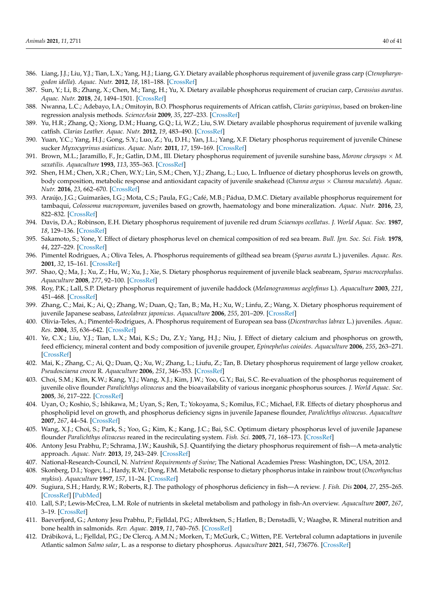- <span id="page-39-0"></span>386. Liang, J.J.; Liu, Y.J.; Tian, L.X.; Yang, H.J.; Liang, G.Y. Dietary available phosphorus requirement of juvenile grass carp (*Ctenopharyngodon idella*). *Aquac. Nutr.* **2012**, *18*, 181–188. [\[CrossRef\]](http://doi.org/10.1111/j.1365-2095.2011.00887.x)
- <span id="page-39-1"></span>387. Sun, Y.; Li, B.; Zhang, X.; Chen, M.; Tang, H.; Yu, X. Dietary available phosphorus requirement of crucian carp, *Carassius auratus*. *Aquac. Nutr.* **2018**, *24*, 1494–1501. [\[CrossRef\]](http://doi.org/10.1111/anu.12686)
- <span id="page-39-2"></span>388. Nwanna, L.C.; Adebayo, I.A.; Omitoyin, B.O. Phosphorus requirements of African catfish, *Clarias gariepinus*, based on broken-line regression analysis methods. *ScienceAsia* **2009**, *35*, 227–233. [\[CrossRef\]](http://doi.org/10.2306/scienceasia1513-1874.2009.35.227)
- <span id="page-39-3"></span>389. Yu, H.R.; Zhang, Q.; Xiong, D.M.; Huang, G.Q.; Li, W.Z.; Liu, S.W. Dietary available phosphorus requirement of juvenile walking catfish. *Clarias Leather. Aquac. Nutr.* **2012**, *19*, 483–490. [\[CrossRef\]](http://doi.org/10.1111/j.1365-2095.2012.00982.x)
- <span id="page-39-4"></span>390. Yuan, Y.C.; Yang, H.J.; Gong, S.Y.; Luo, Z.; Yu, D.H.; Yan, J.L.; Yang, X.F. Dietary phosphorus requirement of juvenile Chinese sucker *Myxocyprinus asiaticus*. *Aquac. Nutr.* **2011**, *17*, 159–169. [\[CrossRef\]](http://doi.org/10.1111/j.1365-2095.2009.00719.x)
- <span id="page-39-5"></span>391. Brown, M.L.; Jaramillo, F., Jr.; Gatlin, D.M., III. Dietary phosphorus requirement of juvenile sunshine bass, *Morone chrysops* × *M. saxatilis*. *Aquaculture* **1993**, *113*, 355–363. [\[CrossRef\]](http://doi.org/10.1016/0044-8486(93)90405-N)
- <span id="page-39-6"></span>392. Shen, H.M.; Chen, X.R.; Chen, W.Y.; Lin, S.M.; Chen, Y.J.; Zhang, L.; Luo, L. Influence of dietary phosphorus levels on growth, body composition, metabolic response and antioxidant capacity of juvenile snakehead (*Channa argus* × *Channa maculata*). *Aquac. Nutr.* **2016**, *23*, 662–670. [\[CrossRef\]](http://doi.org/10.1111/anu.12433)
- <span id="page-39-7"></span>393. Araújo, J.G.; Guimarães, I.G.; Mota, C.S.; Paula, F.G.; Café, M.B.; Pádua, D.M.C. Dietary available phosphorus requirement for tambaqui, *Colossoma macropomum*, juveniles based on growth, haematology and bone mineralization. *Aquac. Nutr.* **2016**, *23*, 822–832. [\[CrossRef\]](http://doi.org/10.1111/anu.12449)
- <span id="page-39-8"></span>394. Davis, D.A.; Robinson, E.H. Dietary phosphorus requirement of juvenile red drum *Sciaenops ocellatus*. *J. World Aquac. Soc.* **1987**, *18*, 129–136. [\[CrossRef\]](http://doi.org/10.1111/j.1749-7345.1987.tb00431.x)
- <span id="page-39-9"></span>395. Sakamoto, S.; Yone, Y. Effect of dietary phosphorus level on chemical composition of red sea bream. *Bull. Jpn. Soc. Sci. Fish.* **1978**, *44*, 227–229. [\[CrossRef\]](http://doi.org/10.2331/suisan.44.227)
- <span id="page-39-10"></span>396. Pimentel Rodrigues, A.; Oliva Teles, A. Phosphorus requirements of gilthead sea bream (*Sparus aurata* L.) juveniles. *Aquac. Res.* **2001**, *32*, 15–161. [\[CrossRef\]](http://doi.org/10.1046/j.1355-557x.2001.00013.x)
- <span id="page-39-11"></span>397. Shao, Q.; Ma, J.; Xu, Z.; Hu, W.; Xu, J.; Xie, S. Dietary phosphorus requirement of juvenile black seabream, *Sparus macrocephalus*. *Aquaculture* **2008**, *277*, 92–100. [\[CrossRef\]](http://doi.org/10.1016/j.aquaculture.2008.01.029)
- <span id="page-39-12"></span>398. Roy, P.K.; Lall, S.P. Dietary phosphorus requirement of juvenile haddock (*Melanogrammus aeglefinus* L). *Aquaculture* **2003**, *221*, 451–468. [\[CrossRef\]](http://doi.org/10.1016/S0044-8486(03)00065-6)
- <span id="page-39-13"></span>399. Zhang, C.; Mai, K.; Ai, Q.; Zhang, W.; Duan, Q.; Tan, B.; Ma, H.; Xu, W.; Linfu, Z.; Wang, X. Dietary phosphorus requirement of juvenile Japanese seabass, *Lateolabrax japonicus*. *Aquaculture* **2006**, *255*, 201–209. [\[CrossRef\]](http://doi.org/10.1016/j.aquaculture.2005.11.040)
- <span id="page-39-14"></span>400. Olivia-Teles, A.; Pimentel-Rodrigues, A. Phosphorus requirement of European sea bass (*Dicentrarchus labrax* L.) juveniles. *Aquac. Res.* **2004**, *35*, 636–642. [\[CrossRef\]](http://doi.org/10.1111/j.1365-2109.2004.01059.x)
- <span id="page-39-15"></span>401. Ye, C.X.; Liu, Y.J.; Tian, L.X.; Mai, K.S.; Du, Z.Y.; Yang, H.J.; Niu, J. Effect of dietary calcium and phosphorus on growth, feed efficiency, mineral content and body composition of juvenile grouper, *Epinephelus coioides*. *Aquaculture* **2006**, *255*, 263–271. [\[CrossRef\]](http://doi.org/10.1016/j.aquaculture.2005.12.028)
- <span id="page-39-16"></span>402. Mai, K.; Zhang, C.; Ai, Q.; Duan, Q.; Xu, W.; Zhang, L.; Liufu, Z.; Tan, B. Dietary phosphorus requirement of large yellow croaker, *Pseudosciaena crocea* R. *Aquaculture* **2006**, *251*, 346–353. [\[CrossRef\]](http://doi.org/10.1016/j.aquaculture.2005.05.038)
- <span id="page-39-17"></span>403. Choi, S.M.; Kim, K.W.; Kang, Y.J.; Wang, X.J.; Kim, J.W.; Yoo, G.Y.; Bai, S.C. Re-evaluation of the phosphorus requirement of juvenile olive flounder *Paralichthys olivaceus* and the bioavailability of various inorganic phosphorus sources. *J. World Aquac. Soc.* **2005**, *36*, 217–222. [\[CrossRef\]](http://doi.org/10.1111/j.1749-7345.2005.tb00388.x)
- 404. Uyan, O.; Koshio, S.; Ishikawa, M.; Uyan, S.; Ren, T.; Yokoyama, S.; Komilus, F.C.; Michael, F.R. Effects of dietary phosphorus and phospholipid level on growth, and phosphorus deficiency signs in juvenile Japanese flounder, *Paralichthys olivaceus*. *Aquaculture* **2007**, *267*, 44–54. [\[CrossRef\]](http://doi.org/10.1016/j.aquaculture.2007.01.020)
- <span id="page-39-18"></span>405. Wang, X.J.; Choi, S.; Park, S.; Yoo, G.; Kim, K.; Kang, J.C.; Bai, S.C. Optimum dietary phosphorus level of juvenile Japanese flounder *Paralichthys olivaceus* reared in the recirculating system. *Fish. Sci.* **2005**, *71*, 168–173. [\[CrossRef\]](http://doi.org/10.1111/j.1444-2906.2005.00944.x)
- <span id="page-39-19"></span>406. Antony Jesu Prabhu, P.; Schrama, J.W.; Kaushik, S.J. Quantifying the dietary phosphorus requirement of fish—A meta-analytic approach. *Aquac. Nutr.* **2013**, *19*, 243–249. [\[CrossRef\]](http://doi.org/10.1111/anu.12042)
- <span id="page-39-20"></span>407. National-Research-Council, N. *Nutrient Requirements of Swine*; The National Academies Press: Washington, DC, USA, 2012.
- <span id="page-39-21"></span>408. Skonberg, D.I.; Yogev, L.; Hardy, R.W.; Dong, F.M. Metabolic response to dietary phosphorus intake in rainbow trout (*Oncorhynchus mykiss*). *Aquaculture* **1997**, *157*, 11–24. [\[CrossRef\]](http://doi.org/10.1016/S0044-8486(97)00141-5)
- <span id="page-39-22"></span>409. Sugiura, S.H.; Hardy, R.W.; Roberts, R.J. The pathology of phosphorus deficiency in fish—A review. *J. Fish. Dis* **2004**, *27*, 255–265. [\[CrossRef\]](http://doi.org/10.1111/j.1365-2761.2004.00527.x) [\[PubMed\]](http://www.ncbi.nlm.nih.gov/pubmed/15139904)
- <span id="page-39-24"></span>410. Lall, S.P.; Lewis-McCrea, L.M. Role of nutrients in skeletal metabolism and pathology in fish-An overview. *Aquaculture* **2007**, *267*, 3–19. [\[CrossRef\]](http://doi.org/10.1016/j.aquaculture.2007.02.053)
- <span id="page-39-23"></span>411. Baeverfjord, G.; Antony Jesu Prabhu, P.; Fjelldal, P.G.; Albrektsen, S.; Hatlen, B.; Denstadli, V.; Waagbø, R. Mineral nutrition and bone health in salmonids. *Rev. Aquac.* **2019**, *11*, 740–765. [\[CrossRef\]](http://doi.org/10.1111/raq.12255)
- <span id="page-39-25"></span>412. Drábiková, L.; Fjelldal, P.G.; De Clercq, A.M.N.; Morken, T.; McGurk, C.; Witten, P.E. Vertebral column adaptations in juvenile Atlantic salmon *Salmo salar*, L. as a response to dietary phosphorus. *Aquaculture* **2021**, *541*, 736776. [\[CrossRef\]](http://doi.org/10.1016/j.aquaculture.2021.736776)